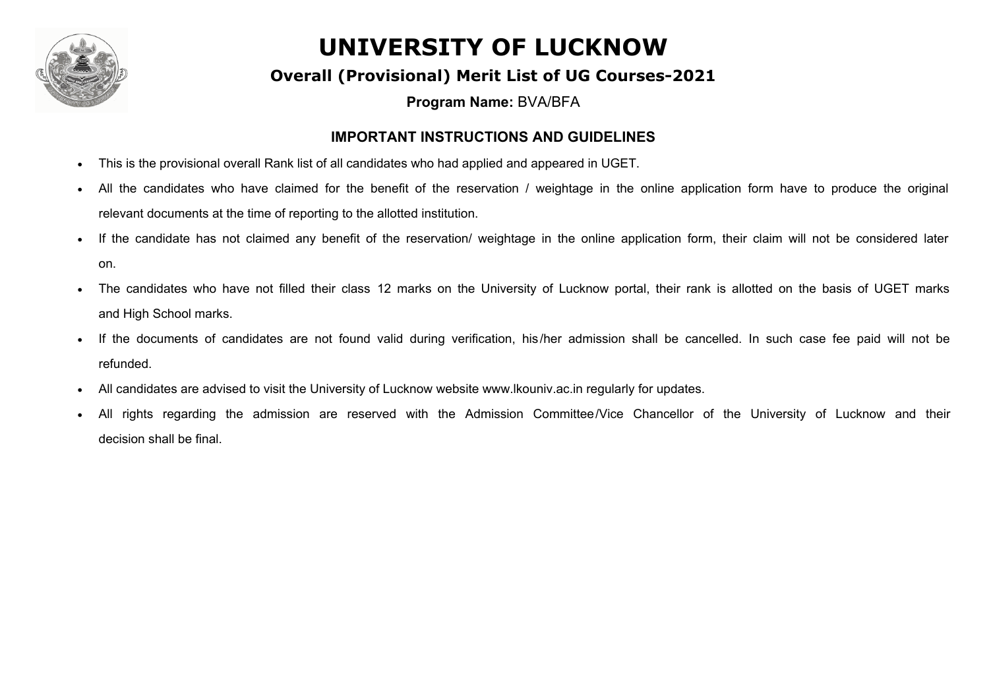

#### **Overall (Provisional) Merit List of UG Courses-2021**

**Program Name:** BVA/BFA

#### **IMPORTANT INSTRUCTIONS AND GUIDELINES**

- This is the provisional overall Rank list of all candidates who had applied and appeared in UGET.
- All the candidates who have claimed for the benefit of the reservation / weightage in the online application form have to produce the original relevant documents at the time of reporting to the allotted institution.
- If the candidate has not claimed any benefit of the reservation/ weightage in the online application form, their claim will not be considered later on.
- The candidates who have not filled their class 12 marks on the University of Lucknow portal, their rank is allotted on the basis of UGET marks and High School marks.
- If the documents of candidates are not found valid during verification, his/her admission shall be cancelled. In such case fee paid will not be refunded.
- · All candidates are advised to visit the University of Lucknow website www.lkouniv.ac.in regularly for updates.
- All rights regarding the admission are reserved with the Admission Committee/Vice Chancellor of the University of Lucknow and their decision shall be final.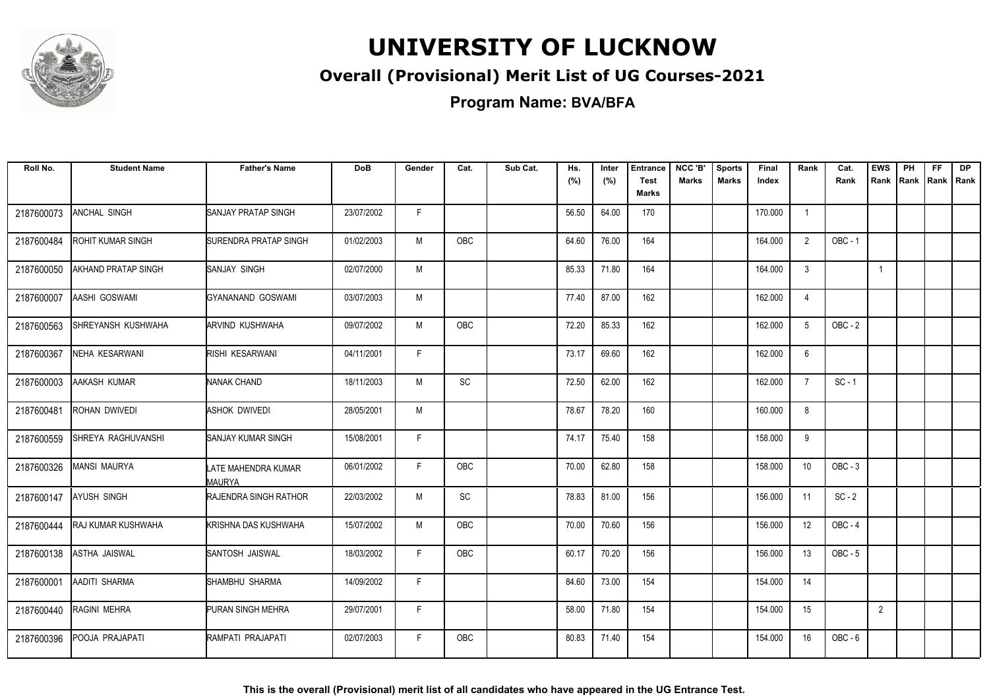

### **Overall (Provisional) Merit List of UG Courses-2021**

**Program Name: BVA/BFA**

| Roll No.   | <b>Student Name</b>        | <b>Father's Name</b>          | <b>DoB</b> | Gender | Cat.       | Sub Cat. | Hs.<br>(%) | Inter<br>(%) | <b>Entrance</b><br><b>Test</b><br>Marks | NCC 'B'<br><b>Marks</b> | <b>Sports</b><br><b>Marks</b> | Final<br>Index | Rank           | Cat.<br>Rank   | <b>EWS</b><br>Rank | PH<br>Rank | <b>FF</b><br>Rank   Rank | <b>DP</b> |
|------------|----------------------------|-------------------------------|------------|--------|------------|----------|------------|--------------|-----------------------------------------|-------------------------|-------------------------------|----------------|----------------|----------------|--------------------|------------|--------------------------|-----------|
| 2187600073 | ANCHAL SINGH               | <b>SANJAY PRATAP SINGH</b>    | 23/07/2002 | F.     |            |          | 56.50      | 64.00        | 170                                     |                         |                               | 170.000        | $\overline{1}$ |                |                    |            |                          |           |
| 2187600484 | <b>ROHIT KUMAR SINGH</b>   | <b>SURENDRA PRATAP SINGH</b>  | 01/02/2003 | M      | OBC        |          | 64.60      | 76.00        | 164                                     |                         |                               | 164.000        | $\overline{2}$ | <b>OBC - 1</b> |                    |            |                          |           |
| 2187600050 | <b>AKHAND PRATAP SINGH</b> | SANJAY SINGH                  | 02/07/2000 | M      |            |          | 85.33      | 71.80        | 164                                     |                         |                               | 164.000        | 3              |                | $\mathbf{1}$       |            |                          |           |
| 2187600007 | AASHI GOSWAMI              | GYANANAND GOSWAMI             | 03/07/2003 | M      |            |          | 77.40      | 87.00        | 162                                     |                         |                               | 162.000        | $\overline{4}$ |                |                    |            |                          |           |
| 2187600563 | SHREYANSH KUSHWAHA         | ARVIND KUSHWAHA               | 09/07/2002 | M      | <b>OBC</b> |          | 72.20      | 85.33        | 162                                     |                         |                               | 162.000        | 5              | $OBC - 2$      |                    |            |                          |           |
| 2187600367 | NEHA KESARWANI             | RISHI KESARWANI               | 04/11/2001 | F      |            |          | 73.17      | 69.60        | 162                                     |                         |                               | 162.000        | 6              |                |                    |            |                          |           |
| 2187600003 | AAKASH KUMAR               | NANAK CHAND                   | 18/11/2003 | M      | SC         |          | 72.50      | 62.00        | 162                                     |                         |                               | 162.000        | $\overline{7}$ | $SC - 1$       |                    |            |                          |           |
| 2187600481 | ROHAN DWIVEDI              | <b>ASHOK DWIVEDI</b>          | 28/05/2001 | M      |            |          | 78.67      | 78.20        | 160                                     |                         |                               | 160.000        | 8              |                |                    |            |                          |           |
| 2187600559 | ISHREYA RAGHUVANSHI        | ISANJAY KUMAR SINGH           | 15/08/2001 | F.     |            |          | 74.17      | 75.40        | 158                                     |                         |                               | 158.000        | 9              |                |                    |            |                          |           |
| 2187600326 | <b>MANSI MAURYA</b>        | LATE MAHENDRA KUMAR<br>MAURYA | 06/01/2002 | F.     | OBC        |          | 70.00      | 62.80        | 158                                     |                         |                               | 158.000        | 10             | $OBC - 3$      |                    |            |                          |           |
| 2187600147 | <b>AYUSH SINGH</b>         | <b>RAJENDRA SINGH RATHOR</b>  | 22/03/2002 | M      | <b>SC</b>  |          | 78.83      | 81.00        | 156                                     |                         |                               | 156.000        | 11             | $SC - 2$       |                    |            |                          |           |
| 2187600444 | <b>RAJ KUMAR KUSHWAHA</b>  | KRISHNA DAS KUSHWAHA          | 15/07/2002 | M      | <b>OBC</b> |          | 70.00      | 70.60        | 156                                     |                         |                               | 156.000        | 12             | OBC-4          |                    |            |                          |           |
| 2187600138 | <b>ASTHA JAISWAL</b>       | SANTOSH JAISWAL               | 18/03/2002 | F      | OBC        |          | 60.17      | 70.20        | 156                                     |                         |                               | 156.000        | 13             | $OBC - 5$      |                    |            |                          |           |
| 2187600001 | AADITI SHARMA              | SHAMBHU SHARMA                | 14/09/2002 | F      |            |          | 84.60      | 73.00        | 154                                     |                         |                               | 154.000        | 14             |                |                    |            |                          |           |
| 2187600440 | RAGINI MEHRA               | PURAN SINGH MEHRA             | 29/07/2001 | F.     |            |          | 58.00      | 71.80        | 154                                     |                         |                               | 154.000        | 15             |                | 2                  |            |                          |           |
| 2187600396 | POOJA PRAJAPATI            | RAMPATI PRAJAPATI             | 02/07/2003 | F.     | <b>OBC</b> |          | 80.83      | 71.40        | 154                                     |                         |                               | 154.000        | 16             | $OBC - 6$      |                    |            |                          |           |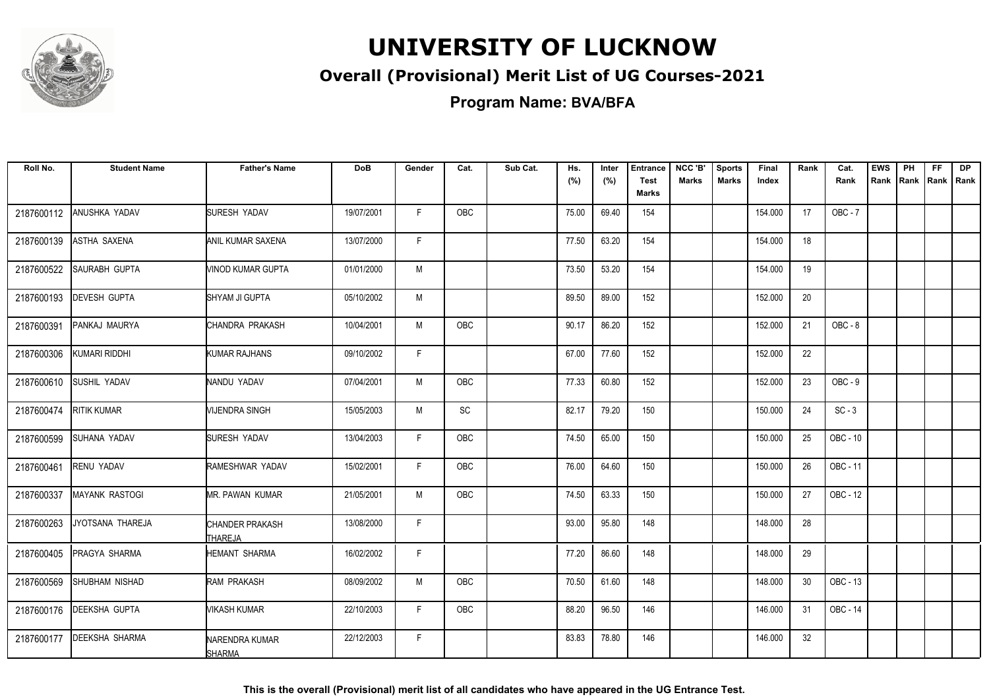

### **Overall (Provisional) Merit List of UG Courses-2021**

**Program Name: BVA/BFA**

| Roll No.   | <b>Student Name</b>   | <b>Father's Name</b>              | <b>DoB</b> | Gender | Cat.       | Sub Cat. | Hs.<br>(%) | Inter<br>(%) | <b>Entrance</b><br><b>Test</b> | NCC 'B'<br><b>Marks</b> | <b>Sports</b><br><b>Marks</b> | Final<br>Index | Rank | Cat.<br>Rank   | <b>EWS</b><br>Rank Rank | PH | <b>FF</b><br>Rank   Rank | <b>DP</b> |
|------------|-----------------------|-----------------------------------|------------|--------|------------|----------|------------|--------------|--------------------------------|-------------------------|-------------------------------|----------------|------|----------------|-------------------------|----|--------------------------|-----------|
|            |                       |                                   |            |        |            |          |            |              | Marks                          |                         |                               |                |      |                |                         |    |                          |           |
| 2187600112 | ANUSHKA YADAV         | SURESH YADAV                      | 19/07/2001 | F      | <b>OBC</b> |          | 75.00      | 69.40        | 154                            |                         |                               | 154.000        | 17   | <b>OBC - 7</b> |                         |    |                          |           |
| 2187600139 | <b>ASTHA SAXENA</b>   | ANIL KUMAR SAXENA                 | 13/07/2000 | F.     |            |          | 77.50      | 63.20        | 154                            |                         |                               | 154.000        | 18   |                |                         |    |                          |           |
| 2187600522 | SAURABH GUPTA         | VINOD KUMAR GUPTA                 | 01/01/2000 | M      |            |          | 73.50      | 53.20        | 154                            |                         |                               | 154.000        | 19   |                |                         |    |                          |           |
| 2187600193 | <b>DEVESH GUPTA</b>   | SHYAM JI GUPTA                    | 05/10/2002 | M      |            |          | 89.50      | 89.00        | 152                            |                         |                               | 152.000        | 20   |                |                         |    |                          |           |
| 2187600391 | PANKAJ MAURYA         | ICHANDRA PRAKASH                  | 10/04/2001 | M      | OBC        |          | 90.17      | 86.20        | 152                            |                         |                               | 152.000        | 21   | $OBC - 8$      |                         |    |                          |           |
| 2187600306 | KUMARI RIDDHI         | KUMAR RAJHANS                     | 09/10/2002 | F      |            |          | 67.00      | 77.60        | 152                            |                         |                               | 152.000        | 22   |                |                         |    |                          |           |
| 2187600610 | SUSHIL YADAV          | NANDU YADAV                       | 07/04/2001 | M      | OBC        |          | 77.33      | 60.80        | 152                            |                         |                               | 152.000        | 23   | $OBC - 9$      |                         |    |                          |           |
| 2187600474 | <b>RITIK KUMAR</b>    | <b>MJENDRA SINGH</b>              | 15/05/2003 | M      | SC         |          | 82.17      | 79.20        | 150                            |                         |                               | 150.000        | 24   | $SC - 3$       |                         |    |                          |           |
| 2187600599 | ISUHANA YADAV         | <b>SURESH YADAV</b>               | 13/04/2003 | F      | OBC        |          | 74.50      | 65.00        | 150                            |                         |                               | 150.000        | 25   | OBC - 10       |                         |    |                          |           |
| 2187600461 | <b>RENU YADAV</b>     | RAMESHWAR YADAV                   | 15/02/2001 | F      | OBC        |          | 76.00      | 64.60        | 150                            |                         |                               | 150.000        | 26   | OBC - 11       |                         |    |                          |           |
| 2187600337 | <b>MAYANK RASTOGI</b> | <b>MR. PAWAN KUMAR</b>            | 21/05/2001 | М      | OBC        |          | 74.50      | 63.33        | 150                            |                         |                               | 150.000        | 27   | OBC - 12       |                         |    |                          |           |
| 2187600263 | JYOTSANA THAREJA      | CHANDER PRAKASH<br><b>THAREJA</b> | 13/08/2000 | F.     |            |          | 93.00      | 95.80        | 148                            |                         |                               | 148.000        | 28   |                |                         |    |                          |           |
| 2187600405 | <b>PRAGYA SHARMA</b>  | <b>HEMANT SHARMA</b>              | 16/02/2002 | F      |            |          | 77.20      | 86.60        | 148                            |                         |                               | 148.000        | 29   |                |                         |    |                          |           |
| 2187600569 | SHUBHAM NISHAD        | RAM PRAKASH                       | 08/09/2002 | М      | OBC        |          | 70.50      | 61.60        | 148                            |                         |                               | 148.000        | 30   | OBC - 13       |                         |    |                          |           |
| 2187600176 | <b>DEEKSHA GUPTA</b>  | WIKASH KUMAR                      | 22/10/2003 | F.     | <b>OBC</b> |          | 88.20      | 96.50        | 146                            |                         |                               | 146.000        | 31   | OBC - 14       |                         |    |                          |           |
| 2187600177 | <b>DEEKSHA SHARMA</b> | NARENDRA KUMAR<br><b>SHARMA</b>   | 22/12/2003 | F.     |            |          | 83.83      | 78.80        | 146                            |                         |                               | 146.000        | 32   |                |                         |    |                          |           |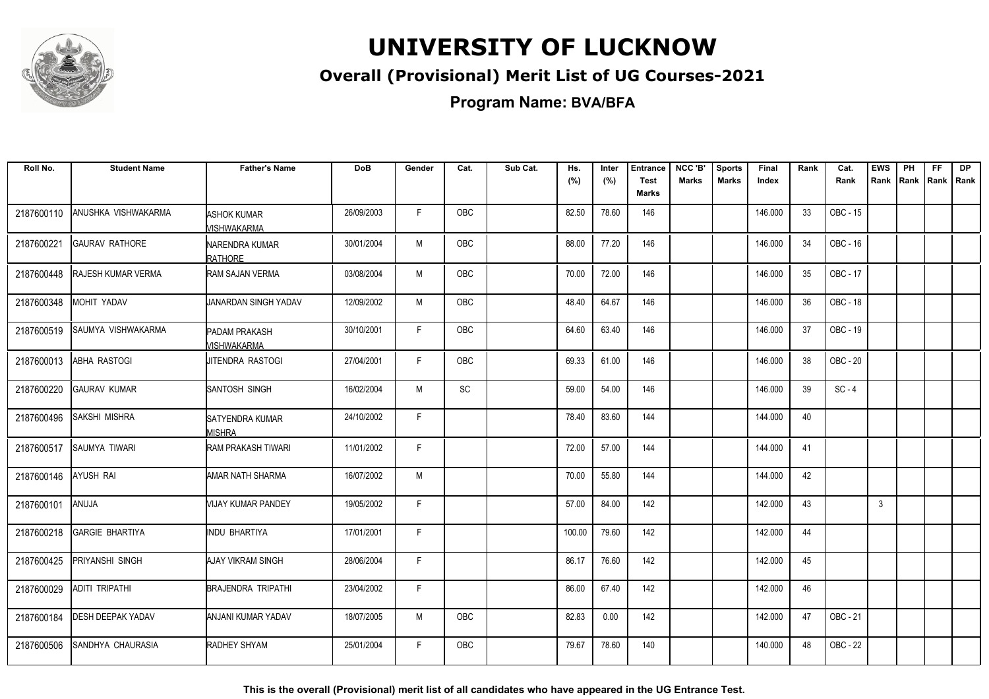

### **Overall (Provisional) Merit List of UG Courses-2021**

**Program Name: BVA/BFA**

| Roll No.   | <b>Student Name</b>       | <b>Father's Name</b>                | <b>DoB</b> | Gender | Cat.       | Sub Cat. | Hs.<br>(%) | Inter<br>(%) | <b>Entrance</b><br>Test<br>Marks | NCC 'B'<br><b>Marks</b> | <b>Sports</b><br><b>Marks</b> | Final<br>Index | Rank | Cat.<br>Rank | <b>EWS</b><br>Rank | PH<br>Rank | <b>FF</b><br>Rank   Rank | <b>DP</b> |
|------------|---------------------------|-------------------------------------|------------|--------|------------|----------|------------|--------------|----------------------------------|-------------------------|-------------------------------|----------------|------|--------------|--------------------|------------|--------------------------|-----------|
| 2187600110 | ANUSHKA VISHWAKARMA       | ASHOK KUMAR<br>VISHWAKARMA          | 26/09/2003 | F.     | OBC        |          | 82.50      | 78.60        | 146                              |                         |                               | 146.000        | 33   | OBC - 15     |                    |            |                          |           |
| 2187600221 | <b>GAURAV RATHORE</b>     | NARENDRA KUMAR<br>RATHORE           | 30/01/2004 | М      | OBC        |          | 88.00      | 77.20        | 146                              |                         |                               | 146.000        | 34   | OBC - 16     |                    |            |                          |           |
| 2187600448 | <b>RAJESH KUMAR VERMA</b> | RAM SAJAN VERMA                     | 03/08/2004 | M      | <b>OBC</b> |          | 70.00      | 72.00        | 146                              |                         |                               | 146.000        | 35   | OBC - 17     |                    |            |                          |           |
| 2187600348 | MOHIT YADAV               | <b>UANARDAN SINGH YADAV</b>         | 12/09/2002 | M      | <b>OBC</b> |          | 48.40      | 64.67        | 146                              |                         |                               | 146.000        | 36   | OBC - 18     |                    |            |                          |           |
| 2187600519 | SAUMYA VISHWAKARMA        | <b>PADAM PRAKASH</b><br>MISHWAKARMA | 30/10/2001 | F.     | <b>OBC</b> |          | 64.60      | 63.40        | 146                              |                         |                               | 146.000        | 37   | OBC - 19     |                    |            |                          |           |
| 2187600013 | <b>ABHA RASTOGI</b>       | JITENDRA RASTOGI                    | 27/04/2001 | F.     | OBC        |          | 69.33      | 61.00        | 146                              |                         |                               | 146.000        | 38   | OBC - 20     |                    |            |                          |           |
| 2187600220 | <b>GAURAV KUMAR</b>       | SANTOSH SINGH                       | 16/02/2004 | M      | SC         |          | 59.00      | 54.00        | 146                              |                         |                               | 146.000        | 39   | $SC - 4$     |                    |            |                          |           |
| 2187600496 | SAKSHI MISHRA             | SATYENDRA KUMAR<br><b>MISHRA</b>    | 24/10/2002 | F.     |            |          | 78.40      | 83.60        | 144                              |                         |                               | 144.000        | 40   |              |                    |            |                          |           |
| 2187600517 | SAUMYA TIWARI             | RAM PRAKASH TIWARI                  | 11/01/2002 | F      |            |          | 72.00      | 57.00        | 144                              |                         |                               | 144.000        | 41   |              |                    |            |                          |           |
| 2187600146 | <b>AYUSH RAI</b>          | AMAR NATH SHARMA                    | 16/07/2002 | M      |            |          | 70.00      | 55.80        | 144                              |                         |                               | 144.000        | 42   |              |                    |            |                          |           |
| 2187600101 | ANUJA                     | VIJAY KUMAR PANDEY                  | 19/05/2002 | F.     |            |          | 57.00      | 84.00        | 142                              |                         |                               | 142.000        | 43   |              | 3                  |            |                          |           |
| 2187600218 | <b>GARGIE BHARTIYA</b>    | INDU BHARTIYA                       | 17/01/2001 | F.     |            |          | 100.00     | 79.60        | 142                              |                         |                               | 142.000        | 44   |              |                    |            |                          |           |
| 2187600425 | PRIYANSHI SINGH           | <b>AJAY VIKRAM SINGH</b>            | 28/06/2004 | F.     |            |          | 86.17      | 76.60        | 142                              |                         |                               | 142.000        | 45   |              |                    |            |                          |           |
| 2187600029 | ADITI TRIPATHI            | <b>BRAJENDRA TRIPATHI</b>           | 23/04/2002 | F.     |            |          | 86.00      | 67.40        | 142                              |                         |                               | 142.000        | 46   |              |                    |            |                          |           |
| 2187600184 | <b>DESH DEEPAK YADAV</b>  | ANJANI KUMAR YADAV                  | 18/07/2005 | M      | OBC        |          | 82.83      | 0.00         | 142                              |                         |                               | 142.000        | 47   | OBC - 21     |                    |            |                          |           |
| 2187600506 | SANDHYA CHAURASIA         | RADHEY SHYAM                        | 25/01/2004 | F.     | OBC        |          | 79.67      | 78.60        | 140                              |                         |                               | 140.000        | 48   | OBC - 22     |                    |            |                          |           |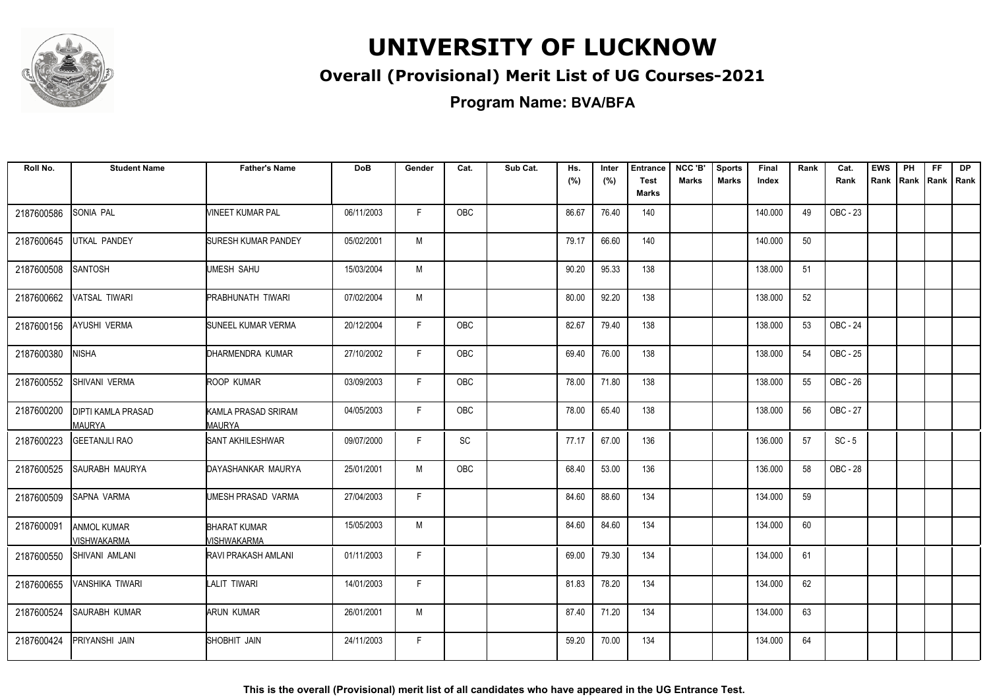

### **Overall (Provisional) Merit List of UG Courses-2021**

**Program Name: BVA/BFA**

| Roll No.   | <b>Student Name</b>                        | <b>Father's Name</b>               | <b>DoB</b> | Gender | Cat.       | Sub Cat. | Hs.<br>(%) | Inter<br>(%) | <b>Entrance</b><br><b>Test</b><br><b>Marks</b> | NCC 'B'<br><b>Marks</b> | <b>Sports</b><br><b>Marks</b> | Final<br>Index | Rank | Cat.<br>Rank | <b>EWS</b><br>Rank | PH<br>Rank | <b>FF</b><br>Rank   Rank | <b>DP</b> |
|------------|--------------------------------------------|------------------------------------|------------|--------|------------|----------|------------|--------------|------------------------------------------------|-------------------------|-------------------------------|----------------|------|--------------|--------------------|------------|--------------------------|-----------|
| 2187600586 | <b>SONIA PAL</b>                           | VINEET KUMAR PAL                   | 06/11/2003 | F.     | <b>OBC</b> |          | 86.67      | 76.40        | 140                                            |                         |                               | 140.000        | 49   | OBC - 23     |                    |            |                          |           |
| 2187600645 | UTKAL PANDEY                               | <b>SURESH KUMAR PANDEY</b>         | 05/02/2001 | M      |            |          | 79.17      | 66.60        | 140                                            |                         |                               | 140.000        | 50   |              |                    |            |                          |           |
| 2187600508 | SANTOSH                                    | UMESH SAHU                         | 15/03/2004 | M      |            |          | 90.20      | 95.33        | 138                                            |                         |                               | 138.000        | 51   |              |                    |            |                          |           |
| 2187600662 | <b>VATSAL TIWARI</b>                       | PRABHUNATH TIWARI                  | 07/02/2004 | М      |            |          | 80.00      | 92.20        | 138                                            |                         |                               | 138.000        | 52   |              |                    |            |                          |           |
| 2187600156 | <b>AYUSHI VERMA</b>                        | SUNEEL KUMAR VERMA                 | 20/12/2004 | F      | OBC        |          | 82.67      | 79.40        | 138                                            |                         |                               | 138.000        | 53   | OBC - 24     |                    |            |                          |           |
| 2187600380 | <b>NISHA</b>                               | DHARMENDRA KUMAR                   | 27/10/2002 | F.     | OBC        |          | 69.40      | 76.00        | 138                                            |                         |                               | 138.000        | 54   | OBC - 25     |                    |            |                          |           |
| 2187600552 | SHIVANI VERMA                              | ROOP KUMAR                         | 03/09/2003 | F      | OBC        |          | 78.00      | 71.80        | 138                                            |                         |                               | 138.000        | 55   | OBC - 26     |                    |            |                          |           |
| 2187600200 | <b>DIPTI KAMLA PRASAD</b><br><b>MAURYA</b> | KAMLA PRASAD SRIRAM<br>MAURYA      | 04/05/2003 | F.     | OBC        |          | 78.00      | 65.40        | 138                                            |                         |                               | 138.000        | 56   | OBC - 27     |                    |            |                          |           |
| 2187600223 | <b>GEETANJLI RAO</b>                       | <b>SANT AKHILESHWAR</b>            | 09/07/2000 | F      | SC         |          | 77.17      | 67.00        | 136                                            |                         |                               | 136.000        | 57   | $SC - 5$     |                    |            |                          |           |
| 2187600525 | SAURABH MAURYA                             | DAYASHANKAR MAURYA                 | 25/01/2001 | M      | OBC        |          | 68.40      | 53.00        | 136                                            |                         |                               | 136.000        | 58   | OBC - 28     |                    |            |                          |           |
| 2187600509 | <b>SAPNA VARMA</b>                         | UMESH PRASAD VARMA                 | 27/04/2003 | F      |            |          | 84.60      | 88.60        | 134                                            |                         |                               | 134.000        | 59   |              |                    |            |                          |           |
| 2187600091 | <b>ANMOL KUMAR</b><br><b>VISHWAKARMA</b>   | <b>BHARAT KUMAR</b><br>MISHWAKARMA | 15/05/2003 | M      |            |          | 84.60      | 84.60        | 134                                            |                         |                               | 134.000        | 60   |              |                    |            |                          |           |
| 2187600550 | SHIVANI AMLANI                             | RAVI PRAKASH AMLANI                | 01/11/2003 | F      |            |          | 69.00      | 79.30        | 134                                            |                         |                               | 134.000        | 61   |              |                    |            |                          |           |
| 2187600655 | <b>VANSHIKA TIWARI</b>                     | LALIT TIWARI                       | 14/01/2003 | F.     |            |          | 81.83      | 78.20        | 134                                            |                         |                               | 134.000        | 62   |              |                    |            |                          |           |
| 2187600524 | SAURABH KUMAR                              | ARUN KUMAR                         | 26/01/2001 | M      |            |          | 87.40      | 71.20        | 134                                            |                         |                               | 134.000        | 63   |              |                    |            |                          |           |
| 2187600424 | <b>PRIYANSHI JAIN</b>                      | SHOBHIT JAIN                       | 24/11/2003 | F      |            |          | 59.20      | 70.00        | 134                                            |                         |                               | 134.000        | 64   |              |                    |            |                          |           |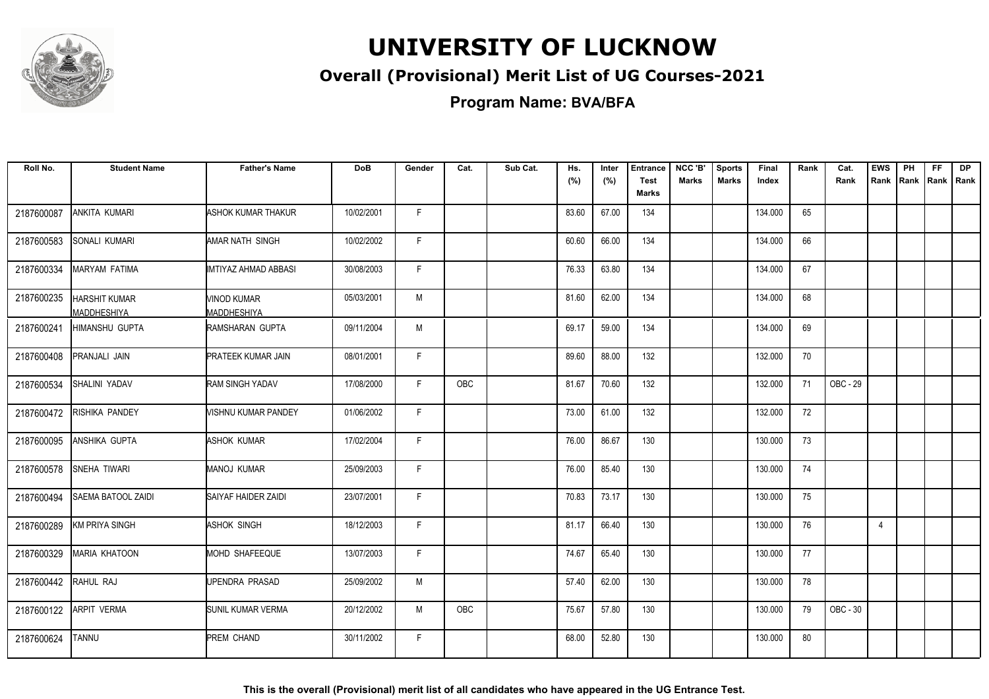

### **Overall (Provisional) Merit List of UG Courses-2021**

**Program Name: BVA/BFA**

| Roll No.   | <b>Student Name</b>                 | <b>Father's Name</b>                     | <b>DoB</b> | Gender       | Cat.       | Sub Cat. | Hs.<br>(%) | Inter<br>(%) | <b>Entrance</b><br><b>Test</b><br><b>Marks</b> | NCC 'B'<br><b>Marks</b> | <b>Sports</b><br><b>Marks</b> | Final<br>Index | Rank | Cat.<br>Rank | <b>EWS</b><br>Rank | PH<br>Rank | FF.<br> Rank   Rank | <b>DP</b> |
|------------|-------------------------------------|------------------------------------------|------------|--------------|------------|----------|------------|--------------|------------------------------------------------|-------------------------|-------------------------------|----------------|------|--------------|--------------------|------------|---------------------|-----------|
| 2187600087 | ANKITA KUMARI                       | ASHOK KUMAR THAKUR                       | 10/02/2001 | F.           |            |          | 83.60      | 67.00        | 134                                            |                         |                               | 134.000        | 65   |              |                    |            |                     |           |
| 2187600583 | SONALI KUMARI                       | AMAR NATH SINGH                          | 10/02/2002 | F            |            |          | 60.60      | 66.00        | 134                                            |                         |                               | 134.000        | 66   |              |                    |            |                     |           |
| 2187600334 | MARYAM FATIMA                       | IMTIYAZ AHMAD ABBASI                     | 30/08/2003 | F            |            |          | 76.33      | 63.80        | 134                                            |                         |                               | 134.000        | 67   |              |                    |            |                     |           |
| 2187600235 | <b>HARSHIT KUMAR</b><br>MADDHESHIYA | <b>VINOD KUMAR</b><br><b>MADDHESHIYA</b> | 05/03/2001 | M            |            |          | 81.60      | 62.00        | 134                                            |                         |                               | 134.000        | 68   |              |                    |            |                     |           |
| 2187600241 | <b>HIMANSHU GUPTA</b>               | <b>RAMSHARAN GUPTA</b>                   | 09/11/2004 | M            |            |          | 69.17      | 59.00        | 134                                            |                         |                               | 134.000        | 69   |              |                    |            |                     |           |
| 2187600408 | PRANJALI JAIN                       | <b>PRATEEK KUMAR JAIN</b>                | 08/01/2001 | F            |            |          | 89.60      | 88.00        | 132                                            |                         |                               | 132.000        | 70   |              |                    |            |                     |           |
| 2187600534 | SHALINI YADAV                       | <b>RAM SINGH YADAV</b>                   | 17/08/2000 | F            | <b>OBC</b> |          | 81.67      | 70.60        | 132                                            |                         |                               | 132.000        | 71   | OBC - 29     |                    |            |                     |           |
| 2187600472 | RISHIKA PANDEY                      | VISHNU KUMAR PANDEY                      | 01/06/2002 | F            |            |          | 73.00      | 61.00        | 132                                            |                         |                               | 132.000        | 72   |              |                    |            |                     |           |
| 2187600095 | ANSHIKA GUPTA                       | <b>ASHOK KUMAR</b>                       | 17/02/2004 | $\mathsf{F}$ |            |          | 76.00      | 86.67        | 130                                            |                         |                               | 130.000        | 73   |              |                    |            |                     |           |
| 2187600578 | SNEHA TIWARI                        | <b>MANOJ KUMAR</b>                       | 25/09/2003 | $\mathsf{F}$ |            |          | 76.00      | 85.40        | 130                                            |                         |                               | 130.000        | 74   |              |                    |            |                     |           |
| 2187600494 | SAEMA BATOOL ZAIDI                  | SAIYAF HAIDER ZAIDI                      | 23/07/2001 | F            |            |          | 70.83      | 73.17        | 130                                            |                         |                               | 130.000        | 75   |              |                    |            |                     |           |
| 2187600289 | <b>KM PRIYA SINGH</b>               | ASHOK SINGH                              | 18/12/2003 | F            |            |          | 81.17      | 66.40        | 130                                            |                         |                               | 130.000        | 76   |              | $\overline{4}$     |            |                     |           |
| 2187600329 | <b>MARIA KHATOON</b>                | MOHD SHAFEEQUE                           | 13/07/2003 | F            |            |          | 74.67      | 65.40        | 130                                            |                         |                               | 130.000        | 77   |              |                    |            |                     |           |
| 2187600442 | RAHUL RAJ                           | UPENDRA PRASAD                           | 25/09/2002 | M            |            |          | 57.40      | 62.00        | 130                                            |                         |                               | 130.000        | 78   |              |                    |            |                     |           |
| 2187600122 | <b>ARPIT VERMA</b>                  | SUNIL KUMAR VERMA                        | 20/12/2002 | М            | OBC        |          | 75.67      | 57.80        | 130                                            |                         |                               | 130.000        | 79   | OBC - 30     |                    |            |                     |           |
| 2187600624 | <b>TANNU</b>                        | PREM CHAND                               | 30/11/2002 | F.           |            |          | 68.00      | 52.80        | 130                                            |                         |                               | 130.000        | 80   |              |                    |            |                     |           |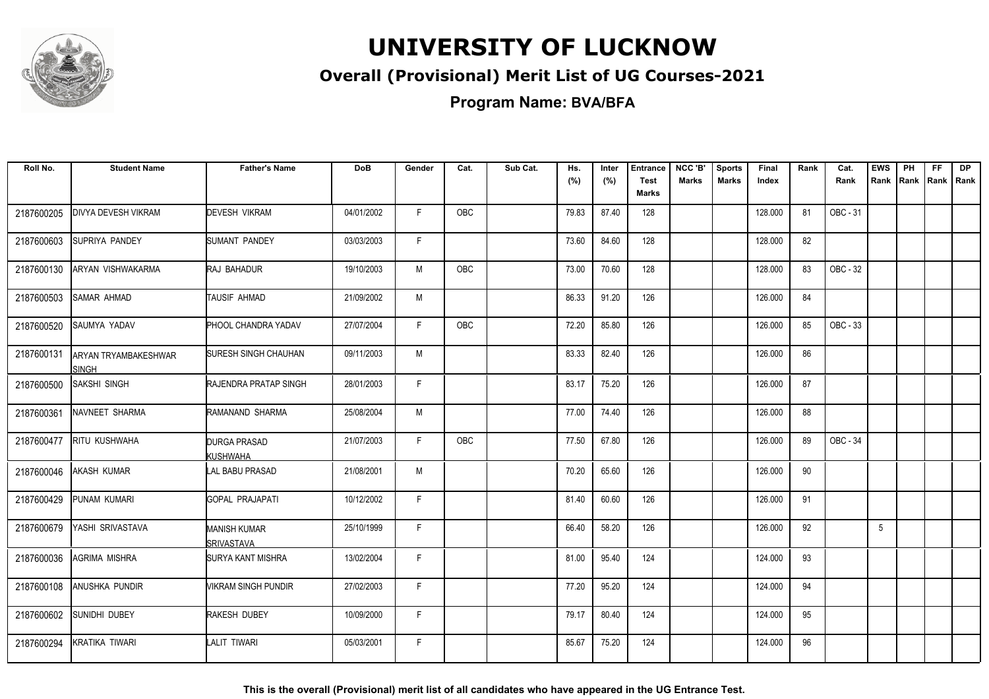

### **Overall (Provisional) Merit List of UG Courses-2021**

**Program Name: BVA/BFA**

| Roll No.   | <b>Student Name</b>                  | <b>Father's Name</b>              | <b>DoB</b> | Gender | Cat.       | Sub Cat. | Hs.<br>(%) | Inter<br>(%) | <b>Entrance</b><br><b>Test</b><br><b>Marks</b> | NCC 'B'<br><b>Marks</b> | <b>Sports</b><br><b>Marks</b> | Final<br>Index | Rank | Cat.<br>Rank | <b>EWS</b><br>Rank | PH<br>Rank | FF.<br> Rank   Rank | <b>DP</b> |
|------------|--------------------------------------|-----------------------------------|------------|--------|------------|----------|------------|--------------|------------------------------------------------|-------------------------|-------------------------------|----------------|------|--------------|--------------------|------------|---------------------|-----------|
| 2187600205 | <b>DIVYA DEVESH VIKRAM</b>           | <b>DEVESH VIKRAM</b>              | 04/01/2002 | F      | <b>OBC</b> |          | 79.83      | 87.40        | 128                                            |                         |                               | 128.000        | 81   | OBC - 31     |                    |            |                     |           |
| 2187600603 | SUPRIYA PANDEY                       | <b>SUMANT PANDEY</b>              | 03/03/2003 | F.     |            |          | 73.60      | 84.60        | 128                                            |                         |                               | 128.000        | 82   |              |                    |            |                     |           |
| 2187600130 | ARYAN VISHWAKARMA                    | RAJ BAHADUR                       | 19/10/2003 | M      | OBC        |          | 73.00      | 70.60        | 128                                            |                         |                               | 128.000        | 83   | OBC - 32     |                    |            |                     |           |
| 2187600503 | <b>SAMAR AHMAD</b>                   | TAUSIF AHMAD                      | 21/09/2002 | M      |            |          | 86.33      | 91.20        | 126                                            |                         |                               | 126.000        | 84   |              |                    |            |                     |           |
| 2187600520 | SAUMYA YADAV                         | PHOOL CHANDRA YADAV               | 27/07/2004 | F      | <b>OBC</b> |          | 72.20      | 85.80        | 126                                            |                         |                               | 126.000        | 85   | OBC - 33     |                    |            |                     |           |
| 2187600131 | ARYAN TRYAMBAKESHWAR<br><b>SINGH</b> | SURESH SINGH CHAUHAN              | 09/11/2003 | M      |            |          | 83.33      | 82.40        | 126                                            |                         |                               | 126.000        | 86   |              |                    |            |                     |           |
| 2187600500 | <b>SAKSHI SINGH</b>                  | <b>RAJENDRA PRATAP SINGH</b>      | 28/01/2003 | F      |            |          | 83.17      | 75.20        | 126                                            |                         |                               | 126.000        | 87   |              |                    |            |                     |           |
| 2187600361 | NAVNEET SHARMA                       | RAMANAND SHARMA                   | 25/08/2004 | M      |            |          | 77.00      | 74.40        | 126                                            |                         |                               | 126.000        | 88   |              |                    |            |                     |           |
| 2187600477 | <b>RITU KUSHWAHA</b>                 | DURGA PRASAD<br>KUSHWAHA          | 21/07/2003 | F      | <b>OBC</b> |          | 77.50      | 67.80        | 126                                            |                         |                               | 126.000        | 89   | OBC - 34     |                    |            |                     |           |
| 2187600046 | AKASH KUMAR                          | LAL BABU PRASAD                   | 21/08/2001 | M      |            |          | 70.20      | 65.60        | 126                                            |                         |                               | 126.000        | 90   |              |                    |            |                     |           |
| 2187600429 | PUNAM KUMARI                         | <b>GOPAL PRAJAPATI</b>            | 10/12/2002 | F.     |            |          | 81.40      | 60.60        | 126                                            |                         |                               | 126.000        | 91   |              |                    |            |                     |           |
| 2187600679 | YASHI SRIVASTAVA                     | <b>MANISH KUMAR</b><br>SRIVASTAVA | 25/10/1999 | F.     |            |          | 66.40      | 58.20        | 126                                            |                         |                               | 126.000        | 92   |              | 5                  |            |                     |           |
| 2187600036 | AGRIMA MISHRA                        | <b>SURYA KANT MISHRA</b>          | 13/02/2004 | F      |            |          | 81.00      | 95.40        | 124                                            |                         |                               | 124.000        | 93   |              |                    |            |                     |           |
| 2187600108 | ANUSHKA PUNDIR                       | VIKRAM SINGH PUNDIR               | 27/02/2003 | F.     |            |          | 77.20      | 95.20        | 124                                            |                         |                               | 124.000        | 94   |              |                    |            |                     |           |
| 2187600602 | SUNIDHI DUBEY                        | RAKESH DUBEY                      | 10/09/2000 | F.     |            |          | 79.17      | 80.40        | 124                                            |                         |                               | 124.000        | 95   |              |                    |            |                     |           |
| 2187600294 | <b>KRATIKA TIWARI</b>                | LALIT TIWARI                      | 05/03/2001 | F      |            |          | 85.67      | 75.20        | 124                                            |                         |                               | 124.000        | 96   |              |                    |            |                     |           |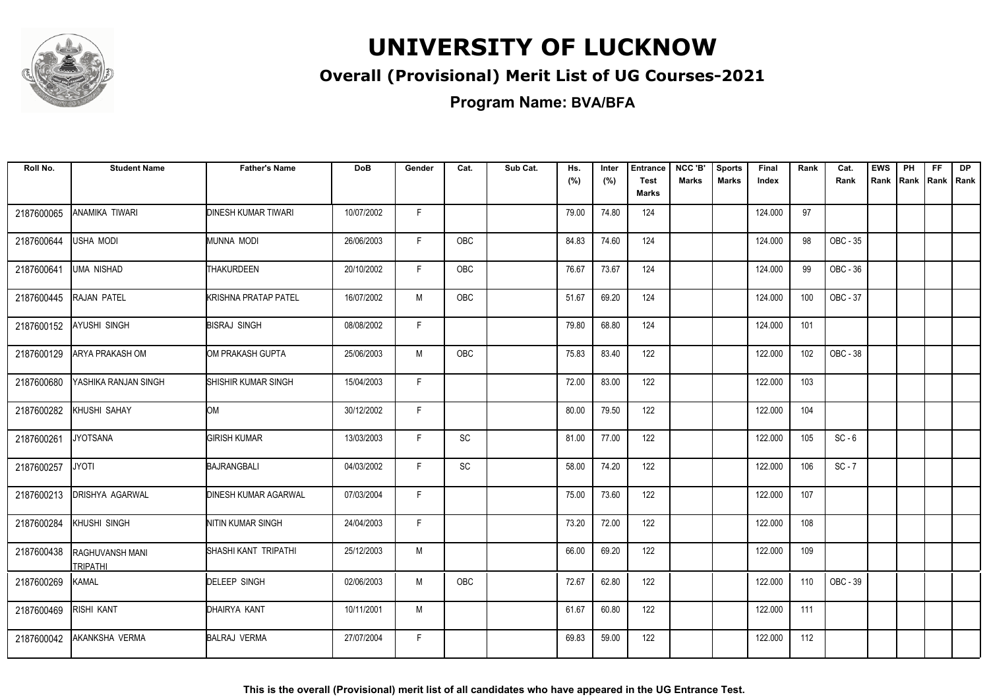

### **Overall (Provisional) Merit List of UG Courses-2021**

**Program Name: BVA/BFA**

| Roll No.   | <b>Student Name</b>                       | <b>Father's Name</b>        | <b>DoB</b> | Gender | Cat.          | Sub Cat. | Hs.<br>(%) | Inter<br>(%) | <b>Entrance</b><br><b>Test</b> | NCC 'B'<br>Marks | <b>Sports</b><br><b>Marks</b> | Final<br>Index | Rank | Cat.<br>Rank | <b>EWS</b><br>Rank | PH<br>Rank | <b>FF</b> | <b>DP</b><br>Rank   Rank |
|------------|-------------------------------------------|-----------------------------|------------|--------|---------------|----------|------------|--------------|--------------------------------|------------------|-------------------------------|----------------|------|--------------|--------------------|------------|-----------|--------------------------|
|            |                                           |                             |            |        |               |          |            |              | <b>Marks</b>                   |                  |                               |                |      |              |                    |            |           |                          |
| 2187600065 | ANAMIKA TIWARI                            | <b>DINESH KUMAR TIWARI</b>  | 10/07/2002 | F.     |               |          | 79.00      | 74.80        | 124                            |                  |                               | 124.000        | 97   |              |                    |            |           |                          |
| 2187600644 | <b>USHA MODI</b>                          | MUNNA MODI                  | 26/06/2003 | F.     | OBC           |          | 84.83      | 74.60        | 124                            |                  |                               | 124.000        | 98   | OBC - 35     |                    |            |           |                          |
| 2187600641 | <b>UMA NISHAD</b>                         | <b>THAKURDEEN</b>           | 20/10/2002 | F.     | <b>OBC</b>    |          | 76.67      | 73.67        | 124                            |                  |                               | 124.000        | 99   | OBC - 36     |                    |            |           |                          |
| 2187600445 | RAJAN PATEL                               | <b>KRISHNA PRATAP PATEL</b> | 16/07/2002 | M      | <b>OBC</b>    |          | 51.67      | 69.20        | 124                            |                  |                               | 124.000        | 100  | OBC - 37     |                    |            |           |                          |
| 2187600152 | <b>AYUSHI SINGH</b>                       | <b>BISRAJ SINGH</b>         | 08/08/2002 | F.     |               |          | 79.80      | 68.80        | 124                            |                  |                               | 124.000        | 101  |              |                    |            |           |                          |
| 2187600129 | <b>ARYA PRAKASH OM</b>                    | OM PRAKASH GUPTA            | 25/06/2003 | M      | OBC           |          | 75.83      | 83.40        | 122                            |                  |                               | 122.000        | 102  | OBC - 38     |                    |            |           |                          |
| 2187600680 | YASHIKA RANJAN SINGH                      | SHISHIR KUMAR SINGH         | 15/04/2003 | F      |               |          | 72.00      | 83.00        | 122                            |                  |                               | 122.000        | 103  |              |                    |            |           |                          |
| 2187600282 | KHUSHI SAHAY                              | lом                         | 30/12/2002 | F      |               |          | 80.00      | 79.50        | 122                            |                  |                               | 122.000        | 104  |              |                    |            |           |                          |
| 2187600261 | <b>JYOTSANA</b>                           | <b>GIRISH KUMAR</b>         | 13/03/2003 | F      | $\mathsf{SC}$ |          | 81.00      | 77.00        | 122                            |                  |                               | 122.000        | 105  | $SC - 6$     |                    |            |           |                          |
| 2187600257 | <b>JYOTI</b>                              | BAJRANGBALI                 | 04/03/2002 | E      | SC            |          | 58.00      | 74.20        | 122                            |                  |                               | 122.000        | 106  | $SC - 7$     |                    |            |           |                          |
| 2187600213 | <b>DRISHYA AGARWAL</b>                    | <b>DINESH KUMAR AGARWAL</b> | 07/03/2004 | F      |               |          | 75.00      | 73.60        | 122                            |                  |                               | 122.000        | 107  |              |                    |            |           |                          |
| 2187600284 | KHUSHI SINGH                              | NITIN KUMAR SINGH           | 24/04/2003 | F      |               |          | 73.20      | 72.00        | 122                            |                  |                               | 122.000        | 108  |              |                    |            |           |                          |
| 2187600438 | <b>RAGHUVANSH MANI</b><br><b>TRIPATHI</b> | SHASHI KANT TRIPATHI        | 25/12/2003 | M      |               |          | 66.00      | 69.20        | 122                            |                  |                               | 122.000        | 109  |              |                    |            |           |                          |
| 2187600269 | <b>KAMAL</b>                              | <b>DELEEP SINGH</b>         | 02/06/2003 | M      | OBC           |          | 72.67      | 62.80        | 122                            |                  |                               | 122.000        | 110  | OBC - 39     |                    |            |           |                          |
| 2187600469 | <b>RISHI KANT</b>                         | DHAIRYA KANT                | 10/11/2001 | M      |               |          | 61.67      | 60.80        | 122                            |                  |                               | 122.000        | 111  |              |                    |            |           |                          |
| 2187600042 | <b>AKANKSHA VERMA</b>                     | <b>BALRAJ VERMA</b>         | 27/07/2004 | F.     |               |          | 69.83      | 59.00        | 122                            |                  |                               | 122.000        | 112  |              |                    |            |           |                          |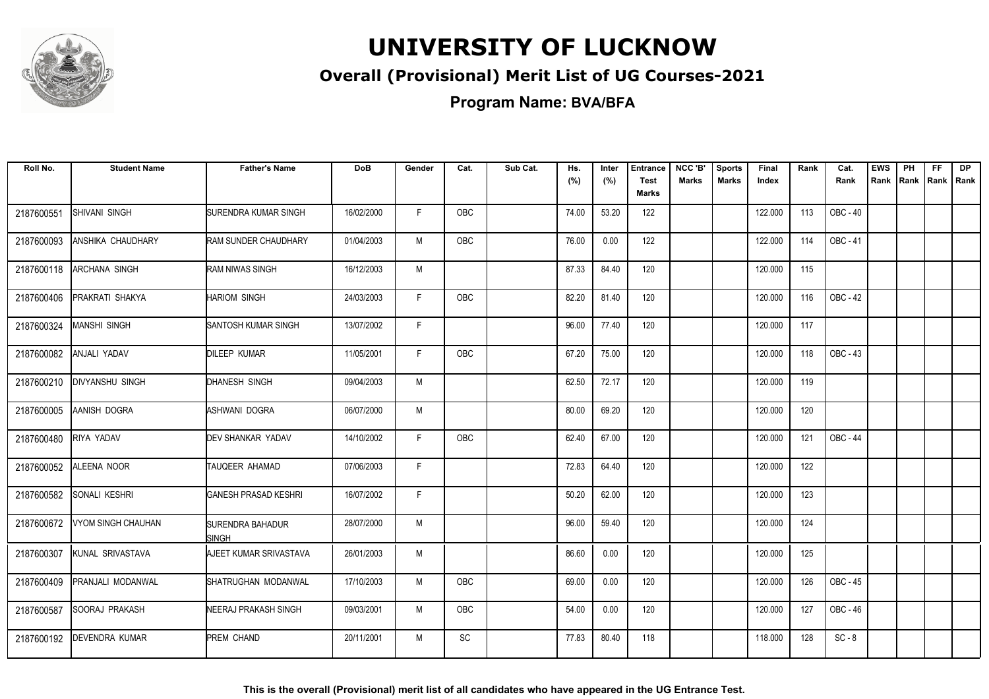

### **Overall (Provisional) Merit List of UG Courses-2021**

**Program Name: BVA/BFA**

| Roll No.   | <b>Student Name</b>    | <b>Father's Name</b>             | <b>DoB</b> | Gender | Cat.       | Sub Cat. | Hs.<br>(%) | Inter<br>(%) | <b>Entrance</b><br><b>Test</b><br><b>Marks</b> | NCC 'B'<br>Marks | <b>Sports</b><br><b>Marks</b> | Final<br>Index | Rank | Cat.<br>Rank    | <b>EWS</b><br>Rank | PH<br><b>Rank</b> | <b>FF</b> | <b>DP</b><br>Rank   Rank |
|------------|------------------------|----------------------------------|------------|--------|------------|----------|------------|--------------|------------------------------------------------|------------------|-------------------------------|----------------|------|-----------------|--------------------|-------------------|-----------|--------------------------|
|            |                        |                                  |            |        |            |          |            |              |                                                |                  |                               |                |      |                 |                    |                   |           |                          |
| 2187600551 | SHIVANI SINGH          | <b>SURENDRA KUMAR SINGH</b>      | 16/02/2000 | F      | OBC        |          | 74.00      | 53.20        | 122                                            |                  |                               | 122.000        | 113  | OBC - 40        |                    |                   |           |                          |
| 2187600093 | ANSHIKA CHAUDHARY      | <b>RAM SUNDER CHAUDHARY</b>      | 01/04/2003 | M      | OBC        |          | 76.00      | 0.00         | 122                                            |                  |                               | 122.000        | 114  | OBC - 41        |                    |                   |           |                          |
| 2187600118 | <b>ARCHANA SINGH</b>   | <b>RAM NIWAS SINGH</b>           | 16/12/2003 | M      |            |          | 87.33      | 84.40        | 120                                            |                  |                               | 120.000        | 115  |                 |                    |                   |           |                          |
| 2187600406 | <b>PRAKRATI SHAKYA</b> | <b>HARIOM SINGH</b>              | 24/03/2003 | E      | <b>OBC</b> |          | 82.20      | 81.40        | 120                                            |                  |                               | 120.000        | 116  | OBC - 42        |                    |                   |           |                          |
| 2187600324 | <b>MANSHI SINGH</b>    | SANTOSH KUMAR SINGH              | 13/07/2002 | F.     |            |          | 96.00      | 77.40        | 120                                            |                  |                               | 120.000        | 117  |                 |                    |                   |           |                          |
| 2187600082 | ANJALI YADAV           | <b>DILEEP KUMAR</b>              | 11/05/2001 | F.     | OBC        |          | 67.20      | 75.00        | 120                                            |                  |                               | 120.000        | 118  | OBC - 43        |                    |                   |           |                          |
| 2187600210 | <b>DIVYANSHU SINGH</b> | DHANESH SINGH                    | 09/04/2003 | M      |            |          | 62.50      | 72.17        | 120                                            |                  |                               | 120.000        | 119  |                 |                    |                   |           |                          |
| 2187600005 | AANISH DOGRA           | ASHWANI DOGRA                    | 06/07/2000 | M      |            |          | 80.00      | 69.20        | 120                                            |                  |                               | 120.000        | 120  |                 |                    |                   |           |                          |
| 2187600480 | RIYA YADAV             | DEV SHANKAR YADAV                | 14/10/2002 | F      | <b>OBC</b> |          | 62.40      | 67.00        | 120                                            |                  |                               | 120.000        | 121  | <b>OBC - 44</b> |                    |                   |           |                          |
| 2187600052 | ALEENA NOOR            | TAUQEER AHAMAD                   | 07/06/2003 | F      |            |          | 72.83      | 64.40        | 120                                            |                  |                               | 120.000        | 122  |                 |                    |                   |           |                          |
| 2187600582 | SONALI KESHRI          | <b>GANESH PRASAD KESHRI</b>      | 16/07/2002 | F      |            |          | 50.20      | 62.00        | 120                                            |                  |                               | 120.000        | 123  |                 |                    |                   |           |                          |
| 2187600672 | VYOM SINGH CHAUHAN     | SURENDRA BAHADUR<br><b>SINGH</b> | 28/07/2000 | M      |            |          | 96.00      | 59.40        | 120                                            |                  |                               | 120.000        | 124  |                 |                    |                   |           |                          |
| 2187600307 | KUNAL SRIVASTAVA       | AJEET KUMAR SRIVASTAVA           | 26/01/2003 | M      |            |          | 86.60      | 0.00         | 120                                            |                  |                               | 120.000        | 125  |                 |                    |                   |           |                          |
| 2187600409 | PRANJALI MODANWAL      | SHATRUGHAN MODANWAL              | 17/10/2003 | M      | OBC        |          | 69.00      | 0.00         | 120                                            |                  |                               | 120.000        | 126  | OBC - 45        |                    |                   |           |                          |
| 2187600587 | SOORAJ PRAKASH         | NEERAJ PRAKASH SINGH             | 09/03/2001 | M      | OBC        |          | 54.00      | 0.00         | 120                                            |                  |                               | 120.000        | 127  | OBC - 46        |                    |                   |           |                          |
| 2187600192 | <b>IDEVENDRA KUMAR</b> | PREM CHAND                       | 20/11/2001 | M      | SC         |          | 77.83      | 80.40        | 118                                            |                  |                               | 118.000        | 128  | $SC - 8$        |                    |                   |           |                          |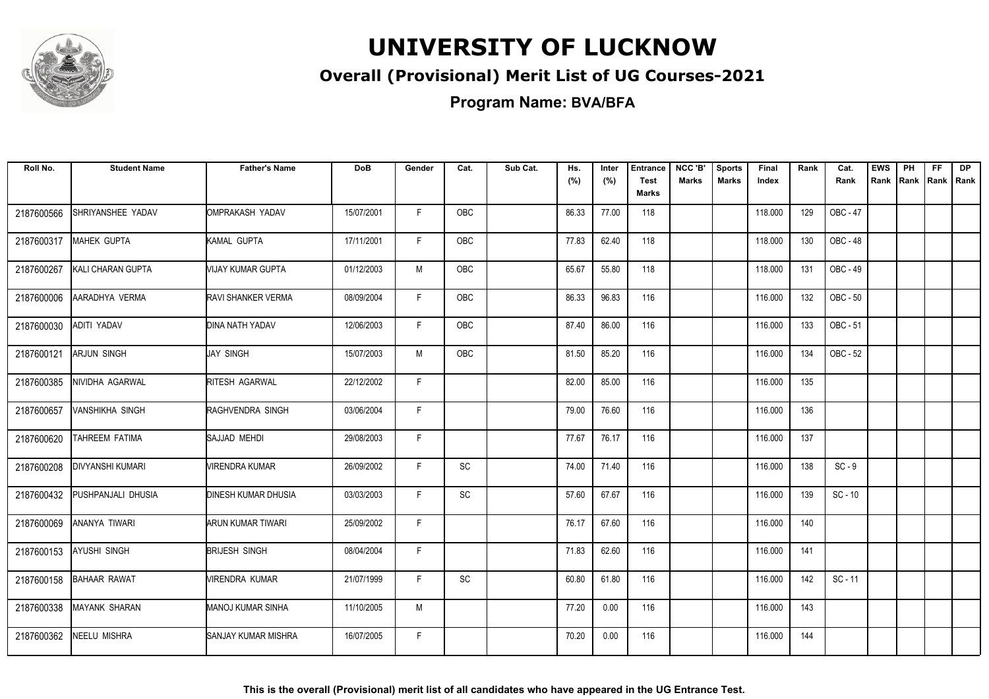

### **Overall (Provisional) Merit List of UG Courses-2021**

**Program Name: BVA/BFA**

| Roll No.   | <b>Student Name</b>      | <b>Father's Name</b>       | <b>DoB</b> | Gender | Cat.       | Sub Cat. | Hs.<br>(%) | Inter<br>(%) | <b>Entrance</b><br><b>Test</b><br><b>Marks</b> | NCC 'B'<br><b>Marks</b> | <b>Sports</b><br><b>Marks</b> | Final<br>Index | Rank | Cat.<br>Rank    | <b>EWS</b><br>Rank | PH<br>Rank | <b>FF</b><br>Rank   Rank | <b>DP</b> |
|------------|--------------------------|----------------------------|------------|--------|------------|----------|------------|--------------|------------------------------------------------|-------------------------|-------------------------------|----------------|------|-----------------|--------------------|------------|--------------------------|-----------|
| 2187600566 | SHRIYANSHEE YADAV        | OMPRAKASH YADAV            | 15/07/2001 | F      | <b>OBC</b> |          | 86.33      | 77.00        | 118                                            |                         |                               | 118.000        | 129  | <b>OBC - 47</b> |                    |            |                          |           |
| 2187600317 | <b>MAHEK GUPTA</b>       | KAMAL GUPTA                | 17/11/2001 | F      | OBC        |          | 77.83      | 62.40        | 118                                            |                         |                               | 118.000        | 130  | OBC - 48        |                    |            |                          |           |
| 2187600267 | <b>KALI CHARAN GUPTA</b> | MIJAY KUMAR GUPTA          | 01/12/2003 | M      | OBC        |          | 65.67      | 55.80        | 118                                            |                         |                               | 118.000        | 131  | OBC - 49        |                    |            |                          |           |
| 2187600006 | AARADHYA VERMA           | <b>RAVI SHANKER VERMA</b>  | 08/09/2004 | F.     | OBC        |          | 86.33      | 96.83        | 116                                            |                         |                               | 116.000        | 132  | OBC - 50        |                    |            |                          |           |
| 2187600030 | ADITI YADAV              | DINA NATH YADAV            | 12/06/2003 | F.     | <b>OBC</b> |          | 87.40      | 86.00        | 116                                            |                         |                               | 116.000        | 133  | OBC - 51        |                    |            |                          |           |
| 2187600121 | <b>ARJUN SINGH</b>       | JAY SINGH                  | 15/07/2003 | M      | OBC        |          | 81.50      | 85.20        | 116                                            |                         |                               | 116.000        | 134  | OBC - 52        |                    |            |                          |           |
| 2187600385 | NIVIDHA AGARWAL          | RITESH AGARWAL             | 22/12/2002 | F      |            |          | 82.00      | 85.00        | 116                                            |                         |                               | 116.000        | 135  |                 |                    |            |                          |           |
| 2187600657 | <b>VANSHIKHA SINGH</b>   | RAGHVENDRA SINGH           | 03/06/2004 | F.     |            |          | 79.00      | 76.60        | 116                                            |                         |                               | 116.000        | 136  |                 |                    |            |                          |           |
| 2187600620 | TAHREEM FATIMA           | SAJJAD MEHDI               | 29/08/2003 | F      |            |          | 77.67      | 76.17        | 116                                            |                         |                               | 116.000        | 137  |                 |                    |            |                          |           |
| 2187600208 | <b>DIVYANSHI KUMARI</b>  | VIRENDRA KUMAR             | 26/09/2002 | F      | SC         |          | 74.00      | 71.40        | 116                                            |                         |                               | 116.000        | 138  | $SC - 9$        |                    |            |                          |           |
| 2187600432 | PUSHPANJALI DHUSIA       | <b>DINESH KUMAR DHUSIA</b> | 03/03/2003 | E      | SC         |          | 57.60      | 67.67        | 116                                            |                         |                               | 116.000        | 139  | $SC - 10$       |                    |            |                          |           |
| 2187600069 | ANANYA TIWARI            | ARUN KUMAR TIWARI          | 25/09/2002 | F      |            |          | 76.17      | 67.60        | 116                                            |                         |                               | 116.000        | 140  |                 |                    |            |                          |           |
| 2187600153 | <b>AYUSHI SINGH</b>      | <b>BRIJESH SINGH</b>       | 08/04/2004 | F      |            |          | 71.83      | 62.60        | 116                                            |                         |                               | 116.000        | 141  |                 |                    |            |                          |           |
| 2187600158 | <b>BAHAAR RAWAT</b>      | MIRENDRA KUMAR             | 21/07/1999 | F.     | <b>SC</b>  |          | 60.80      | 61.80        | 116                                            |                         |                               | 116.000        | 142  | $SC - 11$       |                    |            |                          |           |
| 2187600338 | <b>MAYANK SHARAN</b>     | MANOJ KUMAR SINHA          | 11/10/2005 | M      |            |          | 77.20      | 0.00         | 116                                            |                         |                               | 116.000        | 143  |                 |                    |            |                          |           |
| 2187600362 | <b>NEELU MISHRA</b>      | SANJAY KUMAR MISHRA        | 16/07/2005 | F.     |            |          | 70.20      | 0.00         | 116                                            |                         |                               | 116.000        | 144  |                 |                    |            |                          |           |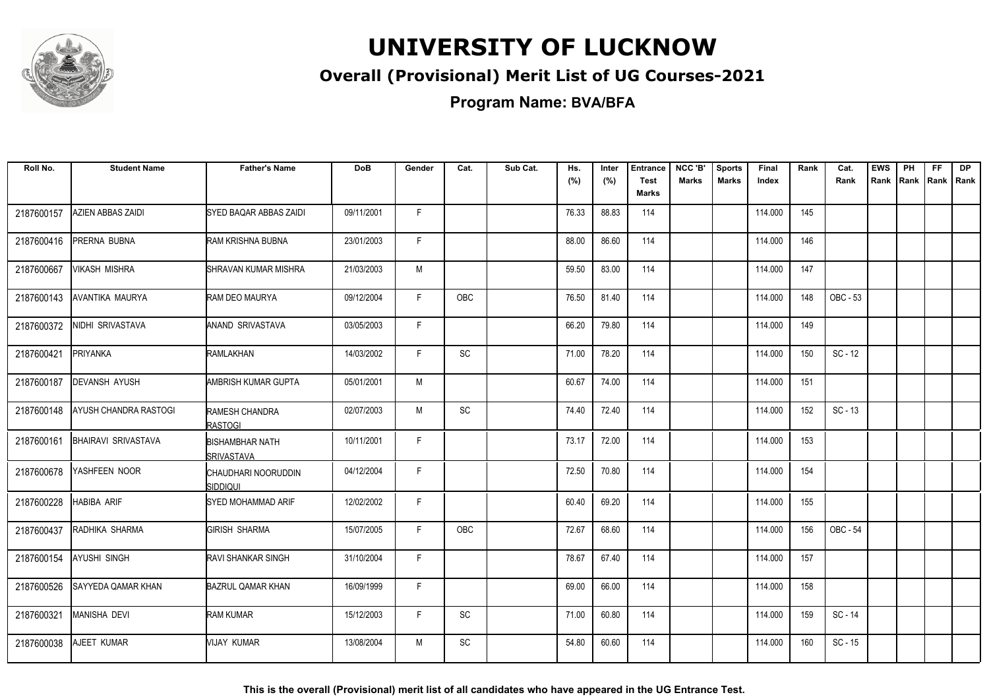

### **Overall (Provisional) Merit List of UG Courses-2021**

**Program Name: BVA/BFA**

| Roll No.   | <b>Student Name</b>        | <b>Father's Name</b>                        | <b>DoB</b> | Gender       | Cat.          | Sub Cat. | Hs.<br>(%) | Inter<br>(%) | <b>Entrance</b><br><b>Test</b><br>Marks | NCC 'B'<br><b>Marks</b> | <b>Sports</b><br><b>Marks</b> | <b>Final</b><br>Index | Rank | Cat.<br>Rank | <b>EWS</b><br>Rank | PH<br>Rank | FF.<br>Rank Rank | <b>DP</b> |
|------------|----------------------------|---------------------------------------------|------------|--------------|---------------|----------|------------|--------------|-----------------------------------------|-------------------------|-------------------------------|-----------------------|------|--------------|--------------------|------------|------------------|-----------|
| 2187600157 | AZIEN ABBAS ZAIDI          | SYED BAQAR ABBAS ZAIDI                      | 09/11/2001 | F            |               |          | 76.33      | 88.83        | 114                                     |                         |                               | 114.000               | 145  |              |                    |            |                  |           |
| 2187600416 | PRERNA BUBNA               | RAM KRISHNA BUBNA                           | 23/01/2003 | F            |               |          | 88.00      | 86.60        | 114                                     |                         |                               | 114.000               | 146  |              |                    |            |                  |           |
| 2187600667 | VIKASH MISHRA              | SHRAVAN KUMAR MISHRA                        | 21/03/2003 | M            |               |          | 59.50      | 83.00        | 114                                     |                         |                               | 114.000               | 147  |              |                    |            |                  |           |
| 2187600143 | AVANTIKA MAURYA            | RAM DEO MAURYA                              | 09/12/2004 | F            | OBC           |          | 76.50      | 81.40        | 114                                     |                         |                               | 114.000               | 148  | OBC - 53     |                    |            |                  |           |
| 2187600372 | NIDHI SRIVASTAVA           | ANAND SRIVASTAVA                            | 03/05/2003 | F            |               |          | 66.20      | 79.80        | 114                                     |                         |                               | 114.000               | 149  |              |                    |            |                  |           |
| 2187600421 | <b>PRIYANKA</b>            | RAMLAKHAN                                   | 14/03/2002 | F.           | $\mathsf{SC}$ |          | 71.00      | 78.20        | 114                                     |                         |                               | 114.000               | 150  | $SC - 12$    |                    |            |                  |           |
| 2187600187 | <b>DEVANSH AYUSH</b>       | AMBRISH KUMAR GUPTA                         | 05/01/2001 | M            |               |          | 60.67      | 74.00        | 114                                     |                         |                               | 114.000               | 151  |              |                    |            |                  |           |
| 2187600148 | AYUSH CHANDRA RASTOGI      | RAMESH CHANDRA<br><b>RASTOGI</b>            | 02/07/2003 | M            | <b>SC</b>     |          | 74.40      | 72.40        | 114                                     |                         |                               | 114.000               | 152  | $SC - 13$    |                    |            |                  |           |
| 2187600161 | <b>BHAIRAVI SRIVASTAVA</b> | <b>BISHAMBHAR NATH</b><br><b>SRIVASTAVA</b> | 10/11/2001 | F.           |               |          | 73.17      | 72.00        | 114                                     |                         |                               | 114.000               | 153  |              |                    |            |                  |           |
| 2187600678 | YASHFEEN NOOR              | CHAUDHARI NOORUDDIN<br>Siddiqui             | 04/12/2004 | $\mathsf{F}$ |               |          | 72.50      | 70.80        | 114                                     |                         |                               | 114.000               | 154  |              |                    |            |                  |           |
| 2187600228 | <b>HABIBA ARIF</b>         | SYED MOHAMMAD ARIF                          | 12/02/2002 | E            |               |          | 60.40      | 69.20        | 114                                     |                         |                               | 114.000               | 155  |              |                    |            |                  |           |
| 2187600437 | RADHIKA SHARMA             | <b>GIRISH SHARMA</b>                        | 15/07/2005 | F            | <b>OBC</b>    |          | 72.67      | 68.60        | 114                                     |                         |                               | 114.000               | 156  | OBC - 54     |                    |            |                  |           |
| 2187600154 | <b>AYUSHI SINGH</b>        | <b>RAVI SHANKAR SINGH</b>                   | 31/10/2004 | F            |               |          | 78.67      | 67.40        | 114                                     |                         |                               | 114.000               | 157  |              |                    |            |                  |           |
| 2187600526 | <b>SAYYEDA QAMAR KHAN</b>  | <b>BAZRUL QAMAR KHAN</b>                    | 16/09/1999 | F            |               |          | 69.00      | 66.00        | 114                                     |                         |                               | 114.000               | 158  |              |                    |            |                  |           |
| 2187600321 | MANISHA DEVI               | <b>RAM KUMAR</b>                            | 15/12/2003 | F.           | SC            |          | 71.00      | 60.80        | 114                                     |                         |                               | 114.000               | 159  | SC - 14      |                    |            |                  |           |
| 2187600038 | AJEET KUMAR                | VIJAY KUMAR                                 | 13/08/2004 | M            | SC            |          | 54.80      | 60.60        | 114                                     |                         |                               | 114.000               | 160  | $SC - 15$    |                    |            |                  |           |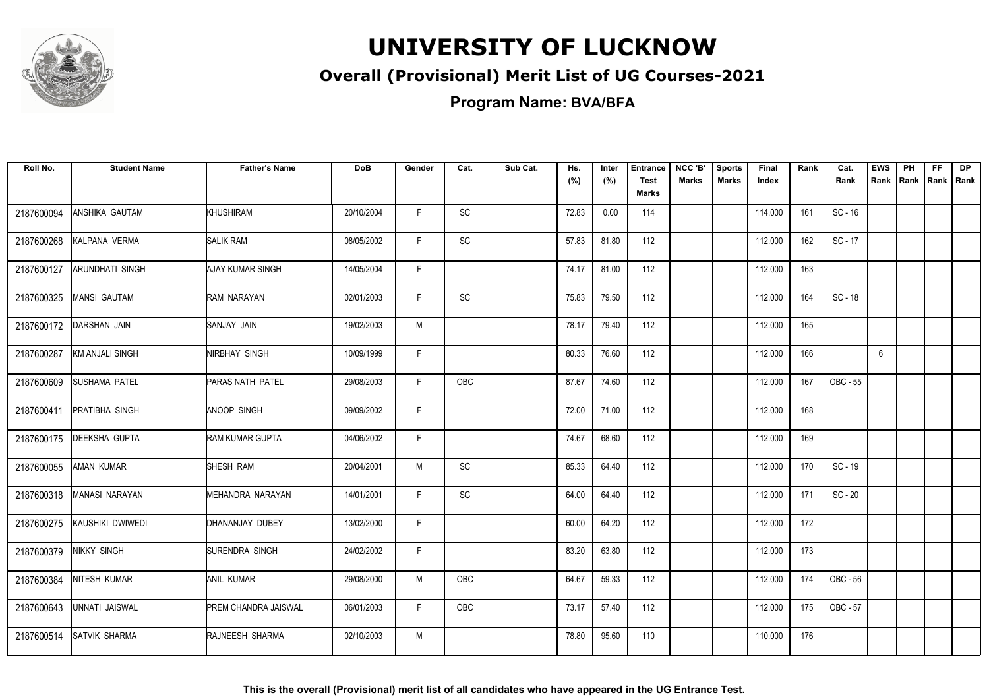

### **Overall (Provisional) Merit List of UG Courses-2021**

**Program Name: BVA/BFA**

| Roll No.   | <b>Student Name</b>    | <b>Father's Name</b>        | <b>DoB</b> | Gender | Cat.                         | Sub Cat. | Hs.<br>(%) | Inter<br>(%) | <b>Entrance</b><br><b>Test</b><br><b>Marks</b> | NCC 'B'<br><b>Marks</b> | <b>Sports</b><br><b>Marks</b> | Final<br>Index | Rank | Cat.<br>Rank | <b>EWS</b><br>Rank | PH<br>Rank | <b>FF</b> | <b>DP</b><br>Rank   Rank |
|------------|------------------------|-----------------------------|------------|--------|------------------------------|----------|------------|--------------|------------------------------------------------|-------------------------|-------------------------------|----------------|------|--------------|--------------------|------------|-----------|--------------------------|
| 2187600094 | ANSHIKA GAUTAM         | KHUSHIRAM                   | 20/10/2004 | F.     | SC                           |          | 72.83      | 0.00         | 114                                            |                         |                               | 114.000        | 161  | $SC - 16$    |                    |            |           |                          |
| 2187600268 | KALPANA VERMA          | <b>SALIK RAM</b>            | 08/05/2002 | F.     | SC                           |          | 57.83      | 81.80        | 112                                            |                         |                               | 112.000        | 162  | $SC - 17$    |                    |            |           |                          |
| 2187600127 | <b>ARUNDHATI SINGH</b> | <b>AJAY KUMAR SINGH</b>     | 14/05/2004 | F      |                              |          | 74.17      | 81.00        | 112                                            |                         |                               | 112.000        | 163  |              |                    |            |           |                          |
| 2187600325 | <b>MANSI GAUTAM</b>    | RAM NARAYAN                 | 02/01/2003 | F      | <b>SC</b>                    |          | 75.83      | 79.50        | 112                                            |                         |                               | 112.000        | 164  | SC-18        |                    |            |           |                          |
| 2187600172 | <b>DARSHAN JAIN</b>    | ISANJAY JAIN                | 19/02/2003 | M      |                              |          | 78.17      | 79.40        | 112                                            |                         |                               | 112.000        | 165  |              |                    |            |           |                          |
| 2187600287 | KM ANJALI SINGH        | NIRBHAY SINGH               | 10/09/1999 | F      |                              |          | 80.33      | 76.60        | 112                                            |                         |                               | 112.000        | 166  |              | 6                  |            |           |                          |
| 2187600609 | <b>SUSHAMA PATEL</b>   | PARAS NATH PATEL            | 29/08/2003 | F.     | OBC                          |          | 87.67      | 74.60        | 112                                            |                         |                               | 112.000        | 167  | OBC - 55     |                    |            |           |                          |
| 2187600411 | <b>PRATIBHA SINGH</b>  | ANOOP SINGH                 | 09/09/2002 | F.     |                              |          | 72.00      | 71.00        | 112                                            |                         |                               | 112.000        | 168  |              |                    |            |           |                          |
| 2187600175 | <b>DEEKSHA GUPTA</b>   | <b>RAM KUMAR GUPTA</b>      | 04/06/2002 | F.     |                              |          | 74.67      | 68.60        | 112                                            |                         |                               | 112.000        | 169  |              |                    |            |           |                          |
| 2187600055 | <b>AMAN KUMAR</b>      | SHESH RAM                   | 20/04/2001 | M      | $\operatorname{\textsf{SC}}$ |          | 85.33      | 64.40        | 112                                            |                         |                               | 112.000        | 170  | SC - 19      |                    |            |           |                          |
| 2187600318 | MANASI NARAYAN         | MEHANDRA NARAYAN            | 14/01/2001 | F.     | <b>SC</b>                    |          | 64.00      | 64.40        | 112                                            |                         |                               | 112.000        | 171  | $SC - 20$    |                    |            |           |                          |
| 2187600275 | KAUSHIKI DWIWEDI       | DHANANJAY DUBEY             | 13/02/2000 | F      |                              |          | 60.00      | 64.20        | 112                                            |                         |                               | 112.000        | 172  |              |                    |            |           |                          |
| 2187600379 | <b>NIKKY SINGH</b>     | SURENDRA SINGH              | 24/02/2002 | F      |                              |          | 83.20      | 63.80        | 112                                            |                         |                               | 112.000        | 173  |              |                    |            |           |                          |
| 2187600384 | <b>NITESH KUMAR</b>    | <b>ANIL KUMAR</b>           | 29/08/2000 | М      | OBC                          |          | 64.67      | 59.33        | 112                                            |                         |                               | 112.000        | 174  | OBC - 56     |                    |            |           |                          |
| 2187600643 | UNNATI JAISWAL         | <b>PREM CHANDRA JAISWAL</b> | 06/01/2003 | F.     | OBC                          |          | 73.17      | 57.40        | 112                                            |                         |                               | 112.000        | 175  | OBC - 57     |                    |            |           |                          |
| 2187600514 | <b>SATVIK SHARMA</b>   | RAJNEESH SHARMA             | 02/10/2003 | M      |                              |          | 78.80      | 95.60        | 110                                            |                         |                               | 110.000        | 176  |              |                    |            |           |                          |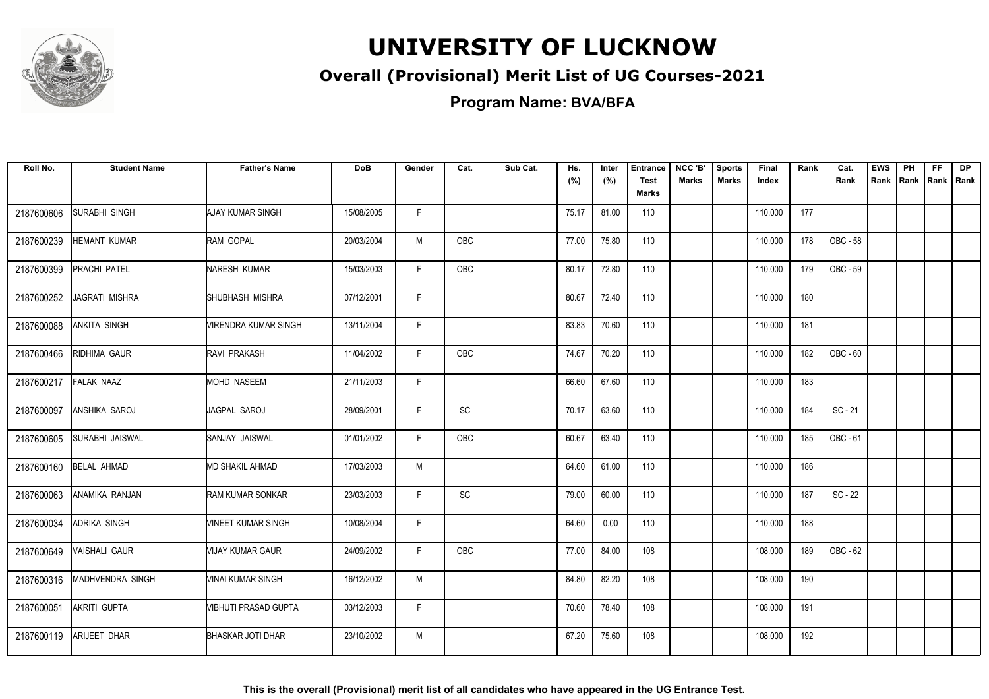

### **Overall (Provisional) Merit List of UG Courses-2021**

**Program Name: BVA/BFA**

| Roll No.   | <b>Student Name</b>     | <b>Father's Name</b>     | <b>DoB</b> | Gender | Cat.      | Sub Cat. | Hs.<br>(%) | Inter<br>(%) | <b>Entrance</b><br><b>Test</b><br><b>Marks</b> | NCC 'B'<br><b>Marks</b> | <b>Sports</b><br><b>Marks</b> | Final<br>Index | Rank | Cat.<br>Rank | <b>EWS</b><br>Rank | PH<br>Rank | FF.<br>Rank   Rank | <b>DP</b> |
|------------|-------------------------|--------------------------|------------|--------|-----------|----------|------------|--------------|------------------------------------------------|-------------------------|-------------------------------|----------------|------|--------------|--------------------|------------|--------------------|-----------|
| 2187600606 | SURABHI SINGH           | <b>AJAY KUMAR SINGH</b>  | 15/08/2005 | F      |           |          | 75.17      | 81.00        | 110                                            |                         |                               | 110.000        | 177  |              |                    |            |                    |           |
| 2187600239 | HEMANT KUMAR            | RAM GOPAL                | 20/03/2004 | М      | OBC       |          | 77.00      | 75.80        | 110                                            |                         |                               | 110.000        | 178  | OBC - 58     |                    |            |                    |           |
| 2187600399 | PRACHI PATEL            | NARESH KUMAR             | 15/03/2003 | F      | OBC       |          | 80.17      | 72.80        | 110                                            |                         |                               | 110.000        | 179  | OBC - 59     |                    |            |                    |           |
| 2187600252 | JAGRATI MISHRA          | SHUBHASH MISHRA          | 07/12/2001 | F      |           |          | 80.67      | 72.40        | 110                                            |                         |                               | 110.000        | 180  |              |                    |            |                    |           |
| 2187600088 | ANKITA SINGH            | VIRENDRA KUMAR SINGH     | 13/11/2004 | F      |           |          | 83.83      | 70.60        | 110                                            |                         |                               | 110.000        | 181  |              |                    |            |                    |           |
| 2187600466 | RIDHIMA GAUR            | <b>RAVI PRAKASH</b>      | 11/04/2002 | F.     | OBC       |          | 74.67      | 70.20        | 110                                            |                         |                               | 110.000        | 182  | OBC - 60     |                    |            |                    |           |
| 2187600217 | FALAK NAAZ              | <b>MOHD NASEEM</b>       | 21/11/2003 | F      |           |          | 66.60      | 67.60        | 110                                            |                         |                               | 110.000        | 183  |              |                    |            |                    |           |
| 2187600097 | ANSHIKA SAROJ           | JAGPAL SAROJ             | 28/09/2001 | F.     | SC        |          | 70.17      | 63.60        | 110                                            |                         |                               | 110.000        | 184  | $SC - 21$    |                    |            |                    |           |
| 2187600605 | <b>SURABHI JAISWAL</b>  | SANJAY JAISWAL           | 01/01/2002 | F      | OBC       |          | 60.67      | 63.40        | 110                                            |                         |                               | 110.000        | 185  | OBC - 61     |                    |            |                    |           |
| 2187600160 | <b>BELAL AHMAD</b>      | MD SHAKIL AHMAD          | 17/03/2003 | M      |           |          | 64.60      | 61.00        | 110                                            |                         |                               | 110.000        | 186  |              |                    |            |                    |           |
| 2187600063 | ANAMIKA RANJAN          | RAM KUMAR SONKAR         | 23/03/2003 | F      | <b>SC</b> |          | 79.00      | 60.00        | 110                                            |                         |                               | 110.000        | 187  | $SC - 22$    |                    |            |                    |           |
| 2187600034 | ADRIKA SINGH            | VINEET KUMAR SINGH       | 10/08/2004 | F      |           |          | 64.60      | 0.00         | 110                                            |                         |                               | 110.000        | 188  |              |                    |            |                    |           |
| 2187600649 | <b>VAISHALI GAUR</b>    | VIJAY KUMAR GAUR         | 24/09/2002 | F.     | OBC       |          | 77.00      | 84.00        | 108                                            |                         |                               | 108.000        | 189  | OBC - 62     |                    |            |                    |           |
| 2187600316 | <b>MADHVENDRA SINGH</b> | VINAI KUMAR SINGH        | 16/12/2002 | M      |           |          | 84.80      | 82.20        | 108                                            |                         |                               | 108.000        | 190  |              |                    |            |                    |           |
| 2187600051 | AKRITI GUPTA            | VIBHUTI PRASAD GUPTA     | 03/12/2003 | F      |           |          | 70.60      | 78.40        | 108                                            |                         |                               | 108.000        | 191  |              |                    |            |                    |           |
| 2187600119 | ARIJEET DHAR            | <b>BHASKAR JOTI DHAR</b> | 23/10/2002 | M      |           |          | 67.20      | 75.60        | 108                                            |                         |                               | 108.000        | 192  |              |                    |            |                    |           |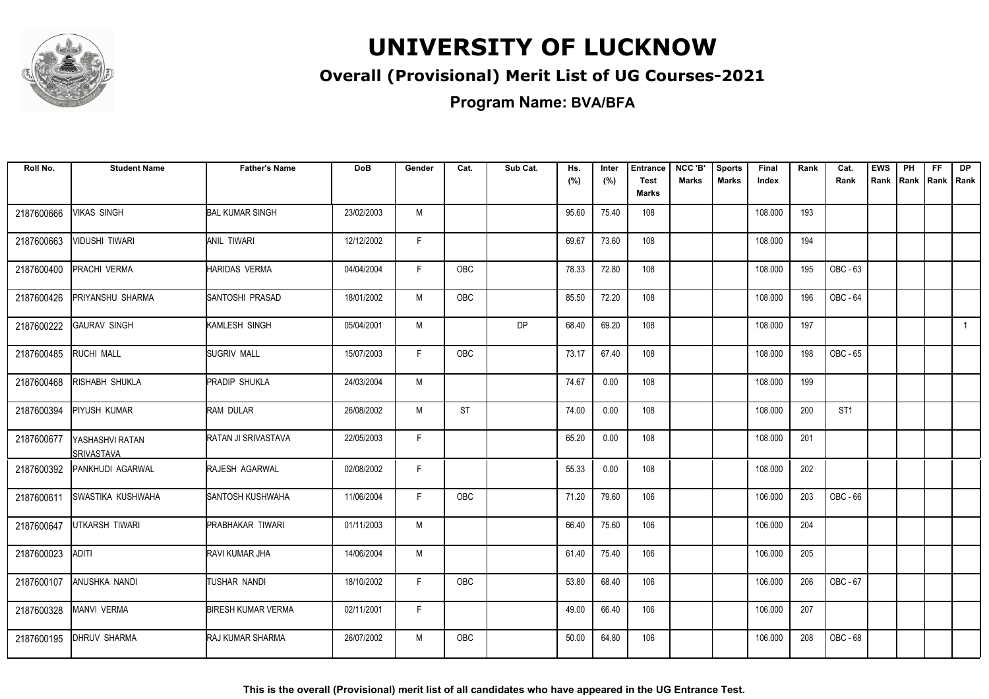

### **Overall (Provisional) Merit List of UG Courses-2021**

**Program Name: BVA/BFA**

| Roll No.   | <b>Student Name</b>                  | <b>Father's Name</b>      | <b>DoB</b> | Gender       | Cat.       | Sub Cat.  | Hs.<br>(%) | Inter<br>(%) | <b>Entrance</b><br><b>Test</b><br>Marks | NCC 'B'<br><b>Marks</b> | <b>Sports</b><br><b>Marks</b> | <b>Final</b><br>Index | Rank | Cat.<br>Rank    | <b>EWS</b><br>Rank | PH<br>Rank | FF.<br>Rank   Rank | <b>DP</b>      |
|------------|--------------------------------------|---------------------------|------------|--------------|------------|-----------|------------|--------------|-----------------------------------------|-------------------------|-------------------------------|-----------------------|------|-----------------|--------------------|------------|--------------------|----------------|
| 2187600666 | VIKAS SINGH                          | <b>BAL KUMAR SINGH</b>    | 23/02/2003 | M            |            |           | 95.60      | 75.40        | 108                                     |                         |                               | 108.000               | 193  |                 |                    |            |                    |                |
| 2187600663 | VIDUSHI TIWARI                       | ANIL TIWARI               | 12/12/2002 | F            |            |           | 69.67      | 73.60        | 108                                     |                         |                               | 108.000               | 194  |                 |                    |            |                    |                |
| 2187600400 | PRACHI VERMA                         | <b>HARIDAS VERMA</b>      | 04/04/2004 | $\mathsf{F}$ | <b>OBC</b> |           | 78.33      | 72.80        | 108                                     |                         |                               | 108.000               | 195  | OBC - 63        |                    |            |                    |                |
| 2187600426 | PRIYANSHU SHARMA                     | SANTOSHI PRASAD           | 18/01/2002 | M            | OBC        |           | 85.50      | 72.20        | 108                                     |                         |                               | 108.000               | 196  | OBC - 64        |                    |            |                    |                |
| 2187600222 | <b>GAURAV SINGH</b>                  | KAMLESH SINGH             | 05/04/2001 | M            |            | <b>DP</b> | 68.40      | 69.20        | 108                                     |                         |                               | 108.000               | 197  |                 |                    |            |                    | $\overline{1}$ |
| 2187600485 | RUCHI MALL                           | <b>SUGRIV MALL</b>        | 15/07/2003 | F            | <b>OBC</b> |           | 73.17      | 67.40        | 108                                     |                         |                               | 108.000               | 198  | OBC - 65        |                    |            |                    |                |
| 2187600468 | RISHABH SHUKLA                       | <b>PRADIP SHUKLA</b>      | 24/03/2004 | M            |            |           | 74.67      | 0.00         | 108                                     |                         |                               | 108.000               | 199  |                 |                    |            |                    |                |
| 2187600394 | <b>PIYUSH KUMAR</b>                  | <b>RAM DULAR</b>          | 26/08/2002 | M            | <b>ST</b>  |           | 74.00      | 0.00         | 108                                     |                         |                               | 108.000               | 200  | ST <sub>1</sub> |                    |            |                    |                |
| 2187600677 | YASHASHVI RATAN<br><b>SRIVASTAVA</b> | RATAN JI SRIVASTAVA       | 22/05/2003 | F.           |            |           | 65.20      | 0.00         | 108                                     |                         |                               | 108.000               | 201  |                 |                    |            |                    |                |
| 2187600392 | PANKHUDI AGARWAL                     | RAJESH AGARWAL            | 02/08/2002 | F            |            |           | 55.33      | 0.00         | 108                                     |                         |                               | 108.000               | 202  |                 |                    |            |                    |                |
| 2187600611 | <b>SWASTIKA KUSHWAHA</b>             | SANTOSH KUSHWAHA          | 11/06/2004 | F.           | <b>OBC</b> |           | 71.20      | 79.60        | 106                                     |                         |                               | 106.000               | 203  | OBC - 66        |                    |            |                    |                |
| 2187600647 | <b>UTKARSH TIWARI</b>                | <b>PRABHAKAR TIWARI</b>   | 01/11/2003 | M            |            |           | 66.40      | 75.60        | 106                                     |                         |                               | 106.000               | 204  |                 |                    |            |                    |                |
| 2187600023 | <b>ADITI</b>                         | RAVI KUMAR JHA            | 14/06/2004 | M            |            |           | 61.40      | 75.40        | 106                                     |                         |                               | 106.000               | 205  |                 |                    |            |                    |                |
| 2187600107 | ANUSHKA NANDI                        | TUSHAR NANDI              | 18/10/2002 | F            | OBC        |           | 53.80      | 68.40        | 106                                     |                         |                               | 106.000               | 206  | OBC - 67        |                    |            |                    |                |
| 2187600328 | MANVI VERMA                          | <b>BIRESH KUMAR VERMA</b> | 02/11/2001 | F.           |            |           | 49.00      | 66.40        | 106                                     |                         |                               | 106.000               | 207  |                 |                    |            |                    |                |
| 2187600195 | <b>DHRUV SHARMA</b>                  | <b>RAJ KUMAR SHARMA</b>   | 26/07/2002 | M            | OBC        |           | 50.00      | 64.80        | 106                                     |                         |                               | 106.000               | 208  | OBC - 68        |                    |            |                    |                |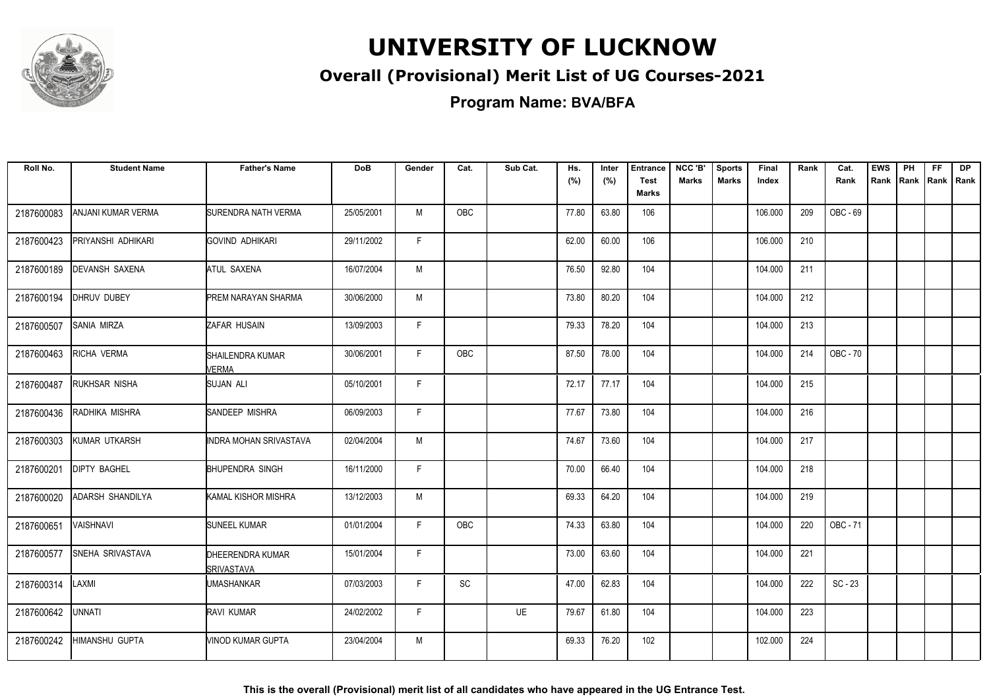

### **Overall (Provisional) Merit List of UG Courses-2021**

**Program Name: BVA/BFA**

| Roll No.   | <b>Student Name</b>     | <b>Father's Name</b>                  | <b>DoB</b> | Gender | Cat.       | Sub Cat. | Hs.<br>(%) | Inter<br>(%) | <b>Entrance</b><br><b>Test</b><br><b>Marks</b> | NCC 'B'<br><b>Marks</b> | <b>Sports</b><br><b>Marks</b> | Final<br>Index | Rank | Cat.<br>Rank | <b>EWS</b><br>Rank | PH<br>Rank | <b>FF</b> | <b>DP</b><br>Rank   Rank |
|------------|-------------------------|---------------------------------------|------------|--------|------------|----------|------------|--------------|------------------------------------------------|-------------------------|-------------------------------|----------------|------|--------------|--------------------|------------|-----------|--------------------------|
| 2187600083 | ANJANI KUMAR VERMA      | SURENDRA NATH VERMA                   | 25/05/2001 | M      | OBC        |          | 77.80      | 63.80        | 106                                            |                         |                               | 106.000        | 209  | OBC - 69     |                    |            |           |                          |
| 2187600423 | PRIYANSHI ADHIKARI      | GOVIND ADHIKARI                       | 29/11/2002 | F.     |            |          | 62.00      | 60.00        | 106                                            |                         |                               | 106.000        | 210  |              |                    |            |           |                          |
| 2187600189 | <b>DEVANSH SAXENA</b>   | ATUL SAXENA                           | 16/07/2004 | M      |            |          | 76.50      | 92.80        | 104                                            |                         |                               | 104.000        | 211  |              |                    |            |           |                          |
| 2187600194 | DHRUV DUBEY             | <b>PREM NARAYAN SHARMA</b>            | 30/06/2000 | M      |            |          | 73.80      | 80.20        | 104                                            |                         |                               | 104.000        | 212  |              |                    |            |           |                          |
| 2187600507 | <b>SANIA MIRZA</b>      | ZAFAR HUSAIN                          | 13/09/2003 | F      |            |          | 79.33      | 78.20        | 104                                            |                         |                               | 104.000        | 213  |              |                    |            |           |                          |
| 2187600463 | RICHA VERMA             | SHAILENDRA KUMAR<br><b>VERMA</b>      | 30/06/2001 | F.     | OBC        |          | 87.50      | 78.00        | 104                                            |                         |                               | 104.000        | 214  | OBC - 70     |                    |            |           |                          |
| 2187600487 | RUKHSAR NISHA           | SUJAN ALI                             | 05/10/2001 | F.     |            |          | 72.17      | 77.17        | 104                                            |                         |                               | 104.000        | 215  |              |                    |            |           |                          |
| 2187600436 | RADHIKA MISHRA          | SANDEEP MISHRA                        | 06/09/2003 | F      |            |          | 77.67      | 73.80        | 104                                            |                         |                               | 104.000        | 216  |              |                    |            |           |                          |
| 2187600303 | KUMAR UTKARSH           | INDRA MOHAN SRIVASTAVA                | 02/04/2004 | M      |            |          | 74.67      | 73.60        | 104                                            |                         |                               | 104.000        | 217  |              |                    |            |           |                          |
| 2187600201 | <b>DIPTY BAGHEL</b>     | BHUPENDRA SINGH                       | 16/11/2000 | F      |            |          | 70.00      | 66.40        | 104                                            |                         |                               | 104.000        | 218  |              |                    |            |           |                          |
| 2187600020 | <b>ADARSH SHANDILYA</b> | <b>I</b> KAMAL KISHOR MISHRA          | 13/12/2003 | M      |            |          | 69.33      | 64.20        | 104                                            |                         |                               | 104.000        | 219  |              |                    |            |           |                          |
| 2187600651 | <b>VAISHNAVI</b>        | <b>SUNEEL KUMAR</b>                   | 01/01/2004 | F.     | <b>OBC</b> |          | 74.33      | 63.80        | 104                                            |                         |                               | 104.000        | 220  | OBC - 71     |                    |            |           |                          |
| 2187600577 | SNEHA SRIVASTAVA        | DHEERENDRA KUMAR<br><b>SRIVASTAVA</b> | 15/01/2004 | F      |            |          | 73.00      | 63.60        | 104                                            |                         |                               | 104.000        | 221  |              |                    |            |           |                          |
| 2187600314 | LAXMI                   | <b>UMASHANKAR</b>                     | 07/03/2003 | F.     | SC         |          | 47.00      | 62.83        | 104                                            |                         |                               | 104.000        | 222  | $SC - 23$    |                    |            |           |                          |
| 2187600642 | UNNATI                  | RAVI KUMAR                            | 24/02/2002 | F.     |            | UE       | 79.67      | 61.80        | 104                                            |                         |                               | 104.000        | 223  |              |                    |            |           |                          |
| 2187600242 | <b>HIMANSHU GUPTA</b>   | MINOD KUMAR GUPTA                     | 23/04/2004 | M      |            |          | 69.33      | 76.20        | 102                                            |                         |                               | 102.000        | 224  |              |                    |            |           |                          |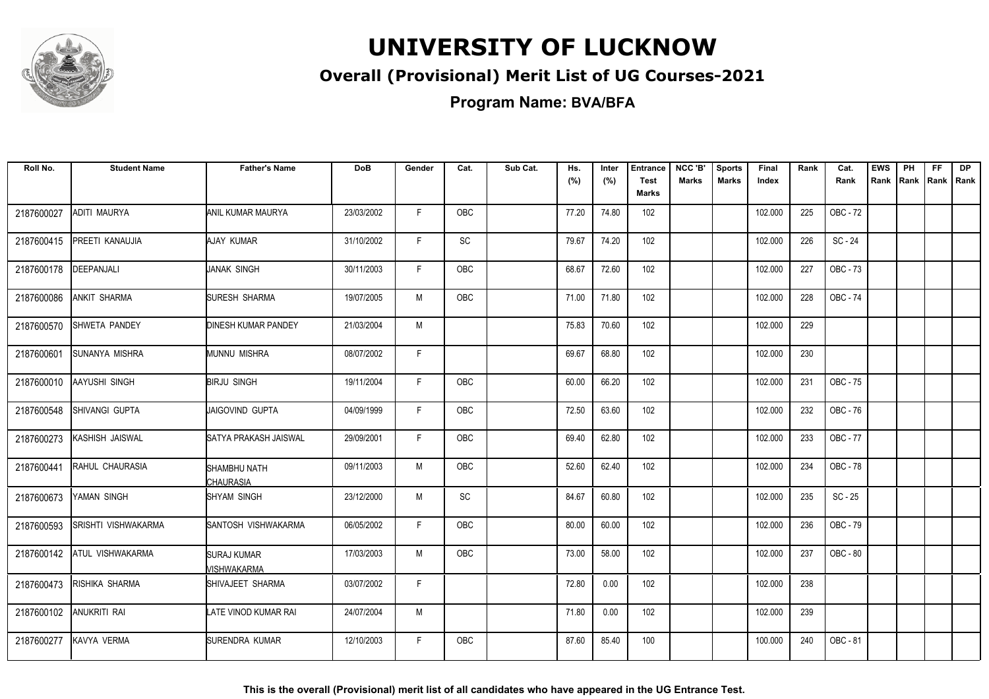

### **Overall (Provisional) Merit List of UG Courses-2021**

**Program Name: BVA/BFA**

| Roll No.   | <b>Student Name</b>   | <b>Father's Name</b>              | <b>DoB</b> | Gender | Cat.       | Sub Cat. | Hs.<br>(%) | Inter<br>(%) | <b>Entrance</b><br><b>Test</b><br><b>Marks</b> | NCC 'B'<br><b>Marks</b> | <b>Sports</b><br><b>Marks</b> | Final<br>Index | Rank | Cat.<br>Rank | <b>EWS</b><br>Rank | PH<br>Rank | <b>FF</b><br>Rank   Rank | <b>DP</b> |
|------------|-----------------------|-----------------------------------|------------|--------|------------|----------|------------|--------------|------------------------------------------------|-------------------------|-------------------------------|----------------|------|--------------|--------------------|------------|--------------------------|-----------|
| 2187600027 | <b>ADITI MAURYA</b>   | ANIL KUMAR MAURYA                 | 23/03/2002 | F.     | OBC        |          | 77.20      | 74.80        | 102                                            |                         |                               | 102.000        | 225  | OBC - 72     |                    |            |                          |           |
| 2187600415 | PREETI KANAUJIA       | AJAY KUMAR                        | 31/10/2002 | F.     | SC         |          | 79.67      | 74.20        | 102                                            |                         |                               | 102.000        | 226  | $SC - 24$    |                    |            |                          |           |
| 2187600178 | DEEPANJALI            | JANAK SINGH                       | 30/11/2003 | F      | OBC        |          | 68.67      | 72.60        | 102                                            |                         |                               | 102.000        | 227  | OBC - 73     |                    |            |                          |           |
| 2187600086 | <b>ANKIT SHARMA</b>   | SURESH SHARMA                     | 19/07/2005 | M      | <b>OBC</b> |          | 71.00      | 71.80        | 102                                            |                         |                               | 102.000        | 228  | OBC - 74     |                    |            |                          |           |
| 2187600570 | <b>ISHWETA PANDEY</b> | <b>DINESH KUMAR PANDEY</b>        | 21/03/2004 | M      |            |          | 75.83      | 70.60        | 102                                            |                         |                               | 102.000        | 229  |              |                    |            |                          |           |
| 2187600601 | SUNANYA MISHRA        | MUNNU MISHRA                      | 08/07/2002 | F.     |            |          | 69.67      | 68.80        | 102                                            |                         |                               | 102.000        | 230  |              |                    |            |                          |           |
| 2187600010 | AAYUSHI SINGH         | <b>BIRJU SINGH</b>                | 19/11/2004 | F      | <b>OBC</b> |          | 60.00      | 66.20        | 102                                            |                         |                               | 102.000        | 231  | OBC - 75     |                    |            |                          |           |
| 2187600548 | <b>SHIVANGI GUPTA</b> | IJAIGOVIND GUPTA                  | 04/09/1999 | F      | <b>OBC</b> |          | 72.50      | 63.60        | 102                                            |                         |                               | 102.000        | 232  | OBC - 76     |                    |            |                          |           |
| 2187600273 | KASHISH JAISWAL       | SATYA PRAKASH JAISWAL             | 29/09/2001 | F.     | <b>OBC</b> |          | 69.40      | 62.80        | 102                                            |                         |                               | 102.000        | 233  | OBC - 77     |                    |            |                          |           |
| 2187600441 | RAHUL CHAURASIA       | SHAMBHU NATH<br><b>CHAURASIA</b>  | 09/11/2003 | M      | OBC        |          | 52.60      | 62.40        | 102                                            |                         |                               | 102.000        | 234  | OBC - 78     |                    |            |                          |           |
| 2187600673 | YAMAN SINGH           | <b>SHYAM SINGH</b>                | 23/12/2000 | M      | <b>SC</b>  |          | 84.67      | 60.80        | 102                                            |                         |                               | 102.000        | 235  | $SC - 25$    |                    |            |                          |           |
| 2187600593 | SRISHTI VISHWAKARMA   | SANTOSH VISHWAKARMA               | 06/05/2002 | F.     | <b>OBC</b> |          | 80.00      | 60.00        | 102                                            |                         |                               | 102.000        | 236  | OBC - 79     |                    |            |                          |           |
| 2187600142 | IATUL VISHWAKARMA     | <b>SURAJ KUMAR</b><br>MISHWAKARMA | 17/03/2003 | M      | <b>OBC</b> |          | 73.00      | 58.00        | 102                                            |                         |                               | 102.000        | 237  | OBC - 80     |                    |            |                          |           |
| 2187600473 | RISHIKA SHARMA        | SHIVAJEET SHARMA                  | 03/07/2002 | F.     |            |          | 72.80      | 0.00         | 102                                            |                         |                               | 102.000        | 238  |              |                    |            |                          |           |
| 2187600102 | ANUKRITI RAI          | LATE VINOD KUMAR RAI              | 24/07/2004 | M      |            |          | 71.80      | 0.00         | 102                                            |                         |                               | 102.000        | 239  |              |                    |            |                          |           |
| 2187600277 | KAVYA VERMA           | SURENDRA KUMAR                    | 12/10/2003 | F.     | <b>OBC</b> |          | 87.60      | 85.40        | 100                                            |                         |                               | 100.000        | 240  | OBC - 81     |                    |            |                          |           |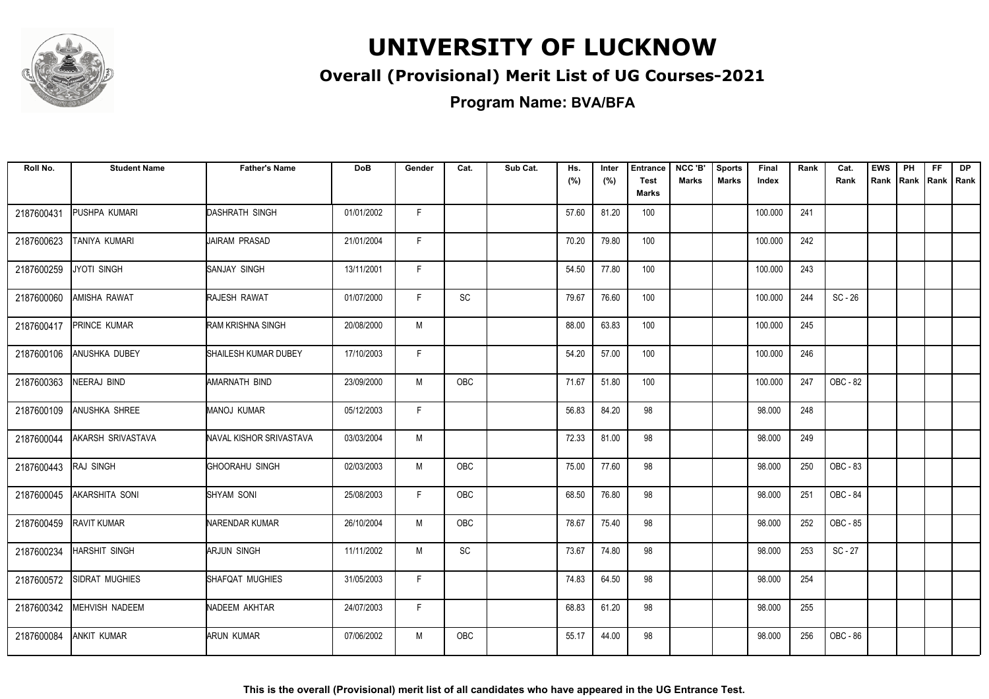

### **Overall (Provisional) Merit List of UG Courses-2021**

**Program Name: BVA/BFA**

| Roll No.   | <b>Student Name</b>  | <b>Father's Name</b>    | <b>DoB</b> | Gender | Cat.       | Sub Cat. | Hs.<br>(%) | Inter<br>(%) | Entrance<br><b>Test</b><br><b>Marks</b> | NCC 'B'<br><b>Marks</b> | <b>Sports</b><br><b>Marks</b> | <b>Final</b><br>Index | Rank | Cat.<br>Rank | <b>EWS</b><br>Rank | PH<br>Rank | FF.<br>Rank   Rank | <b>DP</b> |
|------------|----------------------|-------------------------|------------|--------|------------|----------|------------|--------------|-----------------------------------------|-------------------------|-------------------------------|-----------------------|------|--------------|--------------------|------------|--------------------|-----------|
| 2187600431 | PUSHPA KUMARI        | DASHRATH SINGH          | 01/01/2002 | F.     |            |          | 57.60      | 81.20        | 100                                     |                         |                               | 100.000               | 241  |              |                    |            |                    |           |
| 2187600623 | TANIYA KUMARI        | JAIRAM PRASAD           | 21/01/2004 | F.     |            |          | 70.20      | 79.80        | 100                                     |                         |                               | 100.000               | 242  |              |                    |            |                    |           |
| 2187600259 | JYOTI SINGH          | SANJAY SINGH            | 13/11/2001 | F      |            |          | 54.50      | 77.80        | 100                                     |                         |                               | 100.000               | 243  |              |                    |            |                    |           |
| 2187600060 | AMISHA RAWAT         | <b>RAJESH RAWAT</b>     | 01/07/2000 | F      | <b>SC</b>  |          | 79.67      | 76.60        | 100                                     |                         |                               | 100.000               | 244  | $SC - 26$    |                    |            |                    |           |
| 2187600417 | PRINCE KUMAR         | RAM KRISHNA SINGH       | 20/08/2000 | M      |            |          | 88.00      | 63.83        | 100                                     |                         |                               | 100.000               | 245  |              |                    |            |                    |           |
| 2187600106 | ANUSHKA DUBEY        | SHAILESH KUMAR DUBEY    | 17/10/2003 | F      |            |          | 54.20      | 57.00        | 100                                     |                         |                               | 100.000               | 246  |              |                    |            |                    |           |
| 2187600363 | NEERAJ BIND          | <b>AMARNATH BIND</b>    | 23/09/2000 | M      | <b>OBC</b> |          | 71.67      | 51.80        | 100                                     |                         |                               | 100.000               | 247  | OBC - 82     |                    |            |                    |           |
| 2187600109 | ANUSHKA SHREE        | <b>MANOJ KUMAR</b>      | 05/12/2003 | F.     |            |          | 56.83      | 84.20        | 98                                      |                         |                               | 98.000                | 248  |              |                    |            |                    |           |
| 2187600044 | AKARSH SRIVASTAVA    | NAVAL KISHOR SRIVASTAVA | 03/03/2004 | M      |            |          | 72.33      | 81.00        | 98                                      |                         |                               | 98.000                | 249  |              |                    |            |                    |           |
| 2187600443 | <b>RAJ SINGH</b>     | GHOORAHU SINGH          | 02/03/2003 | M      | <b>OBC</b> |          | 75.00      | 77.60        | 98                                      |                         |                               | 98.000                | 250  | OBC - 83     |                    |            |                    |           |
| 2187600045 | AKARSHITA SONI       | <b>SHYAM SONI</b>       | 25/08/2003 | F      | <b>OBC</b> |          | 68.50      | 76.80        | 98                                      |                         |                               | 98.000                | 251  | OBC - 84     |                    |            |                    |           |
| 2187600459 | RAVIT KUMAR          | <b>NARENDAR KUMAR</b>   | 26/10/2004 | M      | <b>OBC</b> |          | 78.67      | 75.40        | 98                                      |                         |                               | 98.000                | 252  | OBC - 85     |                    |            |                    |           |
| 2187600234 | <b>HARSHIT SINGH</b> | <b>ARJUN SINGH</b>      | 11/11/2002 | M      | <b>SC</b>  |          | 73.67      | 74.80        | 98                                      |                         |                               | 98.000                | 253  | $SC - 27$    |                    |            |                    |           |
| 2187600572 | SIDRAT MUGHIES       | SHAFQAT MUGHIES         | 31/05/2003 | F      |            |          | 74.83      | 64.50        | 98                                      |                         |                               | 98.000                | 254  |              |                    |            |                    |           |
| 2187600342 | MEHVISH NADEEM       | NADEEM AKHTAR           | 24/07/2003 | F.     |            |          | 68.83      | 61.20        | 98                                      |                         |                               | 98.000                | 255  |              |                    |            |                    |           |
| 2187600084 | <b>ANKIT KUMAR</b>   | ARUN KUMAR              | 07/06/2002 | M      | OBC        |          | 55.17      | 44.00        | 98                                      |                         |                               | 98.000                | 256  | OBC - 86     |                    |            |                    |           |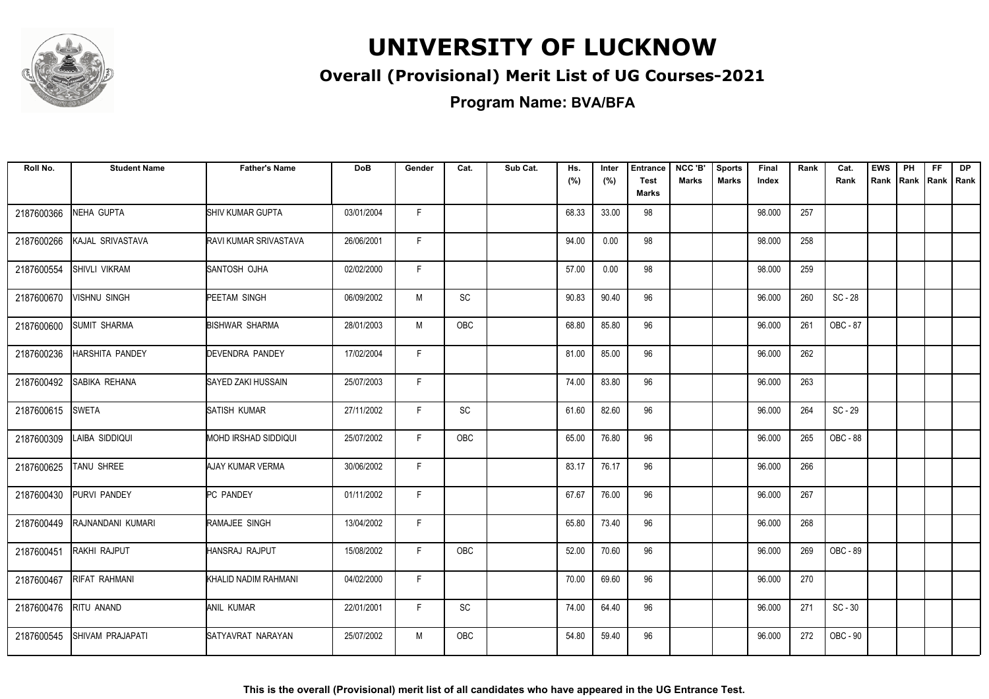

### **Overall (Provisional) Merit List of UG Courses-2021**

**Program Name: BVA/BFA**

| Roll No.   | <b>Student Name</b>  | <b>Father's Name</b>  | <b>DoB</b> | Gender | Cat.       | Sub Cat. | Hs.<br>(%) | Inter<br>(%) | <b>Entrance</b><br><b>Test</b><br><b>Marks</b> | NCC 'B'<br><b>Marks</b> | <b>Sports</b><br><b>Marks</b> | Final<br>Index | Rank | Cat.<br>Rank | <b>EWS</b><br>Rank | PH<br>Rank | <b>FF</b><br>Rank   Rank | <b>DP</b> |
|------------|----------------------|-----------------------|------------|--------|------------|----------|------------|--------------|------------------------------------------------|-------------------------|-------------------------------|----------------|------|--------------|--------------------|------------|--------------------------|-----------|
| 2187600366 | NEHA GUPTA           | SHIV KUMAR GUPTA      | 03/01/2004 | F.     |            |          | 68.33      | 33.00        | 98                                             |                         |                               | 98.000         | 257  |              |                    |            |                          |           |
| 2187600266 | KAJAL SRIVASTAVA     | RAVI KUMAR SRIVASTAVA | 26/06/2001 | F.     |            |          | 94.00      | 0.00         | 98                                             |                         |                               | 98.000         | 258  |              |                    |            |                          |           |
| 2187600554 | <b>SHIVLI VIKRAM</b> | SANTOSH OJHA          | 02/02/2000 | F      |            |          | 57.00      | 0.00         | 98                                             |                         |                               | 98.000         | 259  |              |                    |            |                          |           |
| 2187600670 | VISHNU SINGH         | PEETAM SINGH          | 06/09/2002 | M      | <b>SC</b>  |          | 90.83      | 90.40        | 96                                             |                         |                               | 96.000         | 260  | $SC - 28$    |                    |            |                          |           |
| 2187600600 | <b>SUMIT SHARMA</b>  | <b>BISHWAR SHARMA</b> | 28/01/2003 | M      | OBC        |          | 68.80      | 85.80        | 96                                             |                         |                               | 96.000         | 261  | OBC - 87     |                    |            |                          |           |
| 2187600236 | HARSHITA PANDEY      | DEVENDRA PANDEY       | 17/02/2004 | F      |            |          | 81.00      | 85.00        | 96                                             |                         |                               | 96.000         | 262  |              |                    |            |                          |           |
| 2187600492 | SABIKA REHANA        | SAYED ZAKI HUSSAIN    | 25/07/2003 | F      |            |          | 74.00      | 83.80        | 96                                             |                         |                               | 96.000         | 263  |              |                    |            |                          |           |
| 2187600615 | <b>SWETA</b>         | SATISH KUMAR          | 27/11/2002 | F.     | SC         |          | 61.60      | 82.60        | 96                                             |                         |                               | 96.000         | 264  | $SC - 29$    |                    |            |                          |           |
| 2187600309 | LAIBA SIDDIQUI       | MOHD IRSHAD SIDDIQUI  | 25/07/2002 | F      | OBC        |          | 65.00      | 76.80        | 96                                             |                         |                               | 96.000         | 265  | OBC - 88     |                    |            |                          |           |
| 2187600625 | TANU SHREE           | AJAY KUMAR VERMA      | 30/06/2002 | F      |            |          | 83.17      | 76.17        | 96                                             |                         |                               | 96.000         | 266  |              |                    |            |                          |           |
| 2187600430 | PURVI PANDEY         | <b>PC PANDEY</b>      | 01/11/2002 | F      |            |          | 67.67      | 76.00        | 96                                             |                         |                               | 96.000         | 267  |              |                    |            |                          |           |
| 2187600449 | RAJNANDANI KUMARI    | RAMAJEE SINGH         | 13/04/2002 | F      |            |          | 65.80      | 73.40        | 96                                             |                         |                               | 96.000         | 268  |              |                    |            |                          |           |
| 2187600451 | <b>RAKHI RAJPUT</b>  | HANSRAJ RAJPUT        | 15/08/2002 | F.     | <b>OBC</b> |          | 52.00      | 70.60        | 96                                             |                         |                               | 96.000         | 269  | OBC - 89     |                    |            |                          |           |
| 2187600467 | <b>RIFAT RAHMANI</b> | KHALID NADIM RAHMANI  | 04/02/2000 | F.     |            |          | 70.00      | 69.60        | 96                                             |                         |                               | 96.000         | 270  |              |                    |            |                          |           |
| 2187600476 | RITU ANAND           | ANIL KUMAR            | 22/01/2001 | F.     | SC         |          | 74.00      | 64.40        | 96                                             |                         |                               | 96.000         | 271  | $SC - 30$    |                    |            |                          |           |
| 2187600545 | SHIVAM PRAJAPATI     | SATYAVRAT NARAYAN     | 25/07/2002 | M      | OBC        |          | 54.80      | 59.40        | 96                                             |                         |                               | 96.000         | 272  | OBC - 90     |                    |            |                          |           |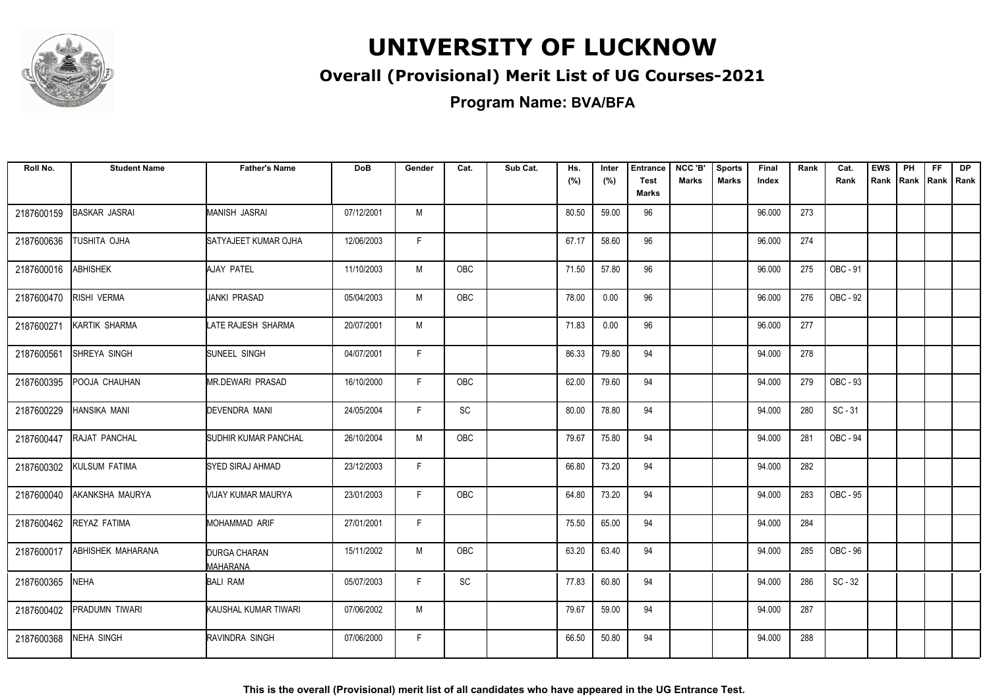

### **Overall (Provisional) Merit List of UG Courses-2021**

**Program Name: BVA/BFA**

| Roll No.   | <b>Student Name</b>      | <b>Father's Name</b>            | <b>DoB</b> | Gender       | Cat.       | Sub Cat. | Hs.<br>(%) | Inter<br>(%) | <b>Entrance</b><br>Test<br><b>Marks</b> | NCC 'B'<br>Marks | <b>Sports</b><br>Marks | Final<br>Index | Rank | Cat.<br>Rank | <b>EWS</b><br>Rank | PH<br>Rank | FF.<br>Rank   Rank | <b>DP</b> |
|------------|--------------------------|---------------------------------|------------|--------------|------------|----------|------------|--------------|-----------------------------------------|------------------|------------------------|----------------|------|--------------|--------------------|------------|--------------------|-----------|
| 2187600159 | <b>BASKAR JASRAI</b>     | MANISH JASRAI                   | 07/12/2001 | M            |            |          | 80.50      | 59.00        | 96                                      |                  |                        | 96.000         | 273  |              |                    |            |                    |           |
| 2187600636 | <b>TUSHITA OJHA</b>      | SATYAJEET KUMAR OJHA            | 12/06/2003 | F.           |            |          | 67.17      | 58.60        | 96                                      |                  |                        | 96.000         | 274  |              |                    |            |                    |           |
| 2187600016 | <b>ABHISHEK</b>          | AJAY PATEL                      | 11/10/2003 | M            | <b>OBC</b> |          | 71.50      | 57.80        | 96                                      |                  |                        | 96.000         | 275  | OBC - 91     |                    |            |                    |           |
| 2187600470 | RISHI VERMA              | JANKI PRASAD                    | 05/04/2003 | M            | <b>OBC</b> |          | 78.00      | 0.00         | 96                                      |                  |                        | 96.000         | 276  | OBC - 92     |                    |            |                    |           |
| 2187600271 | KARTIK SHARMA            | LATE RAJESH SHARMA              | 20/07/2001 | M            |            |          | 71.83      | 0.00         | 96                                      |                  |                        | 96.000         | 277  |              |                    |            |                    |           |
| 2187600561 | SHREYA SINGH             | SUNEEL SINGH                    | 04/07/2001 | F            |            |          | 86.33      | 79.80        | 94                                      |                  |                        | 94.000         | 278  |              |                    |            |                    |           |
| 2187600395 | POOJA CHAUHAN            | <b>MR.DEWARI PRASAD</b>         | 16/10/2000 | F            | OBC        |          | 62.00      | 79.60        | 94                                      |                  |                        | 94.000         | 279  | OBC - 93     |                    |            |                    |           |
| 2187600229 | <b>HANSIKA MANI</b>      | <b>DEVENDRA MANI</b>            | 24/05/2004 | F.           | SC         |          | 80.00      | 78.80        | 94                                      |                  |                        | 94.000         | 280  | $SC - 31$    |                    |            |                    |           |
| 2187600447 | RAJAT PANCHAL            | SUDHIR KUMAR PANCHAL            | 26/10/2004 | M            | <b>OBC</b> |          | 79.67      | 75.80        | 94                                      |                  |                        | 94.000         | 281  | OBC - 94     |                    |            |                    |           |
| 2187600302 | KULSUM FATIMA            | SYED SIRAJ AHMAD                | 23/12/2003 | F            |            |          | 66.80      | 73.20        | 94                                      |                  |                        | 94.000         | 282  |              |                    |            |                    |           |
| 2187600040 | AKANKSHA MAURYA          | VIJAY KUMAR MAURYA              | 23/01/2003 | F            | OBC        |          | 64.80      | 73.20        | 94                                      |                  |                        | 94.000         | 283  | OBC - 95     |                    |            |                    |           |
| 2187600462 | REYAZ FATIMA             | MOHAMMAD ARIF                   | 27/01/2001 | F            |            |          | 75.50      | 65.00        | 94                                      |                  |                        | 94.000         | 284  |              |                    |            |                    |           |
| 2187600017 | <b>ABHISHEK MAHARANA</b> | <b>DURGA CHARAN</b><br>MAHARANA | 15/11/2002 | M            | OBC        |          | 63.20      | 63.40        | 94                                      |                  |                        | 94.000         | 285  | OBC - 96     |                    |            |                    |           |
| 2187600365 | <b>NEHA</b>              | <b>BALI RAM</b>                 | 05/07/2003 | $\mathsf{F}$ | SC         |          | 77.83      | 60.80        | 94                                      |                  |                        | 94.000         | 286  | $SC - 32$    |                    |            |                    |           |
| 2187600402 | PRADUMN TIWARI           | KAUSHAL KUMAR TIWARI            | 07/06/2002 | M            |            |          | 79.67      | 59.00        | 94                                      |                  |                        | 94.000         | 287  |              |                    |            |                    |           |
| 2187600368 | <b>NEHA SINGH</b>        | RAVINDRA SINGH                  | 07/06/2000 | F.           |            |          | 66.50      | 50.80        | 94                                      |                  |                        | 94.000         | 288  |              |                    |            |                    |           |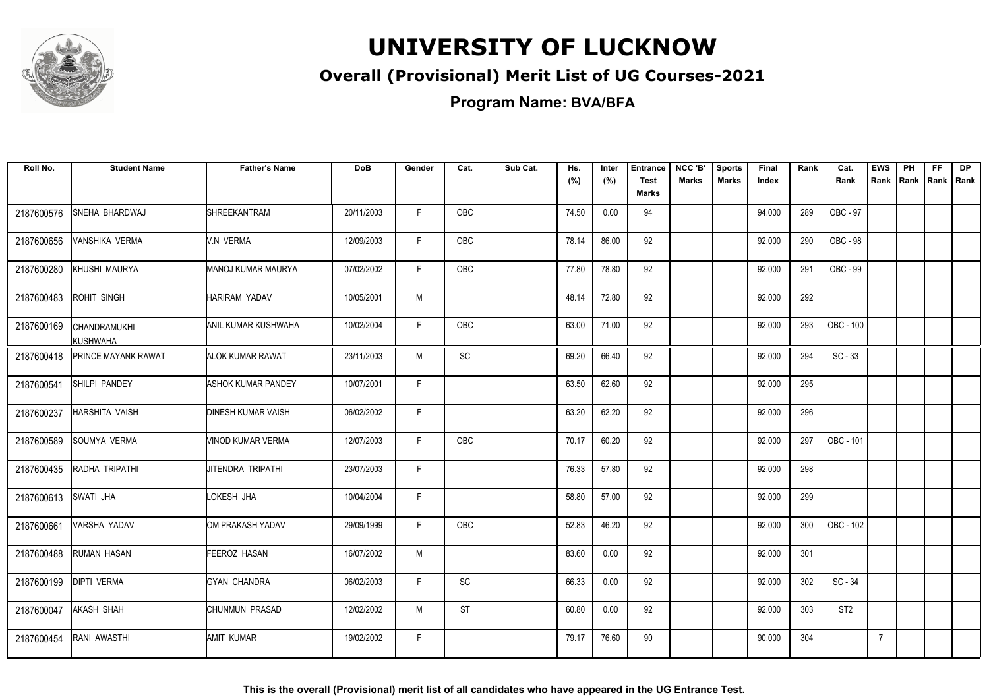

### **Overall (Provisional) Merit List of UG Courses-2021**

**Program Name: BVA/BFA**

| Roll No.   | <b>Student Name</b>             | <b>Father's Name</b>      | <b>DoB</b> | Gender | Cat.       | Sub Cat. | Hs.<br>(%) | Inter<br>(%) | <b>Entrance</b><br><b>Test</b><br><b>Marks</b> | NCC 'B'<br>Marks | <b>Sports</b><br><b>Marks</b> | Final<br>Index | Rank | Cat.<br>Rank    | <b>EWS</b><br>Rank | PH<br>Rank | <b>FF</b><br>Rank   Rank | <b>DP</b> |
|------------|---------------------------------|---------------------------|------------|--------|------------|----------|------------|--------------|------------------------------------------------|------------------|-------------------------------|----------------|------|-----------------|--------------------|------------|--------------------------|-----------|
| 2187600576 | SNEHA BHARDWAJ                  | <b>SHREEKANTRAM</b>       | 20/11/2003 | F      | OBC        |          | 74.50      | 0.00         | 94                                             |                  |                               | 94.000         | 289  | OBC - 97        |                    |            |                          |           |
| 2187600656 | <b>VANSHIKA VERMA</b>           | V.N VERMA                 | 12/09/2003 | F.     | OBC        |          | 78.14      | 86.00        | 92                                             |                  |                               | 92.000         | 290  | OBC - 98        |                    |            |                          |           |
| 2187600280 | KHUSHI MAURYA                   | MANOJ KUMAR MAURYA        | 07/02/2002 | F.     | <b>OBC</b> |          | 77.80      | 78.80        | 92                                             |                  |                               | 92.000         | 291  | OBC - 99        |                    |            |                          |           |
| 2187600483 | ROHIT SINGH                     | <b>HARIRAM YADAV</b>      | 10/05/2001 | M      |            |          | 48.14      | 72.80        | 92                                             |                  |                               | 92.000         | 292  |                 |                    |            |                          |           |
| 2187600169 | CHANDRAMUKHI<br><b>KUSHWAHA</b> | ANIL KUMAR KUSHWAHA       | 10/02/2004 | F.     | OBC        |          | 63.00      | 71.00        | 92                                             |                  |                               | 92.000         | 293  | OBC - 100       |                    |            |                          |           |
| 2187600418 | <b>PRINCE MAYANK RAWAT</b>      | ALOK KUMAR RAWAT          | 23/11/2003 | M      | <b>SC</b>  |          | 69.20      | 66.40        | 92                                             |                  |                               | 92.000         | 294  | $SC - 33$       |                    |            |                          |           |
| 2187600541 | SHILPI PANDEY                   | <b>ASHOK KUMAR PANDEY</b> | 10/07/2001 | F      |            |          | 63.50      | 62.60        | 92                                             |                  |                               | 92.000         | 295  |                 |                    |            |                          |           |
| 2187600237 | <b>HARSHITA VAISH</b>           | <b>DINESH KUMAR VAISH</b> | 06/02/2002 | F.     |            |          | 63.20      | 62.20        | 92                                             |                  |                               | 92.000         | 296  |                 |                    |            |                          |           |
| 2187600589 | SOUMYA VERMA                    | VINOD KUMAR VERMA         | 12/07/2003 | F      | <b>OBC</b> |          | 70.17      | 60.20        | 92                                             |                  |                               | 92.000         | 297  | OBC - 101       |                    |            |                          |           |
| 2187600435 | RADHA TRIPATHI                  | IJITENDRA TRIPATHI        | 23/07/2003 | F      |            |          | 76.33      | 57.80        | 92                                             |                  |                               | 92.000         | 298  |                 |                    |            |                          |           |
| 2187600613 | <b>SWATI JHA</b>                | LOKESH JHA                | 10/04/2004 | F      |            |          | 58.80      | 57.00        | 92                                             |                  |                               | 92.000         | 299  |                 |                    |            |                          |           |
| 2187600661 | VARSHA YADAV                    | OM PRAKASH YADAV          | 29/09/1999 | F.     | <b>OBC</b> |          | 52.83      | 46.20        | 92                                             |                  |                               | 92.000         | 300  | OBC - 102       |                    |            |                          |           |
| 2187600488 | <b>RUMAN HASAN</b>              | FEEROZ HASAN              | 16/07/2002 | M      |            |          | 83.60      | 0.00         | 92                                             |                  |                               | 92.000         | 301  |                 |                    |            |                          |           |
| 2187600199 | <b>DIPTI VERMA</b>              | <b>GYAN CHANDRA</b>       | 06/02/2003 | F.     | <b>SC</b>  |          | 66.33      | 0.00         | 92                                             |                  |                               | 92.000         | 302  | $SC - 34$       |                    |            |                          |           |
| 2187600047 | AKASH SHAH                      | CHUNMUN PRASAD            | 12/02/2002 | М      | <b>ST</b>  |          | 60.80      | 0.00         | 92                                             |                  |                               | 92.000         | 303  | ST <sub>2</sub> |                    |            |                          |           |
| 2187600454 | <b>RANI AWASTHI</b>             | AMIT KUMAR                | 19/02/2002 | F.     |            |          | 79.17      | 76.60        | 90                                             |                  |                               | 90.000         | 304  |                 | $\overline{7}$     |            |                          |           |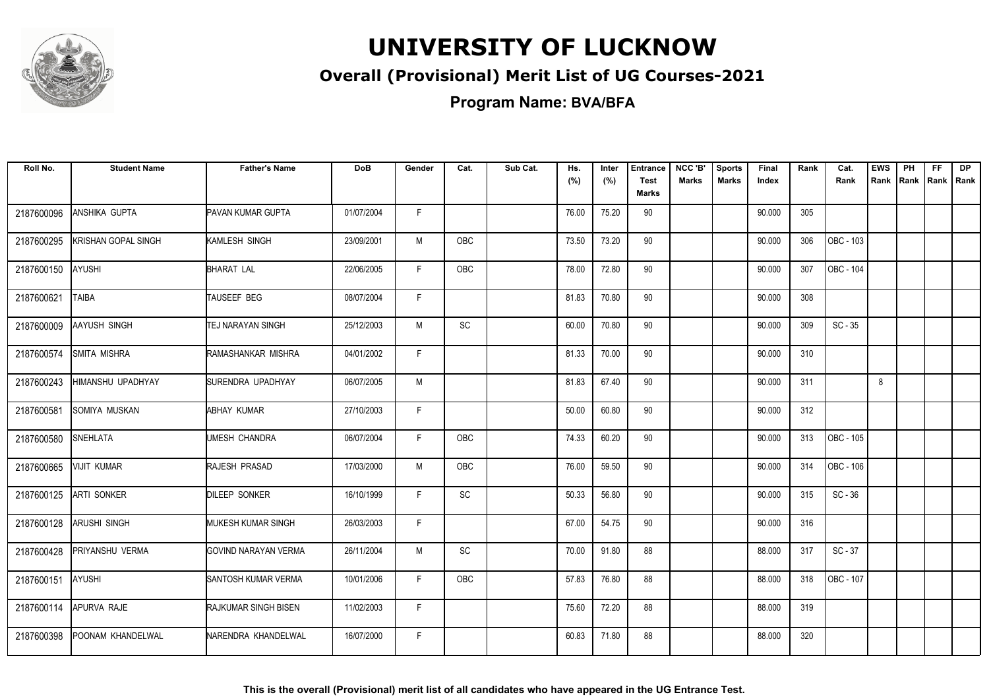

### **Overall (Provisional) Merit List of UG Courses-2021**

**Program Name: BVA/BFA**

| Roll No.   | <b>Student Name</b>      | <b>Father's Name</b>        | <b>DoB</b> | Gender | Cat.          | Sub Cat. | Hs.<br>(%) | Inter<br>(%) | <b>Entrance</b><br><b>Test</b> | NCC 'B'<br><b>Marks</b> | <b>Sports</b><br><b>Marks</b> | <b>Final</b><br>Index | Rank | Cat.<br>Rank     | <b>EWS</b><br>Rank | PH<br>Rank Rank Rank | FF. | DP |
|------------|--------------------------|-----------------------------|------------|--------|---------------|----------|------------|--------------|--------------------------------|-------------------------|-------------------------------|-----------------------|------|------------------|--------------------|----------------------|-----|----|
|            |                          |                             |            |        |               |          |            |              | <b>Marks</b>                   |                         |                               |                       |      |                  |                    |                      |     |    |
| 2187600096 | <b>ANSHIKA GUPTA</b>     | PAVAN KUMAR GUPTA           | 01/07/2004 | F      |               |          | 76.00      | 75.20        | 90                             |                         |                               | 90.000                | 305  |                  |                    |                      |     |    |
| 2187600295 | KRISHAN GOPAL SINGH      | KAMLESH SINGH               | 23/09/2001 | М      | OBC           |          | 73.50      | 73.20        | 90                             |                         |                               | 90.000                | 306  | OBC - 103        |                    |                      |     |    |
| 2187600150 | AYUSHI                   | <b>BHARAT LAL</b>           | 22/06/2005 | F.     | OBC           |          | 78.00      | 72.80        | 90                             |                         |                               | 90.000                | 307  | OBC - 104        |                    |                      |     |    |
| 2187600621 | <b>TAIBA</b>             | TAUSEEF BEG                 | 08/07/2004 | F.     |               |          | 81.83      | 70.80        | 90                             |                         |                               | 90.000                | 308  |                  |                    |                      |     |    |
| 2187600009 | <b>AAYUSH SINGH</b>      | <b>TEJ NARAYAN SINGH</b>    | 25/12/2003 | M      | <b>SC</b>     |          | 60.00      | 70.80        | 90                             |                         |                               | 90.000                | 309  | $SC - 35$        |                    |                      |     |    |
| 2187600574 | <b>SMITA MISHRA</b>      | RAMASHANKAR MISHRA          | 04/01/2002 | F.     |               |          | 81.33      | 70.00        | 90                             |                         |                               | 90.000                | 310  |                  |                    |                      |     |    |
| 2187600243 | <b>HIMANSHU UPADHYAY</b> | SURENDRA UPADHYAY           | 06/07/2005 | M      |               |          | 81.83      | 67.40        | 90                             |                         |                               | 90.000                | 311  |                  | 8                  |                      |     |    |
| 2187600581 | SOMIYA MUSKAN            | ABHAY KUMAR                 | 27/10/2003 | F.     |               |          | 50.00      | 60.80        | 90                             |                         |                               | 90.000                | 312  |                  |                    |                      |     |    |
| 2187600580 | <b>SNEHLATA</b>          | UMESH CHANDRA               | 06/07/2004 | F.     | OBC           |          | 74.33      | 60.20        | 90                             |                         |                               | 90.000                | 313  | OBC - 105        |                    |                      |     |    |
| 2187600665 | <b>VIJIT KUMAR</b>       | RAJESH PRASAD               | 17/03/2000 | M      | <b>OBC</b>    |          | 76.00      | 59.50        | 90                             |                         |                               | 90.000                | 314  | <b>OBC - 106</b> |                    |                      |     |    |
| 2187600125 | <b>ARTI SONKER</b>       | <b>DILEEP SONKER</b>        | 16/10/1999 | F.     | $\mathsf{SC}$ |          | 50.33      | 56.80        | 90                             |                         |                               | 90.000                | 315  | $SC - 36$        |                    |                      |     |    |
| 2187600128 | <b>ARUSHI SINGH</b>      | <b>I</b> MUKESH KUMAR SINGH | 26/03/2003 | F.     |               |          | 67.00      | 54.75        | 90                             |                         |                               | 90.000                | 316  |                  |                    |                      |     |    |
| 2187600428 | <b>PRIYANSHU VERMA</b>   | IGOVIND NARAYAN VERMA       | 26/11/2004 | M      | SC            |          | 70.00      | 91.80        | 88                             |                         |                               | 88.000                | 317  | $SC - 37$        |                    |                      |     |    |
| 2187600151 | AYUSHI                   | SANTOSH KUMAR VERMA         | 10/01/2006 | F.     | OBC           |          | 57.83      | 76.80        | 88                             |                         |                               | 88.000                | 318  | OBC - 107        |                    |                      |     |    |
| 2187600114 | APURVA RAJE              | RAJKUMAR SINGH BISEN        | 11/02/2003 | F.     |               |          | 75.60      | 72.20        | 88                             |                         |                               | 88.000                | 319  |                  |                    |                      |     |    |
| 2187600398 | POONAM KHANDELWAL        | NARENDRA KHANDELWAL         | 16/07/2000 | F.     |               |          | 60.83      | 71.80        | 88                             |                         |                               | 88.000                | 320  |                  |                    |                      |     |    |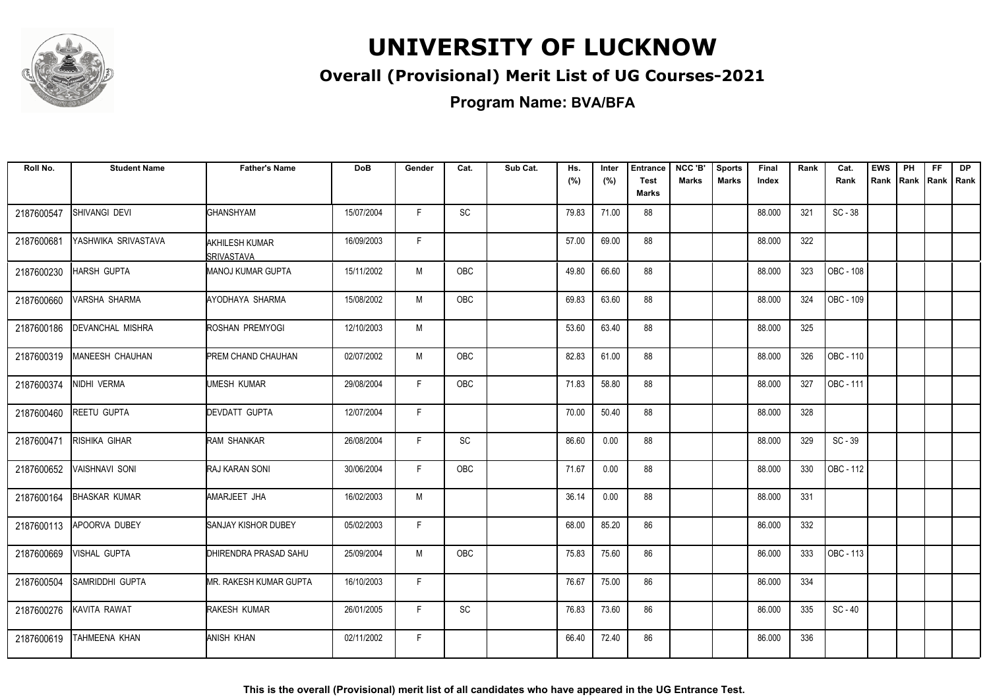

### **Overall (Provisional) Merit List of UG Courses-2021**

**Program Name: BVA/BFA**

| Roll No.   | <b>Student Name</b>     | <b>Father's Name</b>                | <b>DoB</b> | Gender | Cat.       | Sub Cat. | Hs.<br>(%) | Inter<br>(%) | <b>Entrance</b><br><b>Test</b><br>Marks | NCC 'B'<br><b>Marks</b> | <b>Sports</b><br><b>Marks</b> | Final<br>Index | Rank | Cat.<br>Rank | <b>EWS</b><br>Rank | PH<br>Rank | <b>FF</b><br>Rank   Rank | <b>DP</b> |
|------------|-------------------------|-------------------------------------|------------|--------|------------|----------|------------|--------------|-----------------------------------------|-------------------------|-------------------------------|----------------|------|--------------|--------------------|------------|--------------------------|-----------|
| 2187600547 | SHIVANGI DEVI           | GHANSHYAM                           | 15/07/2004 | F.     | SC         |          | 79.83      | 71.00        | 88                                      |                         |                               | 88.000         | 321  | $SC - 38$    |                    |            |                          |           |
| 2187600681 | YASHWIKA SRIVASTAVA     | AKHILESH KUMAR<br><b>SRIVASTAVA</b> | 16/09/2003 | F.     |            |          | 57.00      | 69.00        | 88                                      |                         |                               | 88.000         | 322  |              |                    |            |                          |           |
| 2187600230 | <b>HARSH GUPTA</b>      | MANOJ KUMAR GUPTA                   | 15/11/2002 | M      | <b>OBC</b> |          | 49.80      | 66.60        | 88                                      |                         |                               | 88.000         | 323  | OBC - 108    |                    |            |                          |           |
| 2187600660 | IVARSHA SHARMA          | AYODHAYA SHARMA                     | 15/08/2002 | M      | OBC        |          | 69.83      | 63.60        | 88                                      |                         |                               | 88.000         | 324  | OBC - 109    |                    |            |                          |           |
| 2187600186 | <b>DEVANCHAL MISHRA</b> | ROSHAN PREMYOGI                     | 12/10/2003 | M      |            |          | 53.60      | 63.40        | 88                                      |                         |                               | 88.000         | 325  |              |                    |            |                          |           |
| 2187600319 | MANEESH CHAUHAN         | PREM CHAND CHAUHAN                  | 02/07/2002 | M      | <b>OBC</b> |          | 82.83      | 61.00        | 88                                      |                         |                               | 88.000         | 326  | OBC - 110    |                    |            |                          |           |
| 2187600374 | NIDHI VERMA             | <b>I</b> UMESH KUMAR                | 29/08/2004 | F      | OBC        |          | 71.83      | 58.80        | 88                                      |                         |                               | 88.000         | 327  | OBC - 111    |                    |            |                          |           |
| 2187600460 | <b>REETU GUPTA</b>      | <b>DEVDATT GUPTA</b>                | 12/07/2004 | F.     |            |          | 70.00      | 50.40        | 88                                      |                         |                               | 88.000         | 328  |              |                    |            |                          |           |
| 2187600471 | RISHIKA GIHAR           | RAM SHANKAR                         | 26/08/2004 | F.     | SC         |          | 86.60      | 0.00         | 88                                      |                         |                               | 88.000         | 329  | $SC - 39$    |                    |            |                          |           |
| 2187600652 | <b>VAISHNAVI SONI</b>   | RAJ KARAN SONI                      | 30/06/2004 | F.     | OBC        |          | 71.67      | 0.00         | 88                                      |                         |                               | 88.000         | 330  | OBC - 112    |                    |            |                          |           |
| 2187600164 | <b>BHASKAR KUMAR</b>    | AMARJEET JHA                        | 16/02/2003 | M      |            |          | 36.14      | 0.00         | 88                                      |                         |                               | 88.000         | 331  |              |                    |            |                          |           |
| 2187600113 | <b>APOORVA DUBEY</b>    | SANJAY KISHOR DUBEY                 | 05/02/2003 | F.     |            |          | 68.00      | 85.20        | 86                                      |                         |                               | 86.000         | 332  |              |                    |            |                          |           |
| 2187600669 | <b>VISHAL GUPTA</b>     | DHIRENDRA PRASAD SAHU               | 25/09/2004 | M      | OBC        |          | 75.83      | 75.60        | 86                                      |                         |                               | 86.000         | 333  | OBC - 113    |                    |            |                          |           |
| 2187600504 | SAMRIDDHI GUPTA         | MR. RAKESH KUMAR GUPTA              | 16/10/2003 | F      |            |          | 76.67      | 75.00        | 86                                      |                         |                               | 86.000         | 334  |              |                    |            |                          |           |
| 2187600276 | KAVITA RAWAT            | RAKESH KUMAR                        | 26/01/2005 | F.     | SC         |          | 76.83      | 73.60        | 86                                      |                         |                               | 86.000         | 335  | $SC - 40$    |                    |            |                          |           |
| 2187600619 | TAHMEENA KHAN           | ANISH KHAN                          | 02/11/2002 | F      |            |          | 66.40      | 72.40        | 86                                      |                         |                               | 86.000         | 336  |              |                    |            |                          |           |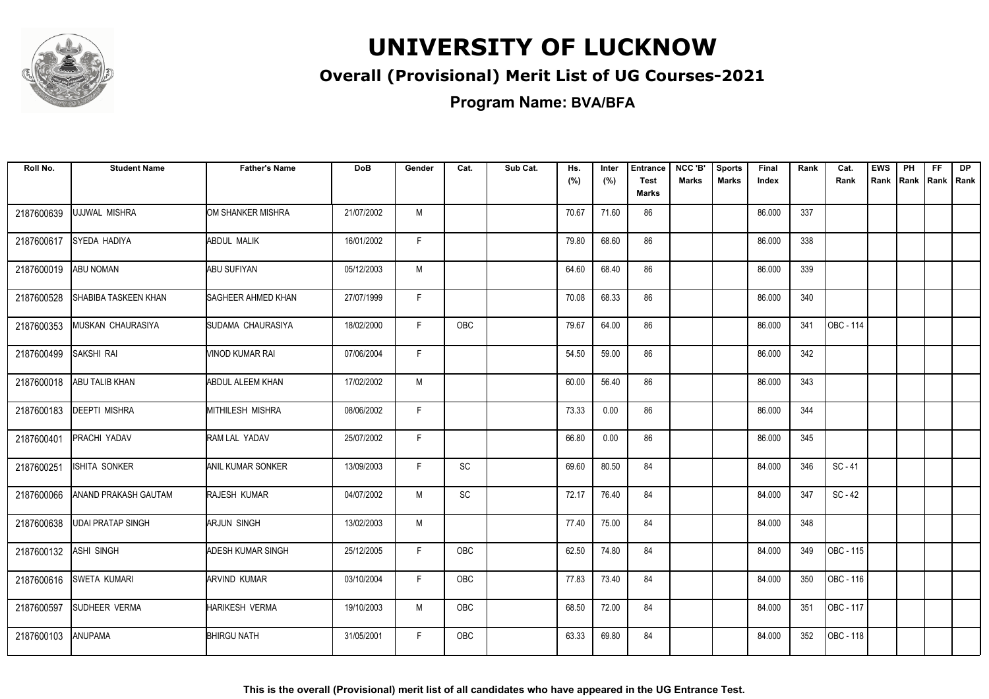

### **Overall (Provisional) Merit List of UG Courses-2021**

**Program Name: BVA/BFA**

| Roll No.   | <b>Student Name</b>      | <b>Father's Name</b>     | <b>DoB</b> | Gender       | Cat.       | Sub Cat. | Hs.<br>(%) | Inter<br>(%) | <b>Entrance</b><br><b>Test</b><br>Marks | NCC 'B'<br><b>Marks</b> | <b>Sports</b><br><b>Marks</b> | Final<br>Index | Rank | Cat.<br>Rank | <b>EWS</b><br>Rank | PH | <b>FF</b><br>Rank Rank Rank | DP |
|------------|--------------------------|--------------------------|------------|--------------|------------|----------|------------|--------------|-----------------------------------------|-------------------------|-------------------------------|----------------|------|--------------|--------------------|----|-----------------------------|----|
| 2187600639 | UJJWAL MISHRA            | OM SHANKER MISHRA        | 21/07/2002 | M            |            |          | 70.67      | 71.60        | 86                                      |                         |                               | 86.000         | 337  |              |                    |    |                             |    |
| 2187600617 | SYEDA HADIYA             | <b>ABDUL MALIK</b>       | 16/01/2002 | F.           |            |          | 79.80      | 68.60        | 86                                      |                         |                               | 86.000         | 338  |              |                    |    |                             |    |
| 2187600019 | ABU NOMAN                | ABU SUFIYAN              | 05/12/2003 | M            |            |          | 64.60      | 68.40        | 86                                      |                         |                               | 86.000         | 339  |              |                    |    |                             |    |
| 2187600528 | SHABIBA TASKEEN KHAN     | SAGHEER AHMED KHAN       | 27/07/1999 | F            |            |          | 70.08      | 68.33        | 86                                      |                         |                               | 86.000         | 340  |              |                    |    |                             |    |
| 2187600353 | MUSKAN CHAURASIYA        | SUDAMA CHAURASIYA        | 18/02/2000 | F.           | OBC        |          | 79.67      | 64.00        | 86                                      |                         |                               | 86.000         | 341  | OBC - 114    |                    |    |                             |    |
| 2187600499 | SAKSHI RAI               | VINOD KUMAR RAI          | 07/06/2004 | F            |            |          | 54.50      | 59.00        | 86                                      |                         |                               | 86.000         | 342  |              |                    |    |                             |    |
| 2187600018 | ABU TALIB KHAN           | <b>ABDUL ALEEM KHAN</b>  | 17/02/2002 | M            |            |          | 60.00      | 56.40        | 86                                      |                         |                               | 86.000         | 343  |              |                    |    |                             |    |
| 2187600183 | <b>DEEPTI MISHRA</b>     | MITHILESH MISHRA         | 08/06/2002 | F            |            |          | 73.33      | 0.00         | 86                                      |                         |                               | 86.000         | 344  |              |                    |    |                             |    |
| 2187600401 | PRACHI YADAV             | RAM LAL YADAV            | 25/07/2002 | F.           |            |          | 66.80      | 0.00         | 86                                      |                         |                               | 86.000         | 345  |              |                    |    |                             |    |
| 2187600251 | <b>ISHITA SONKER</b>     | <b>ANIL KUMAR SONKER</b> | 13/09/2003 | $\mathsf{F}$ | SC         |          | 69.60      | 80.50        | 84                                      |                         |                               | 84.000         | 346  | $SC - 41$    |                    |    |                             |    |
| 2187600066 | ANAND PRAKASH GAUTAM     | RAJESH KUMAR             | 04/07/2002 | M            | <b>SC</b>  |          | 72.17      | 76.40        | 84                                      |                         |                               | 84.000         | 347  | $SC - 42$    |                    |    |                             |    |
| 2187600638 | <b>UDAI PRATAP SINGH</b> | ARJUN SINGH              | 13/02/2003 | M            |            |          | 77.40      | 75.00        | 84                                      |                         |                               | 84.000         | 348  |              |                    |    |                             |    |
| 2187600132 | ASHI SINGH               | <b>ADESH KUMAR SINGH</b> | 25/12/2005 | F.           | <b>OBC</b> |          | 62.50      | 74.80        | 84                                      |                         |                               | 84.000         | 349  | OBC - 115    |                    |    |                             |    |
| 2187600616 | <b>SWETA KUMARI</b>      | <b>ARVIND KUMAR</b>      | 03/10/2004 | F.           | OBC        |          | 77.83      | 73.40        | 84                                      |                         |                               | 84.000         | 350  | OBC - 116    |                    |    |                             |    |
| 2187600597 | SUDHEER VERMA            | HARIKESH VERMA           | 19/10/2003 | M            | OBC        |          | 68.50      | 72.00        | 84                                      |                         |                               | 84.000         | 351  | OBC - 117    |                    |    |                             |    |
| 2187600103 | ANUPAMA                  | <b>BHIRGU NATH</b>       | 31/05/2001 | F.           | OBC        |          | 63.33      | 69.80        | 84                                      |                         |                               | 84.000         | 352  | OBC - 118    |                    |    |                             |    |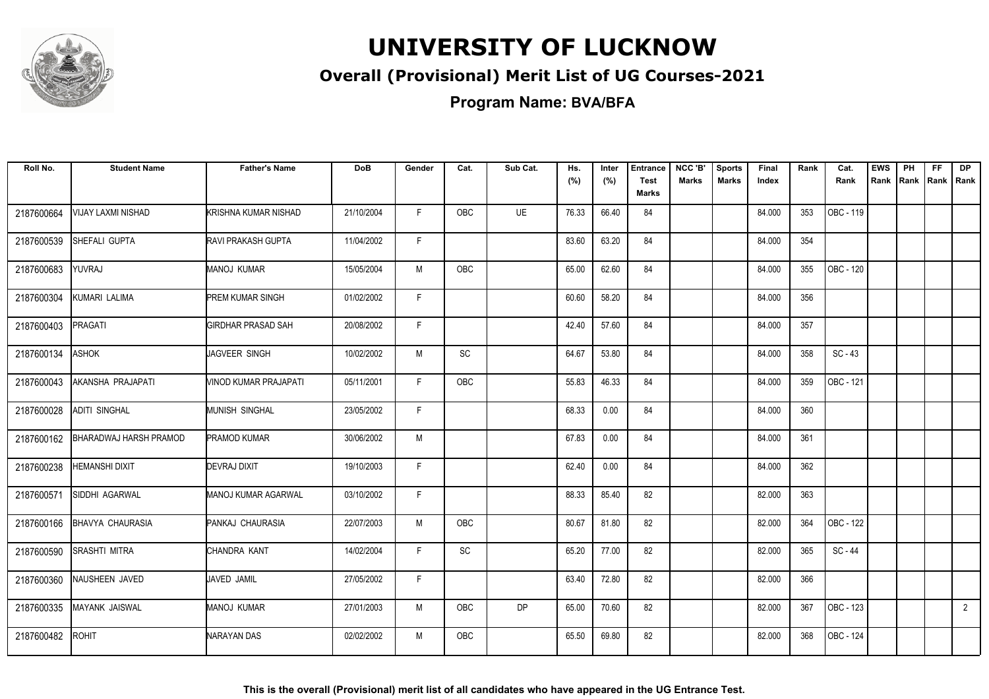

### **Overall (Provisional) Merit List of UG Courses-2021**

**Program Name: BVA/BFA**

| Roll No.   | <b>Student Name</b>           | <b>Father's Name</b>       | <b>DoB</b> | Gender | Cat.       | Sub Cat.  | Hs.<br>(%) | Inter<br>(%) | <b>Entrance</b><br><b>Test</b><br><b>Marks</b> | NCC 'B'<br><b>Marks</b> | <b>Sports</b><br><b>Marks</b> | Final<br>Index | Rank | Cat.<br>Rank | <b>EWS</b><br>Rank | PH<br>Rank | FF.<br>Rank   Rank | <b>DP</b>      |
|------------|-------------------------------|----------------------------|------------|--------|------------|-----------|------------|--------------|------------------------------------------------|-------------------------|-------------------------------|----------------|------|--------------|--------------------|------------|--------------------|----------------|
| 2187600664 | VIJAY LAXMI NISHAD            | KRISHNA KUMAR NISHAD       | 21/10/2004 | F.     | <b>OBC</b> | UE        | 76.33      | 66.40        | 84                                             |                         |                               | 84.000         | 353  | OBC - 119    |                    |            |                    |                |
| 2187600539 | SHEFALI GUPTA                 | <b>RAVI PRAKASH GUPTA</b>  | 11/04/2002 | F      |            |           | 83.60      | 63.20        | 84                                             |                         |                               | 84.000         | 354  |              |                    |            |                    |                |
| 2187600683 | YUVRAJ                        | MANOJ KUMAR                | 15/05/2004 | M      | OBC        |           | 65.00      | 62.60        | 84                                             |                         |                               | 84.000         | 355  | OBC - 120    |                    |            |                    |                |
| 2187600304 | KUMARI LALIMA                 | <b>PREM KUMAR SINGH</b>    | 01/02/2002 | F      |            |           | 60.60      | 58.20        | 84                                             |                         |                               | 84.000         | 356  |              |                    |            |                    |                |
| 2187600403 | <b>PRAGATI</b>                | <b>GIRDHAR PRASAD SAH</b>  | 20/08/2002 | F      |            |           | 42.40      | 57.60        | 84                                             |                         |                               | 84.000         | 357  |              |                    |            |                    |                |
| 2187600134 | <b>ASHOK</b>                  | JAGVEER SINGH              | 10/02/2002 | M      | SC         |           | 64.67      | 53.80        | 84                                             |                         |                               | 84.000         | 358  | $SC - 43$    |                    |            |                    |                |
| 2187600043 | AKANSHA PRAJAPATI             | VINOD KUMAR PRAJAPATI      | 05/11/2001 | F.     | OBC        |           | 55.83      | 46.33        | 84                                             |                         |                               | 84.000         | 359  | OBC - 121    |                    |            |                    |                |
| 2187600028 | ADITI SINGHAL                 | <b>MUNISH SINGHAL</b>      | 23/05/2002 | F      |            |           | 68.33      | 0.00         | 84                                             |                         |                               | 84.000         | 360  |              |                    |            |                    |                |
| 2187600162 | <b>BHARADWAJ HARSH PRAMOD</b> | <b>PRAMOD KUMAR</b>        | 30/06/2002 | M      |            |           | 67.83      | 0.00         | 84                                             |                         |                               | 84.000         | 361  |              |                    |            |                    |                |
| 2187600238 | <b>HEMANSHI DIXIT</b>         | <b>DEVRAJ DIXIT</b>        | 19/10/2003 | F      |            |           | 62.40      | 0.00         | 84                                             |                         |                               | 84.000         | 362  |              |                    |            |                    |                |
| 2187600571 | SIDDHI AGARWAL                | <b>MANOJ KUMAR AGARWAL</b> | 03/10/2002 | F      |            |           | 88.33      | 85.40        | 82                                             |                         |                               | 82.000         | 363  |              |                    |            |                    |                |
| 2187600166 | <b>BHAVYA CHAURASIA</b>       | PANKAJ CHAURASIA           | 22/07/2003 | M      | OBC        |           | 80.67      | 81.80        | 82                                             |                         |                               | 82.000         | 364  | OBC - 122    |                    |            |                    |                |
| 2187600590 | <b>SRASHTI MITRA</b>          | CHANDRA KANT               | 14/02/2004 | F.     | SC         |           | 65.20      | 77.00        | 82                                             |                         |                               | 82.000         | 365  | SC-44        |                    |            |                    |                |
| 2187600360 | NAUSHEEN JAVED                | JAVED JAMIL                | 27/05/2002 | F.     |            |           | 63.40      | 72.80        | 82                                             |                         |                               | 82.000         | 366  |              |                    |            |                    |                |
| 2187600335 | MAYANK JAISWAL                | MANOJ KUMAR                | 27/01/2003 | M      | OBC        | <b>DP</b> | 65.00      | 70.60        | 82                                             |                         |                               | 82.000         | 367  | OBC - 123    |                    |            |                    | $\overline{2}$ |
| 2187600482 | <b>ROHIT</b>                  | NARAYAN DAS                | 02/02/2002 | M      | OBC        |           | 65.50      | 69.80        | 82                                             |                         |                               | 82.000         | 368  | OBC - 124    |                    |            |                    |                |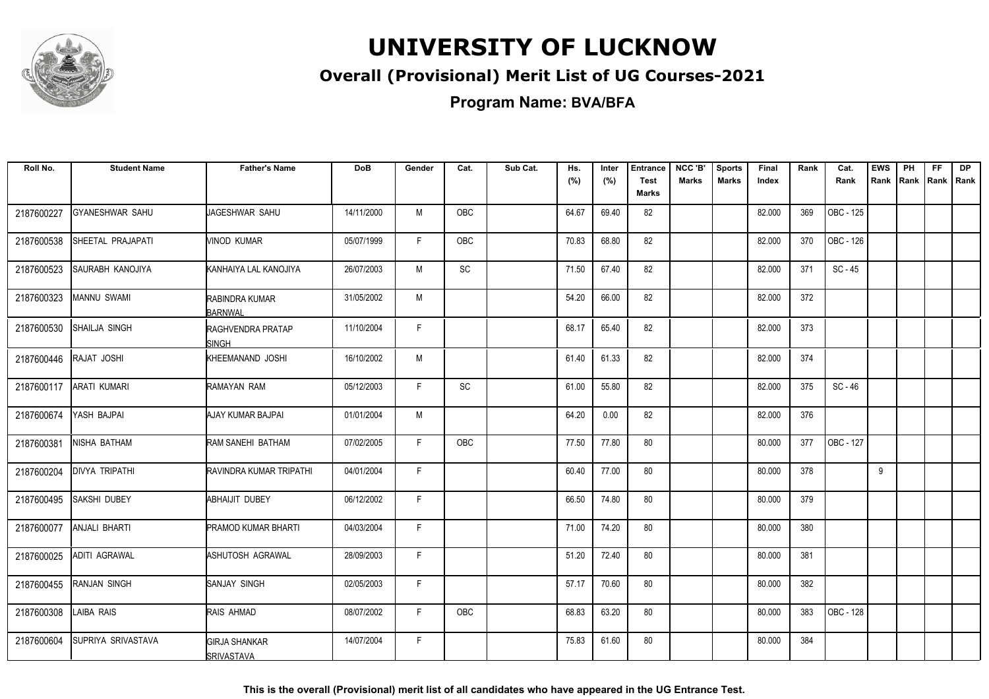

### **Overall (Provisional) Merit List of UG Courses-2021**

**Program Name: BVA/BFA**

| Roll No.   | <b>Student Name</b>     | <b>Father's Name</b>                      | <b>DoB</b> | Gender | Cat.      | Sub Cat. | Hs.   | Inter | <b>Entrance</b>      | NCC 'B'      | <b>Sports</b> | Final  | Rank | Cat.      | <b>EWS</b> | PH | <b>FF</b>   | <b>DP</b> |
|------------|-------------------------|-------------------------------------------|------------|--------|-----------|----------|-------|-------|----------------------|--------------|---------------|--------|------|-----------|------------|----|-------------|-----------|
|            |                         |                                           |            |        |           |          | (%)   | (%)   | <b>Test</b><br>Marks | <b>Marks</b> | <b>Marks</b>  | Index  |      | Rank      | Rank Rank  |    | Rank   Rank |           |
| 2187600227 | <b>GYANESHWAR SAHU</b>  | JAGESHWAR SAHU                            | 14/11/2000 | M      | OBC       |          | 64.67 | 69.40 | 82                   |              |               | 82.000 | 369  | OBC - 125 |            |    |             |           |
| 2187600538 | SHEETAL PRAJAPATI       | <b>VINOD KUMAR</b>                        | 05/07/1999 | F      | OBC       |          | 70.83 | 68.80 | 82                   |              |               | 82.000 | 370  | OBC - 126 |            |    |             |           |
| 2187600523 | <b>SAURABH KANOJIYA</b> | <b>I</b> KANHAIYA LAL KANOJIYA            | 26/07/2003 | M      | <b>SC</b> |          | 71.50 | 67.40 | 82                   |              |               | 82.000 | 371  | $SC - 45$ |            |    |             |           |
| 2187600323 | MANNU SWAMI             | RABINDRA KUMAR<br>BARNWAL                 | 31/05/2002 | M      |           |          | 54.20 | 66.00 | 82                   |              |               | 82.000 | 372  |           |            |    |             |           |
| 2187600530 | SHAILJA SINGH           | RAGHVENDRA PRATAP<br>ISINGH               | 11/10/2004 | F.     |           |          | 68.17 | 65.40 | 82                   |              |               | 82.000 | 373  |           |            |    |             |           |
| 2187600446 | RAJAT JOSHI             | KHEEMANAND JOSHI                          | 16/10/2002 | M      |           |          | 61.40 | 61.33 | 82                   |              |               | 82.000 | 374  |           |            |    |             |           |
| 2187600117 | <b>ARATI KUMARI</b>     | RAMAYAN RAM                               | 05/12/2003 | F.     | SC        |          | 61.00 | 55.80 | 82                   |              |               | 82.000 | 375  | $SC - 46$ |            |    |             |           |
| 2187600674 | YASH BAJPAI             | AJAY KUMAR BAJPAI                         | 01/01/2004 | M      |           |          | 64.20 | 0.00  | 82                   |              |               | 82.000 | 376  |           |            |    |             |           |
| 2187600381 | NISHA BATHAM            | RAM SANEHI BATHAM                         | 07/02/2005 | F.     | OBC       |          | 77.50 | 77.80 | 80                   |              |               | 80.000 | 377  | OBC - 127 |            |    |             |           |
| 2187600204 | <b>DIVYA TRIPATHI</b>   | RAVINDRA KUMAR TRIPATHI                   | 04/01/2004 | F      |           |          | 60.40 | 77.00 | 80                   |              |               | 80.000 | 378  |           | 9          |    |             |           |
| 2187600495 | SAKSHI DUBEY            | ABHAIJIT DUBEY                            | 06/12/2002 | F      |           |          | 66.50 | 74.80 | 80                   |              |               | 80.000 | 379  |           |            |    |             |           |
| 2187600077 | ANJALI BHARTI           | <b>PRAMOD KUMAR BHARTI</b>                | 04/03/2004 | F      |           |          | 71.00 | 74.20 | 80                   |              |               | 80.000 | 380  |           |            |    |             |           |
| 2187600025 | <b>ADITI AGRAWAL</b>    | ASHUTOSH AGRAWAL                          | 28/09/2003 | F      |           |          | 51.20 | 72.40 | 80                   |              |               | 80.000 | 381  |           |            |    |             |           |
| 2187600455 | RANJAN SINGH            | SANJAY SINGH                              | 02/05/2003 | F      |           |          | 57.17 | 70.60 | 80                   |              |               | 80.000 | 382  |           |            |    |             |           |
| 2187600308 | LAIBA RAIS              | RAIS AHMAD                                | 08/07/2002 | F      | OBC       |          | 68.83 | 63.20 | 80                   |              |               | 80.000 | 383  | OBC - 128 |            |    |             |           |
| 2187600604 | SUPRIYA SRIVASTAVA      | <b>GIRJA SHANKAR</b><br><b>SRIVASTAVA</b> | 14/07/2004 | F      |           |          | 75.83 | 61.60 | 80                   |              |               | 80.000 | 384  |           |            |    |             |           |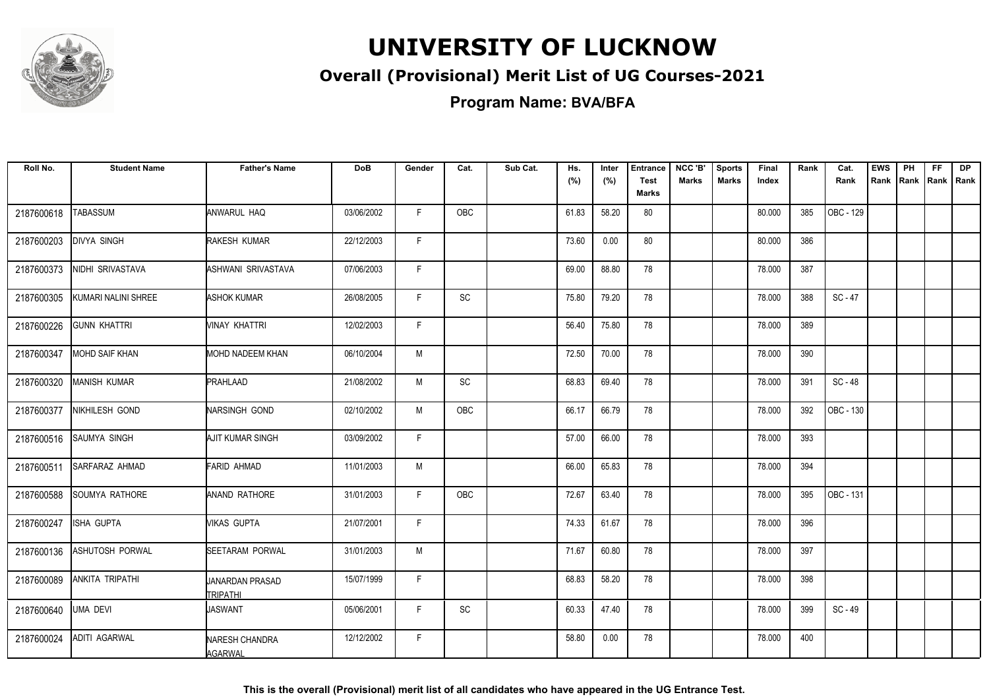

### **Overall (Provisional) Merit List of UG Courses-2021**

**Program Name: BVA/BFA**

| Roll No.   | <b>Student Name</b>    | <b>Father's Name</b>             | <b>DoB</b> | Gender       | Cat.       | Sub Cat. | Hs.   | Inter | <b>Entrance</b>      | NCC 'B'      | <b>Sports</b> | Final  | Rank | Cat.      | <b>EWS</b> | PH | <b>FF</b> | <b>DP</b>   |
|------------|------------------------|----------------------------------|------------|--------------|------------|----------|-------|-------|----------------------|--------------|---------------|--------|------|-----------|------------|----|-----------|-------------|
|            |                        |                                  |            |              |            |          | (%)   | (%)   | <b>Test</b><br>Marks | <b>Marks</b> | <b>Marks</b>  | Index  |      | Rank      | Rank Rank  |    |           | Rank   Rank |
| 2187600618 | <b>TABASSUM</b>        | ANWARUL HAQ                      | 03/06/2002 | F            | <b>OBC</b> |          | 61.83 | 58.20 | 80                   |              |               | 80.000 | 385  | OBC - 129 |            |    |           |             |
| 2187600203 | <b>DIVYA SINGH</b>     | RAKESH KUMAR                     | 22/12/2003 | F.           |            |          | 73.60 | 0.00  | 80                   |              |               | 80.000 | 386  |           |            |    |           |             |
| 2187600373 | NIDHI SRIVASTAVA       | ASHWANI SRIVASTAVA               | 07/06/2003 | F            |            |          | 69.00 | 88.80 | 78                   |              |               | 78.000 | 387  |           |            |    |           |             |
| 2187600305 | KUMARI NALINI SHREE    | ASHOK KUMAR                      | 26/08/2005 | $\mathsf{F}$ | <b>SC</b>  |          | 75.80 | 79.20 | 78                   |              |               | 78.000 | 388  | $SC - 47$ |            |    |           |             |
| 2187600226 | <b>GUNN KHATTRI</b>    | Minay khattri                    | 12/02/2003 | F            |            |          | 56.40 | 75.80 | 78                   |              |               | 78.000 | 389  |           |            |    |           |             |
| 2187600347 | <b>MOHD SAIF KHAN</b>  | <b>MOHD NADEEM KHAN</b>          | 06/10/2004 | M            |            |          | 72.50 | 70.00 | 78                   |              |               | 78.000 | 390  |           |            |    |           |             |
| 2187600320 | <b>MANISH KUMAR</b>    | PRAHLAAD                         | 21/08/2002 | M            | SC         |          | 68.83 | 69.40 | 78                   |              |               | 78.000 | 391  | SC-48     |            |    |           |             |
| 2187600377 | NIKHILESH GOND         | NARSINGH GOND                    | 02/10/2002 | M            | OBC        |          | 66.17 | 66.79 | 78                   |              |               | 78.000 | 392  | OBC - 130 |            |    |           |             |
| 2187600516 | <b>SAUMYA SINGH</b>    | AJIT KUMAR SINGH                 | 03/09/2002 | F            |            |          | 57.00 | 66.00 | 78                   |              |               | 78.000 | 393  |           |            |    |           |             |
| 2187600511 | <b>SARFARAZ AHMAD</b>  | FARID AHMAD                      | 11/01/2003 | M            |            |          | 66.00 | 65.83 | 78                   |              |               | 78.000 | 394  |           |            |    |           |             |
| 2187600588 | <b>SOUMYA RATHORE</b>  | ANAND RATHORE                    | 31/01/2003 | F.           | OBC        |          | 72.67 | 63.40 | 78                   |              |               | 78.000 | 395  | OBC - 131 |            |    |           |             |
| 2187600247 | <b>ISHA GUPTA</b>      | Mikas gupta                      | 21/07/2001 | F.           |            |          | 74.33 | 61.67 | 78                   |              |               | 78.000 | 396  |           |            |    |           |             |
| 2187600136 | <b>ASHUTOSH PORWAL</b> | <b>SEETARAM PORWAL</b>           | 31/01/2003 | M            |            |          | 71.67 | 60.80 | 78                   |              |               | 78.000 | 397  |           |            |    |           |             |
| 2187600089 | <b>ANKITA TRIPATHI</b> | JANARDAN PRASAD<br>TRIPATHI      | 15/07/1999 | F            |            |          | 68.83 | 58.20 | 78                   |              |               | 78.000 | 398  |           |            |    |           |             |
| 2187600640 | <b>UMA DEVI</b>        | <b>JASWANT</b>                   | 05/06/2001 | F.           | SC         |          | 60.33 | 47.40 | 78                   |              |               | 78.000 | 399  | SC-49     |            |    |           |             |
| 2187600024 | <b>ADITI AGARWAL</b>   | NARESH CHANDRA<br><b>AGARWAL</b> | 12/12/2002 | F.           |            |          | 58.80 | 0.00  | 78                   |              |               | 78.000 | 400  |           |            |    |           |             |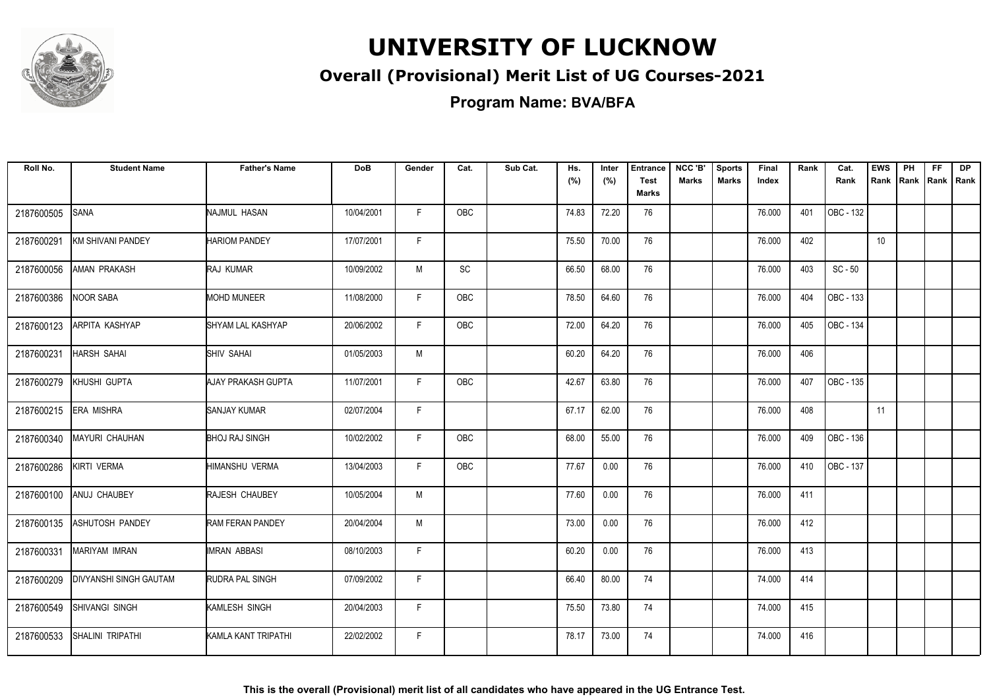

### **Overall (Provisional) Merit List of UG Courses-2021**

**Program Name: BVA/BFA**

| Roll No.   | <b>Student Name</b>           | <b>Father's Name</b>    | <b>DoB</b> | Gender | Cat.       | Sub Cat. | Hs.<br>(%) | Inter<br>(%) | <b>Entrance</b><br><b>Test</b><br>Marks | NCC 'B'<br>Marks | <b>Sports</b><br><b>Marks</b> | Final<br>Index | Rank | Cat.<br>Rank | <b>EWS</b><br>Rank | PH<br><b>IRank</b> | <b>FF</b> | <b>DP</b><br> Rank   Rank |
|------------|-------------------------------|-------------------------|------------|--------|------------|----------|------------|--------------|-----------------------------------------|------------------|-------------------------------|----------------|------|--------------|--------------------|--------------------|-----------|---------------------------|
| 2187600505 | <b>SANA</b>                   | NAJMUL HASAN            | 10/04/2001 | F      | <b>OBC</b> |          | 74.83      | 72.20        | 76                                      |                  |                               | 76.000         | 401  | OBC - 132    |                    |                    |           |                           |
| 2187600291 | <b>KM SHIVANI PANDEY</b>      | <b>HARIOM PANDEY</b>    | 17/07/2001 | F.     |            |          | 75.50      | 70.00        | 76                                      |                  |                               | 76.000         | 402  |              | 10 <sup>°</sup>    |                    |           |                           |
| 2187600056 | <b>AMAN PRAKASH</b>           | <b>RAJ KUMAR</b>        | 10/09/2002 | M      | <b>SC</b>  |          | 66.50      | 68.00        | 76                                      |                  |                               | 76.000         | 403  | $SC - 50$    |                    |                    |           |                           |
| 2187600386 | <b>NOOR SABA</b>              | <b>MOHD MUNEER</b>      | 11/08/2000 | F      | OBC        |          | 78.50      | 64.60        | 76                                      |                  |                               | 76.000         | 404  | OBC - 133    |                    |                    |           |                           |
| 2187600123 | ARPITA KASHYAP                | SHYAM LAL KASHYAP       | 20/06/2002 | F.     | OBC        |          | 72.00      | 64.20        | 76                                      |                  |                               | 76.000         | 405  | OBC - 134    |                    |                    |           |                           |
| 2187600231 | <b>HARSH SAHAI</b>            | <b>SHIV SAHAI</b>       | 01/05/2003 | M      |            |          | 60.20      | 64.20        | 76                                      |                  |                               | 76.000         | 406  |              |                    |                    |           |                           |
| 2187600279 | KHUSHI GUPTA                  | AJAY PRAKASH GUPTA      | 11/07/2001 | F      | <b>OBC</b> |          | 42.67      | 63.80        | 76                                      |                  |                               | 76.000         | 407  | OBC - 135    |                    |                    |           |                           |
| 2187600215 | <b>ERA MISHRA</b>             | <b>SANJAY KUMAR</b>     | 02/07/2004 | F      |            |          | 67.17      | 62.00        | 76                                      |                  |                               | 76.000         | 408  |              | 11                 |                    |           |                           |
| 2187600340 | <b>MAYURI CHAUHAN</b>         | <b>BHOJ RAJ SINGH</b>   | 10/02/2002 | F      | OBC        |          | 68.00      | 55.00        | 76                                      |                  |                               | 76.000         | 409  | OBC - 136    |                    |                    |           |                           |
| 2187600286 | KIRTI VERMA                   | HIMANSHU VERMA          | 13/04/2003 | F.     | <b>OBC</b> |          | 77.67      | 0.00         | 76                                      |                  |                               | 76.000         | 410  | OBC - 137    |                    |                    |           |                           |
| 2187600100 | ANUJ CHAUBEY                  | RAJESH CHAUBEY          | 10/05/2004 | M      |            |          | 77.60      | 0.00         | 76                                      |                  |                               | 76.000         | 411  |              |                    |                    |           |                           |
| 2187600135 | <b>ASHUTOSH PANDEY</b>        | <b>RAM FERAN PANDEY</b> | 20/04/2004 | M      |            |          | 73.00      | 0.00         | 76                                      |                  |                               | 76.000         | 412  |              |                    |                    |           |                           |
| 2187600331 | <b>MARIYAM IMRAN</b>          | IMRAN ABBASI            | 08/10/2003 | F      |            |          | 60.20      | 0.00         | 76                                      |                  |                               | 76.000         | 413  |              |                    |                    |           |                           |
| 2187600209 | <b>DIVYANSHI SINGH GAUTAM</b> | RUDRA PAL SINGH         | 07/09/2002 | F      |            |          | 66.40      | 80.00        | 74                                      |                  |                               | 74.000         | 414  |              |                    |                    |           |                           |
| 2187600549 | SHIVANGI SINGH                | KAMLESH SINGH           | 20/04/2003 | F.     |            |          | 75.50      | 73.80        | 74                                      |                  |                               | 74.000         | 415  |              |                    |                    |           |                           |
| 2187600533 | SHALINI TRIPATHI              | KAMLA KANT TRIPATHI     | 22/02/2002 | F.     |            |          | 78.17      | 73.00        | 74                                      |                  |                               | 74.000         | 416  |              |                    |                    |           |                           |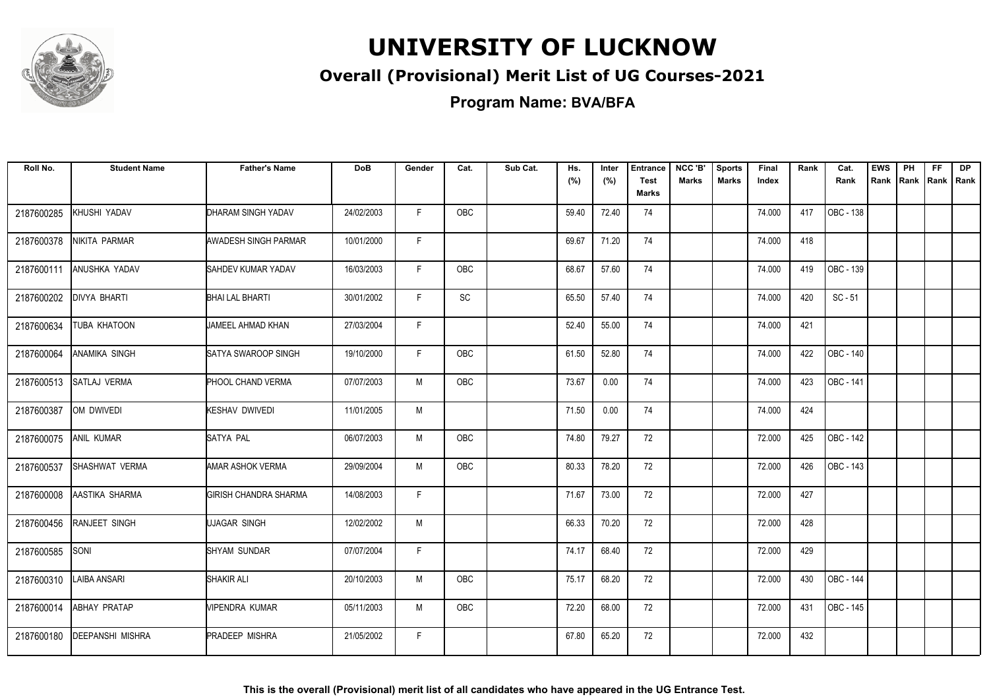

### **Overall (Provisional) Merit List of UG Courses-2021**

**Program Name: BVA/BFA**

| Roll No.   | <b>Student Name</b>     | <b>Father's Name</b>         | <b>DoB</b> | Gender | Cat.       | Sub Cat. | Hs.<br>(%) | Inter<br>(%) | <b>Entrance</b><br><b>Test</b><br><b>Marks</b> | NCC 'B'<br><b>Marks</b> | <b>Sports</b><br><b>Marks</b> | Final<br>Index | Rank | Cat.<br>Rank | <b>EWS</b><br>Rank | PH<br>Rank | FF.<br>Rank   Rank | <b>DP</b> |
|------------|-------------------------|------------------------------|------------|--------|------------|----------|------------|--------------|------------------------------------------------|-------------------------|-------------------------------|----------------|------|--------------|--------------------|------------|--------------------|-----------|
| 2187600285 | KHUSHI YADAV            | DHARAM SINGH YADAV           | 24/02/2003 | F      | OBC        |          | 59.40      | 72.40        | 74                                             |                         |                               | 74.000         | 417  | OBC - 138    |                    |            |                    |           |
| 2187600378 | NIKITA PARMAR           | AWADESH SINGH PARMAR         | 10/01/2000 | F.     |            |          | 69.67      | 71.20        | 74                                             |                         |                               | 74.000         | 418  |              |                    |            |                    |           |
| 2187600111 | <b>ANUSHKA YADAV</b>    | <b>SAHDEV KUMAR YADAV</b>    | 16/03/2003 | F      | OBC        |          | 68.67      | 57.60        | 74                                             |                         |                               | 74.000         | 419  | OBC - 139    |                    |            |                    |           |
| 2187600202 | <b>DIVYA BHARTI</b>     | <b>BHAI LAL BHARTI</b>       | 30/01/2002 | F      | <b>SC</b>  |          | 65.50      | 57.40        | 74                                             |                         |                               | 74.000         | 420  | $SC - 51$    |                    |            |                    |           |
| 2187600634 | TUBA KHATOON            | JAMEEL AHMAD KHAN            | 27/03/2004 | F      |            |          | 52.40      | 55.00        | 74                                             |                         |                               | 74.000         | 421  |              |                    |            |                    |           |
| 2187600064 | ANAMIKA SINGH           | SATYA SWAROOP SINGH          | 19/10/2000 | F.     | <b>OBC</b> |          | 61.50      | 52.80        | 74                                             |                         |                               | 74.000         | 422  | OBC - 140    |                    |            |                    |           |
| 2187600513 | SATLAJ VERMA            | PHOOL CHAND VERMA            | 07/07/2003 | M      | OBC        |          | 73.67      | 0.00         | 74                                             |                         |                               | 74.000         | 423  | OBC - 141    |                    |            |                    |           |
| 2187600387 | OM DWIVEDI              | <b>KESHAV DWIVEDI</b>        | 11/01/2005 | M      |            |          | 71.50      | 0.00         | 74                                             |                         |                               | 74.000         | 424  |              |                    |            |                    |           |
| 2187600075 | <b>ANIL KUMAR</b>       | SATYA PAL                    | 06/07/2003 | M      | OBC        |          | 74.80      | 79.27        | 72                                             |                         |                               | 72.000         | 425  | OBC - 142    |                    |            |                    |           |
| 2187600537 | SHASHWAT VERMA          | AMAR ASHOK VERMA             | 29/09/2004 | M      | OBC        |          | 80.33      | 78.20        | 72                                             |                         |                               | 72.000         | 426  | OBC - 143    |                    |            |                    |           |
| 2187600008 | AASTIKA SHARMA          | <b>GIRISH CHANDRA SHARMA</b> | 14/08/2003 | F      |            |          | 71.67      | 73.00        | 72                                             |                         |                               | 72.000         | 427  |              |                    |            |                    |           |
| 2187600456 | RANJEET SINGH           | UJAGAR SINGH                 | 12/02/2002 | M      |            |          | 66.33      | 70.20        | 72                                             |                         |                               | 72.000         | 428  |              |                    |            |                    |           |
| 2187600585 | SONI                    | <b>SHYAM SUNDAR</b>          | 07/07/2004 | F.     |            |          | 74.17      | 68.40        | 72                                             |                         |                               | 72.000         | 429  |              |                    |            |                    |           |
| 2187600310 | <b>LAIBA ANSARI</b>     | SHAKIR ALI                   | 20/10/2003 | M      | OBC        |          | 75.17      | 68.20        | 72                                             |                         |                               | 72.000         | 430  | OBC - 144    |                    |            |                    |           |
| 2187600014 | ABHAY PRATAP            | <b>VIPENDRA KUMAR</b>        | 05/11/2003 | M      | OBC        |          | 72.20      | 68.00        | 72                                             |                         |                               | 72.000         | 431  | OBC - 145    |                    |            |                    |           |
| 2187600180 | <b>DEEPANSHI MISHRA</b> | <b>PRADEEP MISHRA</b>        | 21/05/2002 | F      |            |          | 67.80      | 65.20        | 72                                             |                         |                               | 72.000         | 432  |              |                    |            |                    |           |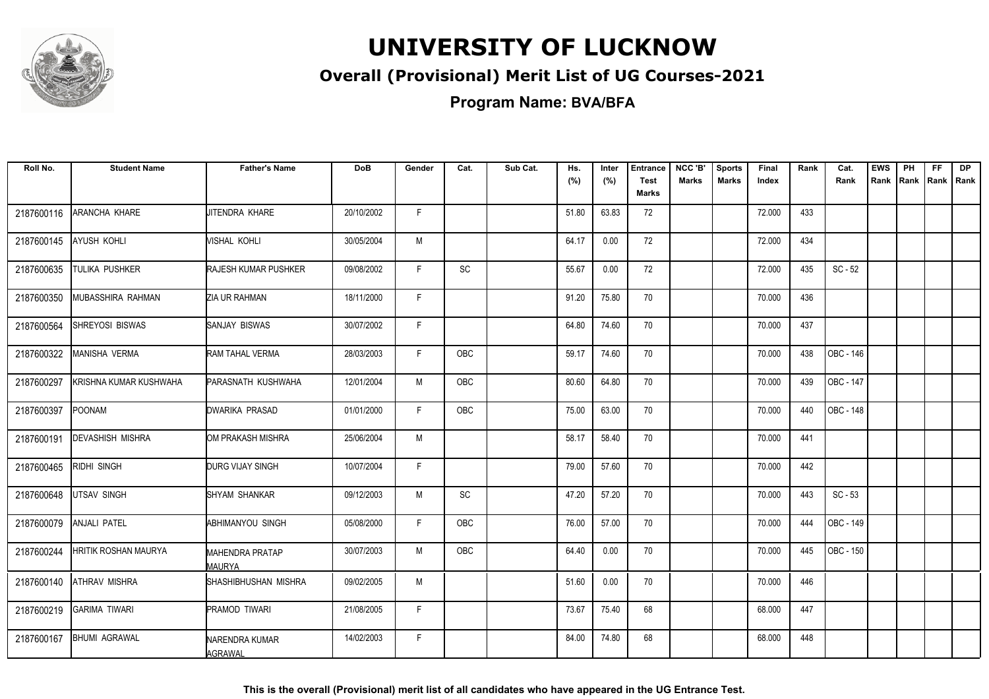

### **Overall (Provisional) Merit List of UG Courses-2021**

**Program Name: BVA/BFA**

| Roll No.   | <b>Student Name</b>     | <b>Father's Name</b>             | <b>DoB</b> | Gender | Cat.       | Sub Cat. | Hs.   | Inter | <b>Entrance</b>             | NCC 'B'      | <b>Sports</b> | Final  | Rank | Cat.      | <b>EWS</b> | PH   | <b>FF</b> | <b>DP</b>   |
|------------|-------------------------|----------------------------------|------------|--------|------------|----------|-------|-------|-----------------------------|--------------|---------------|--------|------|-----------|------------|------|-----------|-------------|
|            |                         |                                  |            |        |            |          | (%)   | (%)   | <b>Test</b><br><b>Marks</b> | <b>Marks</b> | <b>Marks</b>  | Index  |      | Rank      | Rank       | Rank |           | Rank   Rank |
| 2187600116 | ARANCHA KHARE           | JITENDRA KHARE                   | 20/10/2002 | F      |            |          | 51.80 | 63.83 | 72                          |              |               | 72.000 | 433  |           |            |      |           |             |
| 2187600145 | <b>AYUSH KOHLI</b>      | VISHAL KOHLI                     | 30/05/2004 | М      |            |          | 64.17 | 0.00  | 72                          |              |               | 72.000 | 434  |           |            |      |           |             |
| 2187600635 | TULIKA PUSHKER          | <b>RAJESH KUMAR PUSHKER</b>      | 09/08/2002 | F      | SC         |          | 55.67 | 0.00  | 72                          |              |               | 72.000 | 435  | $SC - 52$ |            |      |           |             |
| 2187600350 | MUBASSHIRA RAHMAN       | ZIA UR RAHMAN                    | 18/11/2000 | F      |            |          | 91.20 | 75.80 | 70                          |              |               | 70.000 | 436  |           |            |      |           |             |
| 2187600564 | SHREYOSI BISWAS         | <b>SANJAY BISWAS</b>             | 30/07/2002 | F      |            |          | 64.80 | 74.60 | 70                          |              |               | 70.000 | 437  |           |            |      |           |             |
| 2187600322 | <b>MANISHA VERMA</b>    | RAM TAHAL VERMA                  | 28/03/2003 | F      | <b>OBC</b> |          | 59.17 | 74.60 | 70                          |              |               | 70.000 | 438  | OBC - 146 |            |      |           |             |
| 2187600297 | KRISHNA KUMAR KUSHWAHA  | PARASNATH KUSHWAHA               | 12/01/2004 | M      | OBC        |          | 80.60 | 64.80 | 70                          |              |               | 70.000 | 439  | OBC - 147 |            |      |           |             |
| 2187600397 | POONAM                  | DWARIKA PRASAD                   | 01/01/2000 | F      | <b>OBC</b> |          | 75.00 | 63.00 | 70                          |              |               | 70.000 | 440  | OBC - 148 |            |      |           |             |
| 2187600191 | <b>DEVASHISH MISHRA</b> | OM PRAKASH MISHRA                | 25/06/2004 | M      |            |          | 58.17 | 58.40 | 70                          |              |               | 70.000 | 441  |           |            |      |           |             |
| 2187600465 | RIDHI SINGH             | DURG VIJAY SINGH                 | 10/07/2004 | F      |            |          | 79.00 | 57.60 | 70                          |              |               | 70.000 | 442  |           |            |      |           |             |
| 2187600648 | UTSAV SINGH             | SHYAM SHANKAR                    | 09/12/2003 | М      | SC         |          | 47.20 | 57.20 | 70                          |              |               | 70.000 | 443  | $SC - 53$ |            |      |           |             |
| 2187600079 | <b>ANJALI PATEL</b>     | ABHIMANYOU SINGH                 | 05/08/2000 | F      | <b>OBC</b> |          | 76.00 | 57.00 | 70                          |              |               | 70.000 | 444  | OBC - 149 |            |      |           |             |
| 2187600244 | HRITIK ROSHAN MAURYA    | <b>MAHENDRA PRATAP</b><br>MAURYA | 30/07/2003 | M      | <b>OBC</b> |          | 64.40 | 0.00  | 70                          |              |               | 70.000 | 445  | OBC - 150 |            |      |           |             |
| 2187600140 | <b>ATHRAV MISHRA</b>    | SHASHIBHUSHAN MISHRA             | 09/02/2005 | M      |            |          | 51.60 | 0.00  | 70                          |              |               | 70.000 | 446  |           |            |      |           |             |
| 2187600219 | <b>GARIMA TIWARI</b>    | <b>PRAMOD TIWARI</b>             | 21/08/2005 | F      |            |          | 73.67 | 75.40 | 68                          |              |               | 68.000 | 447  |           |            |      |           |             |
| 2187600167 | <b>BHUMI AGRAWAL</b>    | NARENDRA KUMAR<br><b>AGRAWAL</b> | 14/02/2003 | F.     |            |          | 84.00 | 74.80 | 68                          |              |               | 68.000 | 448  |           |            |      |           |             |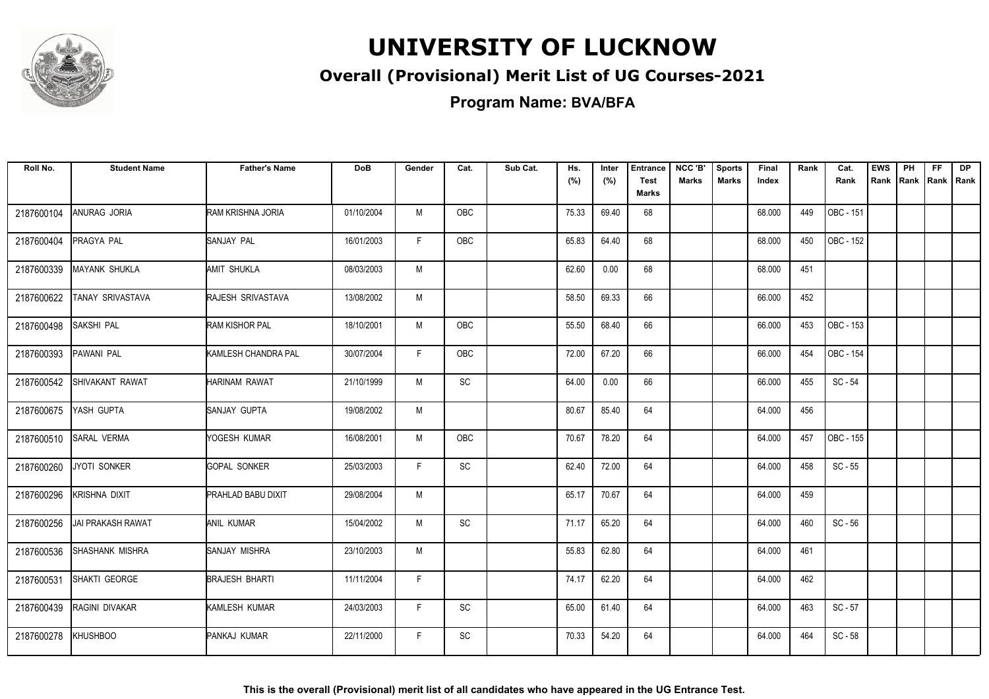

### **Overall (Provisional) Merit List of UG Courses-2021**

**Program Name: BVA/BFA**

| Roll No.   | <b>Student Name</b>      | <b>Father's Name</b>      | <b>DoB</b> | Gender | Cat.                         | Sub Cat. | Hs.<br>(%) | Inter<br>(%) | <b>Entrance</b><br><b>Test</b><br><b>Marks</b> | NCC 'B'<br><b>Marks</b> | <b>Sports</b><br><b>Marks</b> | Final<br>Index | Rank | Cat.<br>Rank | <b>EWS</b><br>Rank | PH<br>Rank | <b>FF</b><br>Rank   Rank | <b>DP</b> |
|------------|--------------------------|---------------------------|------------|--------|------------------------------|----------|------------|--------------|------------------------------------------------|-------------------------|-------------------------------|----------------|------|--------------|--------------------|------------|--------------------------|-----------|
| 2187600104 | ANURAG JORIA             | RAM KRISHNA JORIA         | 01/10/2004 | M      | OBC                          |          | 75.33      | 69.40        | 68                                             |                         |                               | 68.000         | 449  | OBC - 151    |                    |            |                          |           |
| 2187600404 | <b>PRAGYA PAL</b>        | SANJAY PAL                | 16/01/2003 | F.     | OBC                          |          | 65.83      | 64.40        | 68                                             |                         |                               | 68.000         | 450  | OBC - 152    |                    |            |                          |           |
| 2187600339 | <b>MAYANK SHUKLA</b>     | AMIT SHUKLA               | 08/03/2003 | M      |                              |          | 62.60      | 0.00         | 68                                             |                         |                               | 68.000         | 451  |              |                    |            |                          |           |
| 2187600622 | TANAY SRIVASTAVA         | RAJESH SRIVASTAVA         | 13/08/2002 | M      |                              |          | 58.50      | 69.33        | 66                                             |                         |                               | 66.000         | 452  |              |                    |            |                          |           |
| 2187600498 | SAKSHI PAL               | RAM KISHOR PAL            | 18/10/2001 | M      | OBC                          |          | 55.50      | 68.40        | 66                                             |                         |                               | 66.000         | 453  | OBC - 153    |                    |            |                          |           |
| 2187600393 | <b>PAWANI PAL</b>        | KAMLESH CHANDRA PAL       | 30/07/2004 | F.     | <b>OBC</b>                   |          | 72.00      | 67.20        | 66                                             |                         |                               | 66.000         | 454  | OBC - 154    |                    |            |                          |           |
| 2187600542 | SHIVAKANT RAWAT          | HARINAM RAWAT             | 21/10/1999 | M      | SC                           |          | 64.00      | 0.00         | 66                                             |                         |                               | 66.000         | 455  | $SC - 54$    |                    |            |                          |           |
| 2187600675 | YASH GUPTA               | SANJAY GUPTA              | 19/08/2002 | M      |                              |          | 80.67      | 85.40        | 64                                             |                         |                               | 64.000         | 456  |              |                    |            |                          |           |
| 2187600510 | <b>SARAL VERMA</b>       | YOGESH KUMAR              | 16/08/2001 | M      | OBC                          |          | 70.67      | 78.20        | 64                                             |                         |                               | 64.000         | 457  | OBC - 155    |                    |            |                          |           |
| 2187600260 | JYOTI SONKER             | <b>GOPAL SONKER</b>       | 25/03/2003 | F      | $\operatorname{\textsf{SC}}$ |          | 62.40      | 72.00        | 64                                             |                         |                               | 64.000         | 458  | $SC - 55$    |                    |            |                          |           |
| 2187600296 | <b>KRISHNA DIXIT</b>     | <b>PRAHLAD BABU DIXIT</b> | 29/08/2004 | M      |                              |          | 65.17      | 70.67        | 64                                             |                         |                               | 64.000         | 459  |              |                    |            |                          |           |
| 2187600256 | <b>JAI PRAKASH RAWAT</b> | ANIL KUMAR                | 15/04/2002 | M      | SC                           |          | 71.17      | 65.20        | 64                                             |                         |                               | 64.000         | 460  | $SC - 56$    |                    |            |                          |           |
| 2187600536 | <b>SHASHANK MISHRA</b>   | <b>SANJAY MISHRA</b>      | 23/10/2003 | M      |                              |          | 55.83      | 62.80        | 64                                             |                         |                               | 64.000         | 461  |              |                    |            |                          |           |
| 2187600531 | SHAKTI GEORGE            | <b>BRAJESH BHARTI</b>     | 11/11/2004 | F      |                              |          | 74.17      | 62.20        | 64                                             |                         |                               | 64.000         | 462  |              |                    |            |                          |           |
| 2187600439 | RAGINI DIVAKAR           | KAMLESH KUMAR             | 24/03/2003 | F.     | SC                           |          | 65.00      | 61.40        | 64                                             |                         |                               | 64.000         | 463  | $SC - 57$    |                    |            |                          |           |
| 2187600278 | <b>KHUSHBOO</b>          | PANKAJ KUMAR              | 22/11/2000 | F.     | SC                           |          | 70.33      | 54.20        | 64                                             |                         |                               | 64.000         | 464  | $SC - 58$    |                    |            |                          |           |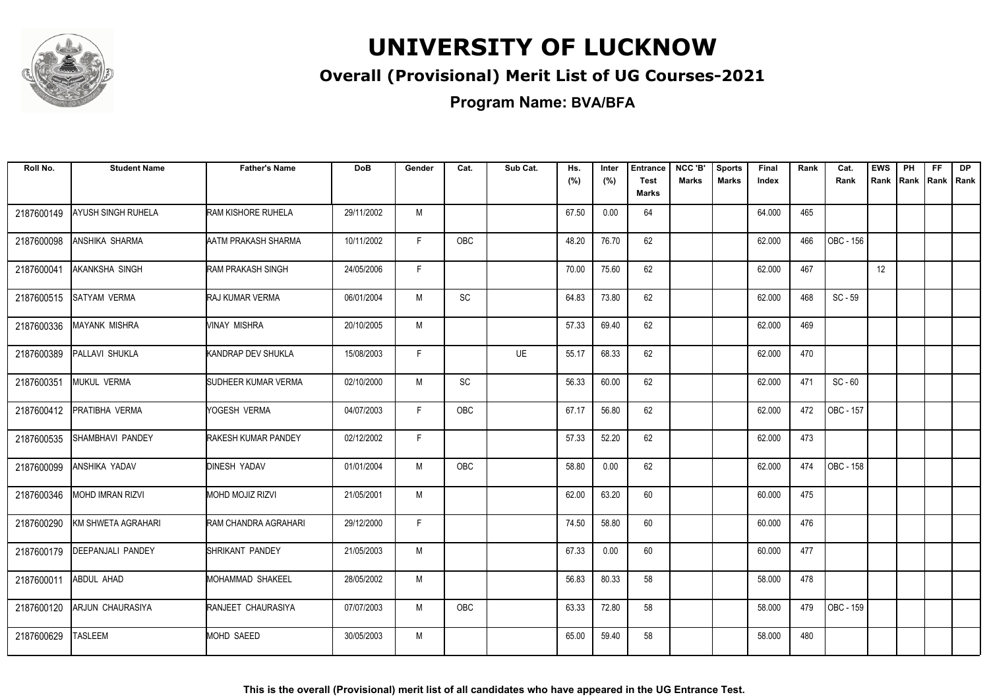

### **Overall (Provisional) Merit List of UG Courses-2021**

**Program Name: BVA/BFA**

| Roll No.   | <b>Student Name</b>       | <b>Father's Name</b>      | <b>DoB</b> | Gender       | Cat.       | Sub Cat. | Hs.<br>(%) | Inter<br>(%) | <b>Entrance</b><br><b>Test</b><br><b>Marks</b> | NCC 'B'<br>Marks | <b>Sports</b><br><b>Marks</b> | <b>Final</b><br>Index | Rank | Cat.<br>Rank | <b>EWS</b><br>Rank | PH<br><b>IRank</b> | <b>FF</b> | <b>DP</b><br>  Rank   Rank |
|------------|---------------------------|---------------------------|------------|--------------|------------|----------|------------|--------------|------------------------------------------------|------------------|-------------------------------|-----------------------|------|--------------|--------------------|--------------------|-----------|----------------------------|
| 2187600149 | <b>AYUSH SINGH RUHELA</b> | <b>RAM KISHORE RUHELA</b> | 29/11/2002 | M            |            |          | 67.50      | 0.00         | 64                                             |                  |                               | 64.000                | 465  |              |                    |                    |           |                            |
| 2187600098 | <b>ANSHIKA SHARMA</b>     | AATM PRAKASH SHARMA       | 10/11/2002 | F.           | OBC        |          | 48.20      | 76.70        | 62                                             |                  |                               | 62.000                | 466  | OBC - 156    |                    |                    |           |                            |
| 2187600041 | <b>AKANKSHA SINGH</b>     | <b>RAM PRAKASH SINGH</b>  | 24/05/2006 | $\mathsf{F}$ |            |          | 70.00      | 75.60        | 62                                             |                  |                               | 62.000                | 467  |              | 12 <sup>°</sup>    |                    |           |                            |
| 2187600515 | <b>SATYAM VERMA</b>       | <b>RAJ KUMAR VERMA</b>    | 06/01/2004 | M            | SC         |          | 64.83      | 73.80        | 62                                             |                  |                               | 62.000                | 468  | $SC - 59$    |                    |                    |           |                            |
| 2187600336 | <b>MAYANK MISHRA</b>      | <b>VINAY MISHRA</b>       | 20/10/2005 | M            |            |          | 57.33      | 69.40        | 62                                             |                  |                               | 62.000                | 469  |              |                    |                    |           |                            |
| 2187600389 | <b>PALLAVI SHUKLA</b>     | KANDRAP DEV SHUKLA        | 15/08/2003 | F            |            | UE       | 55.17      | 68.33        | 62                                             |                  |                               | 62.000                | 470  |              |                    |                    |           |                            |
| 2187600351 | MUKUL VERMA               | SUDHEER KUMAR VERMA       | 02/10/2000 | M            | SC         |          | 56.33      | 60.00        | 62                                             |                  |                               | 62.000                | 471  | $SC - 60$    |                    |                    |           |                            |
| 2187600412 | <b>PRATIBHA VERMA</b>     | YOGESH VERMA              | 04/07/2003 | F            | <b>OBC</b> |          | 67.17      | 56.80        | 62                                             |                  |                               | 62.000                | 472  | OBC - 157    |                    |                    |           |                            |
| 2187600535 | ISHAMBHAVI PANDEY         | RAKESH KUMAR PANDEY       | 02/12/2002 | F.           |            |          | 57.33      | 52.20        | 62                                             |                  |                               | 62.000                | 473  |              |                    |                    |           |                            |
| 2187600099 | <b>ANSHIKA YADAV</b>      | <b>DINESH YADAV</b>       | 01/01/2004 | M            | <b>OBC</b> |          | 58.80      | 0.00         | 62                                             |                  |                               | 62.000                | 474  | OBC - 158    |                    |                    |           |                            |
| 2187600346 | <b>MOHD IMRAN RIZVI</b>   | <b>MOHD MOJIZ RIZVI</b>   | 21/05/2001 | M            |            |          | 62.00      | 63.20        | 60                                             |                  |                               | 60.000                | 475  |              |                    |                    |           |                            |
| 2187600290 | KM SHWETA AGRAHARI        | RAM CHANDRA AGRAHARI      | 29/12/2000 | F.           |            |          | 74.50      | 58.80        | 60                                             |                  |                               | 60.000                | 476  |              |                    |                    |           |                            |
| 2187600179 | <b>DEEPANJALI PANDEY</b>  | SHRIKANT PANDEY           | 21/05/2003 | M            |            |          | 67.33      | 0.00         | 60                                             |                  |                               | 60.000                | 477  |              |                    |                    |           |                            |
| 2187600011 | ABDUL AHAD                | MOHAMMAD SHAKEEL          | 28/05/2002 | M            |            |          | 56.83      | 80.33        | 58                                             |                  |                               | 58.000                | 478  |              |                    |                    |           |                            |
| 2187600120 | ARJUN CHAURASIYA          | RANJEET CHAURASIYA        | 07/07/2003 | M            | OBC        |          | 63.33      | 72.80        | 58                                             |                  |                               | 58.000                | 479  | OBC - 159    |                    |                    |           |                            |
| 2187600629 | <b>TASLEEM</b>            | MOHD SAEED                | 30/05/2003 | М            |            |          | 65.00      | 59.40        | 58                                             |                  |                               | 58.000                | 480  |              |                    |                    |           |                            |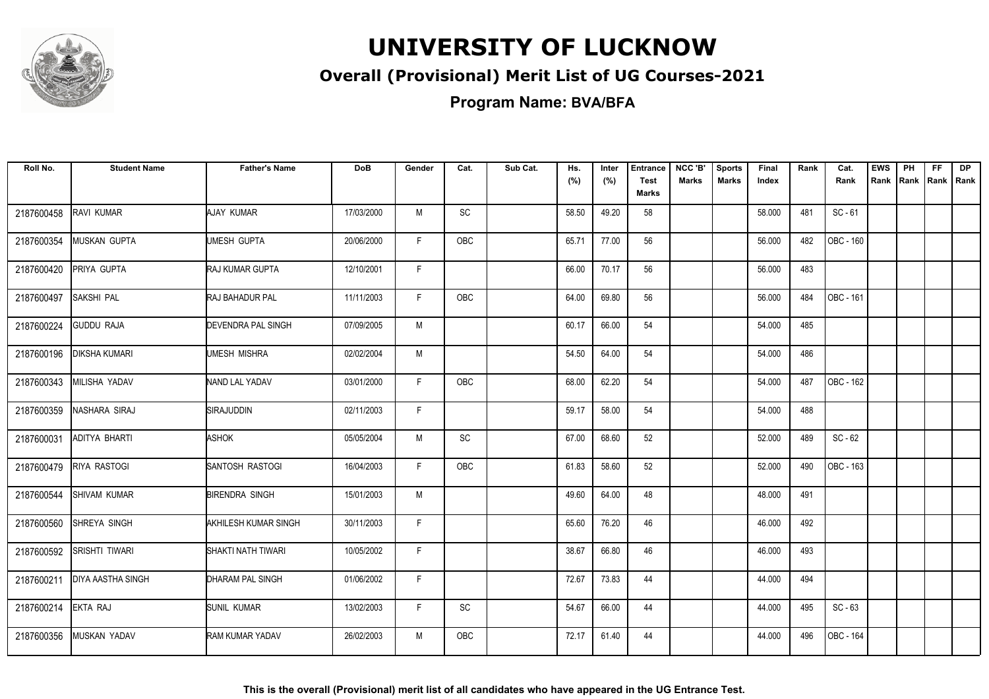

### **Overall (Provisional) Merit List of UG Courses-2021**

**Program Name: BVA/BFA**

| Roll No.   | <b>Student Name</b>      | <b>Father's Name</b>      | <b>DoB</b> | Gender       | Cat.       | Sub Cat. | Hs.<br>(%) | Inter<br>(%) | <b>Entrance</b><br><b>Test</b><br><b>Marks</b> | NCC 'B'<br><b>Marks</b> | <b>Sports</b><br><b>Marks</b> | Final<br>Index | Rank | Cat.<br>Rank           | <b>EWS</b><br>Rank | PH<br>Rank | FF. | <b>DP</b><br>Rank   Rank |
|------------|--------------------------|---------------------------|------------|--------------|------------|----------|------------|--------------|------------------------------------------------|-------------------------|-------------------------------|----------------|------|------------------------|--------------------|------------|-----|--------------------------|
| 2187600458 | RAVI KUMAR               | AJAY KUMAR                | 17/03/2000 | M            | SC         |          | 58.50      | 49.20        | 58                                             |                         |                               | 58.000         | 481  | $SC - 61$              |                    |            |     |                          |
| 2187600354 | <b>MUSKAN GUPTA</b>      | UMESH GUPTA               | 20/06/2000 | F.           | <b>OBC</b> |          | 65.71      | 77.00        | 56                                             |                         |                               | 56.000         | 482  | OBC - 160              |                    |            |     |                          |
| 2187600420 | PRIYA GUPTA              | <b>RAJ KUMAR GUPTA</b>    | 12/10/2001 | $\mathsf{F}$ |            |          | 66.00      | 70.17        | 56                                             |                         |                               | 56.000         | 483  |                        |                    |            |     |                          |
| 2187600497 | SAKSHI PAL               | <b>RAJ BAHADUR PAL</b>    | 11/11/2003 | F            | OBC        |          | 64.00      | 69.80        | 56                                             |                         |                               | 56.000         | 484  | OBC - 161              |                    |            |     |                          |
| 2187600224 | <b>GUDDU RAJA</b>        | <b>DEVENDRA PAL SINGH</b> | 07/09/2005 | M            |            |          | 60.17      | 66.00        | 54                                             |                         |                               | 54.000         | 485  |                        |                    |            |     |                          |
| 2187600196 | <b>DIKSHA KUMARI</b>     | <b>UMESH MISHRA</b>       | 02/02/2004 | M            |            |          | 54.50      | 64.00        | 54                                             |                         |                               | 54.000         | 486  |                        |                    |            |     |                          |
| 2187600343 | <b>MILISHA YADAV</b>     | NAND LAL YADAV            | 03/01/2000 | F.           | <b>OBC</b> |          | 68.00      | 62.20        | 54                                             |                         |                               | 54.000         | 487  | $\overline{OBC}$ - 162 |                    |            |     |                          |
| 2187600359 | NASHARA SIRAJ            | SIRAJUDDIN                | 02/11/2003 | F.           |            |          | 59.17      | 58.00        | 54                                             |                         |                               | 54.000         | 488  |                        |                    |            |     |                          |
| 2187600031 | ADITYA BHARTI            | <b>ASHOK</b>              | 05/05/2004 | M            | <b>SC</b>  |          | 67.00      | 68.60        | 52                                             |                         |                               | 52.000         | 489  | $SC - 62$              |                    |            |     |                          |
| 2187600479 | <b>RIYA RASTOGI</b>      | <b>SANTOSH RASTOGI</b>    | 16/04/2003 | E            | <b>OBC</b> |          | 61.83      | 58.60        | 52                                             |                         |                               | 52.000         | 490  | $IOBC - 163$           |                    |            |     |                          |
| 2187600544 | <b>SHIVAM KUMAR</b>      | <b>BIRENDRA SINGH</b>     | 15/01/2003 | M            |            |          | 49.60      | 64.00        | 48                                             |                         |                               | 48.000         | 491  |                        |                    |            |     |                          |
| 2187600560 | SHREYA SINGH             | AKHILESH KUMAR SINGH      | 30/11/2003 | F.           |            |          | 65.60      | 76.20        | 46                                             |                         |                               | 46.000         | 492  |                        |                    |            |     |                          |
| 2187600592 | <b>SRISHTI TIWARI</b>    | SHAKTI NATH TIWARI        | 10/05/2002 | F            |            |          | 38.67      | 66.80        | 46                                             |                         |                               | 46.000         | 493  |                        |                    |            |     |                          |
| 2187600211 | <b>DIYA AASTHA SINGH</b> | <b>DHARAM PAL SINGH</b>   | 01/06/2002 | F            |            |          | 72.67      | 73.83        | 44                                             |                         |                               | 44.000         | 494  |                        |                    |            |     |                          |
| 2187600214 | EKTA RAJ                 | <b>SUNIL KUMAR</b>        | 13/02/2003 | F            | SC         |          | 54.67      | 66.00        | 44                                             |                         |                               | 44.000         | 495  | $SC - 63$              |                    |            |     |                          |
| 2187600356 | <b>MUSKAN YADAV</b>      | <b>RAM KUMAR YADAV</b>    | 26/02/2003 | M            | <b>OBC</b> |          | 72.17      | 61.40        | 44                                             |                         |                               | 44.000         | 496  | OBC - 164              |                    |            |     |                          |